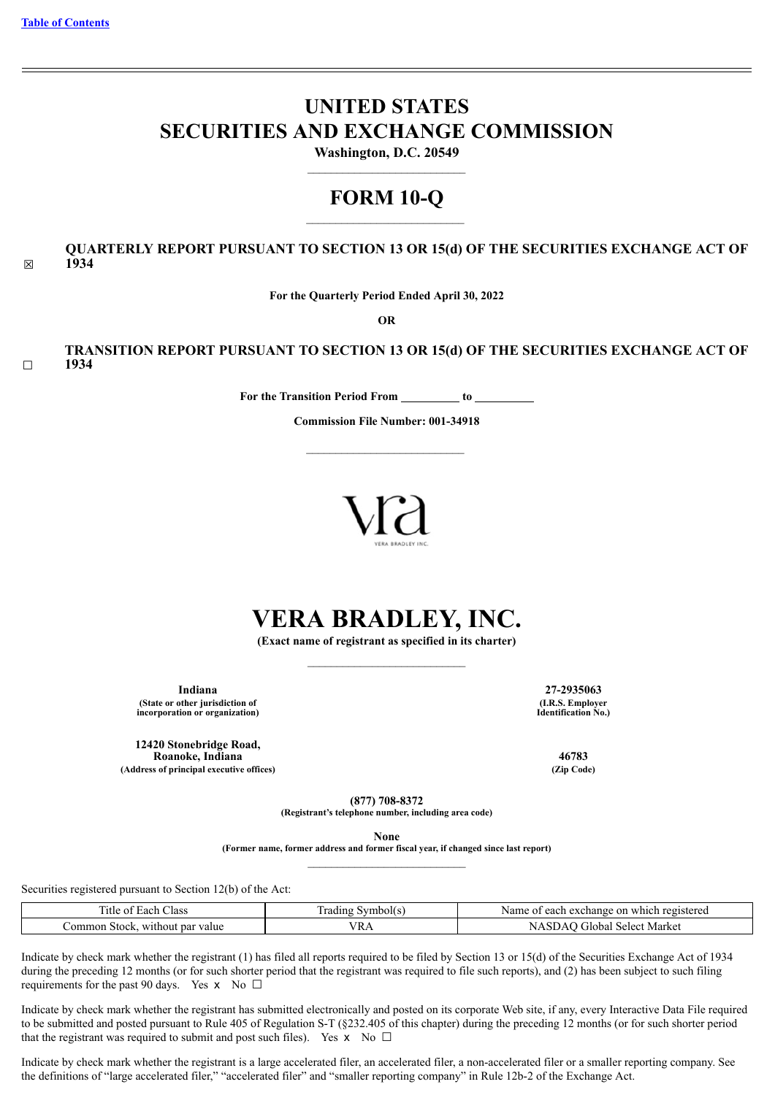# **UNITED STATES SECURITIES AND EXCHANGE COMMISSION**

**Washington, D.C. 20549**

## **FORM 10-Q** \_\_\_\_\_\_\_\_\_\_\_\_\_\_\_\_\_\_\_\_\_\_\_\_\_\_\_

#### ☒ **QUARTERLY REPORT PURSUANT TO SECTION 13 OR 15(d) OF THE SECURITIES EXCHANGE ACT OF 1934**

**For the Quarterly Period Ended April 30, 2022**

**OR**

 $\Box$ **TRANSITION REPORT PURSUANT TO SECTION 13 OR 15(d) OF THE SECURITIES EXCHANGE ACT OF 1934**

**For the Transition Period From to**

**Commission File Number: 001-34918** \_\_\_\_\_\_\_\_\_\_\_\_\_\_\_\_\_\_\_\_\_\_\_\_\_\_\_



# **VERA BRADLEY, INC.**

**(Exact name of registrant as specified in its charter)**

**Indiana 27-2935063 (State or other jurisdiction of incorporation or organization)**

**12420 Stonebridge Road, Roanoke, Indiana 46783 (Address of principal executive offices) (Zip Code)**

**(I.R.S. Employer Identification No.)**

**(877) 708-8372**

**(Registrant's telephone number, including area code)**

**None**

**(Former name, former address and former fiscal year, if changed since last report)** \_\_\_\_\_\_\_\_\_\_\_\_\_\_\_\_\_\_\_\_\_\_\_\_\_\_\_

Securities registered pursuant to Section 12(b) of the Act:

| Title<br>∠lass<br>ach<br>$\cdot$ ) i     | rading<br>эĸ    | registered<br>Name<br>∡change<br>-or<br>which<br>each<br>$\Delta v$ |
|------------------------------------------|-----------------|---------------------------------------------------------------------|
| ommon<br>value<br>nar<br>without<br>stoc | <sup>7</sup> RA | Marke<br>select i<br>Crloba                                         |

Indicate by check mark whether the registrant (1) has filed all reports required to be filed by Section 13 or 15(d) of the Securities Exchange Act of 1934 during the preceding 12 months (or for such shorter period that the registrant was required to file such reports), and (2) has been subject to such filing requirements for the past 90 days. Yes  $x \to 0$ 

Indicate by check mark whether the registrant has submitted electronically and posted on its corporate Web site, if any, every Interactive Data File required to be submitted and posted pursuant to Rule 405 of Regulation S-T (§232.405 of this chapter) during the preceding 12 months (or for such shorter period that the registrant was required to submit and post such files). Yes  $x \to No \Box$ 

Indicate by check mark whether the registrant is a large accelerated filer, an accelerated filer, a non-accelerated filer or a smaller reporting company. See the definitions of "large accelerated filer," "accelerated filer" and "smaller reporting company" in Rule 12b-2 of the Exchange Act.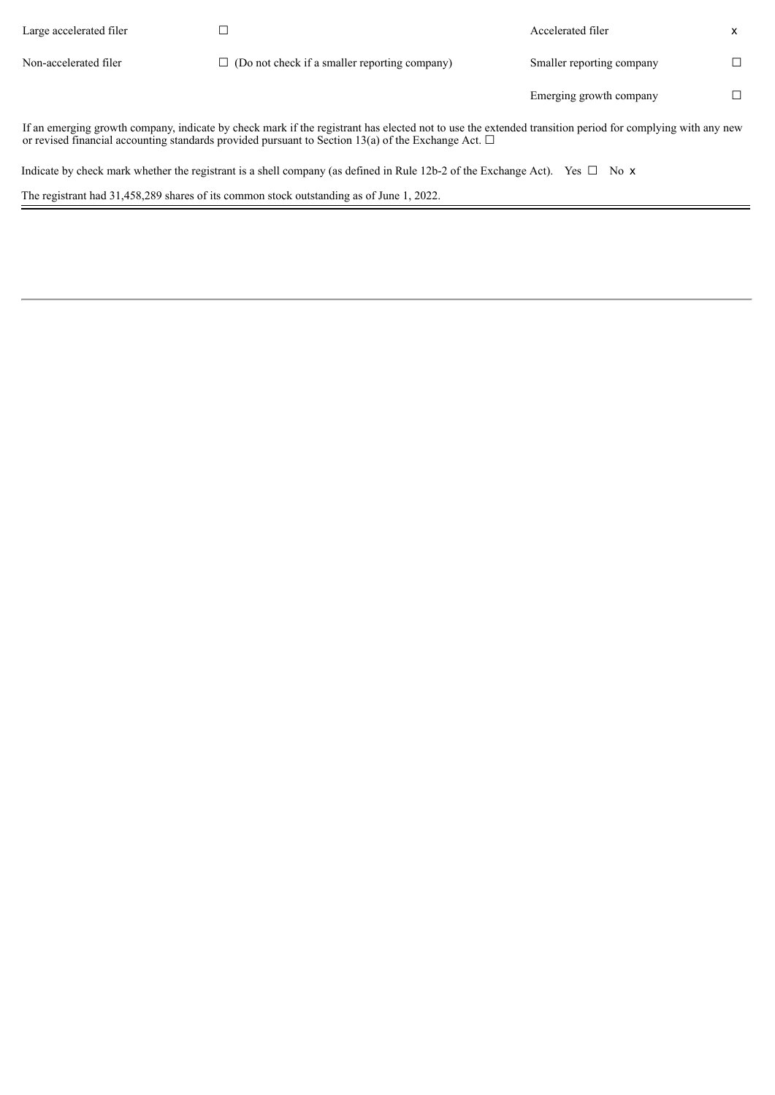<span id="page-1-0"></span>

| Large accelerated filer                                                                                                                                                                                                                                              |                                                      | Accelerated filer         | x |  |  |  |  |
|----------------------------------------------------------------------------------------------------------------------------------------------------------------------------------------------------------------------------------------------------------------------|------------------------------------------------------|---------------------------|---|--|--|--|--|
| Non-accelerated filer                                                                                                                                                                                                                                                | $\Box$ (Do not check if a smaller reporting company) | Smaller reporting company |   |  |  |  |  |
|                                                                                                                                                                                                                                                                      |                                                      | Emerging growth company   |   |  |  |  |  |
| If an emerging growth company, indicate by check mark if the registrant has elected not to use the extended transition period for complying with any new<br>or revised financial accounting standards provided pursuant to Section 13(a) of the Exchange Act. $\Box$ |                                                      |                           |   |  |  |  |  |
| Indicate by check mark whether the registrant is a shell company (as defined in Rule 12b-2 of the Exchange Act). Yes $\square$ No $\times$                                                                                                                           |                                                      |                           |   |  |  |  |  |
| The registrant had 31,458,289 shares of its common stock outstanding as of June 1, 2022.                                                                                                                                                                             |                                                      |                           |   |  |  |  |  |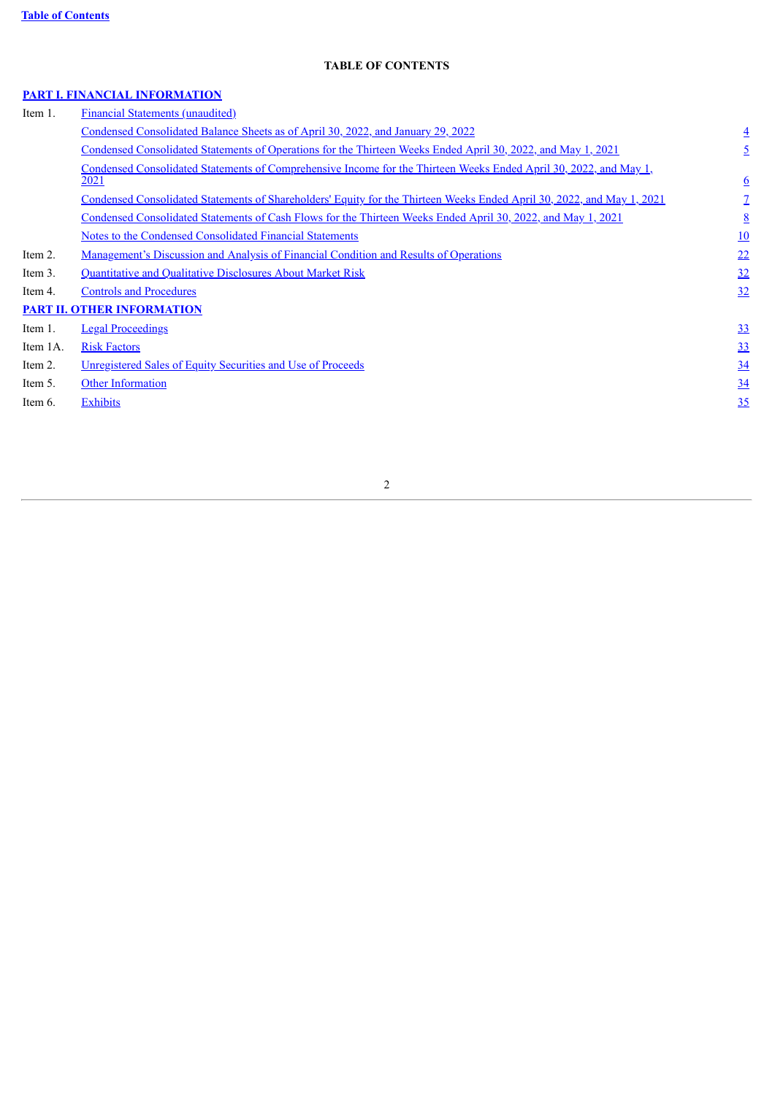### **TABLE OF CONTENTS**

### **PART I. FINANCIAL [INFORMATION](#page-3-0)**

| $\overline{4}$  |
|-----------------|
| 5               |
| $6\overline{6}$ |
| 7               |
| 8               |
| <u>10</u>       |
| 22              |
| 32              |
| 32              |
|                 |
| <u>33</u>       |
| <u>33</u>       |
| 34              |
| 34              |
| <u>35</u>       |
|                 |
|                 |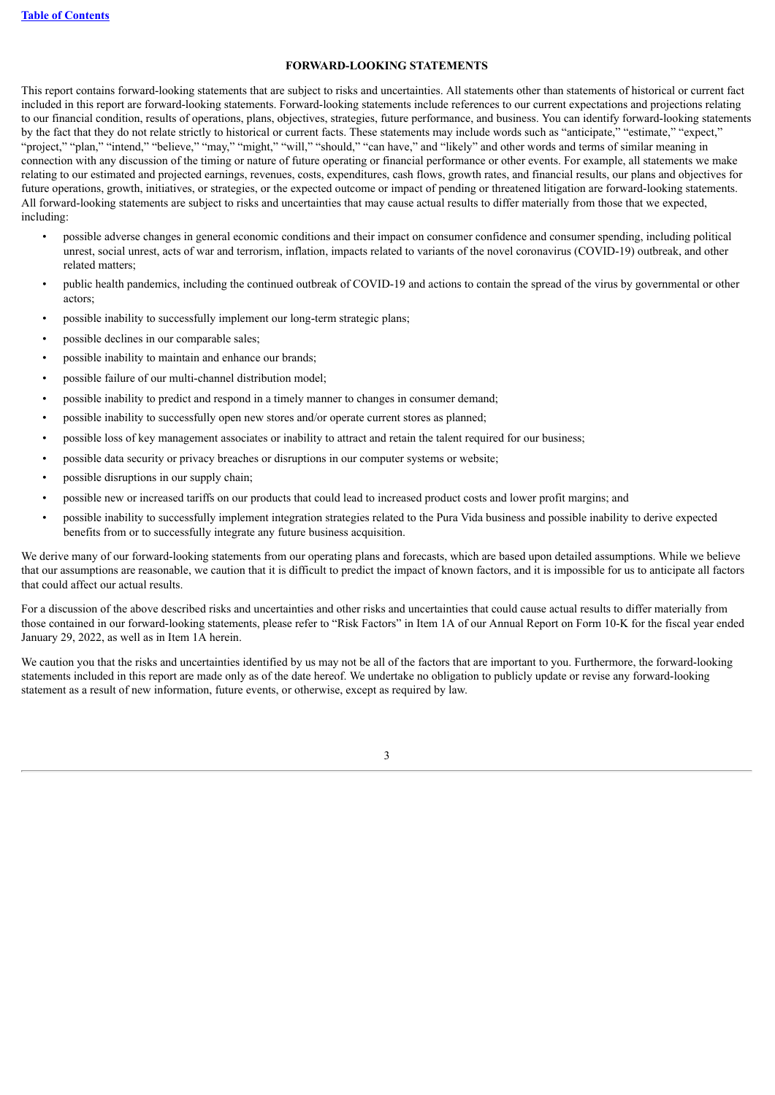#### **FORWARD-LOOKING STATEMENTS**

This report contains forward-looking statements that are subject to risks and uncertainties. All statements other than statements of historical or current fact included in this report are forward-looking statements. Forward-looking statements include references to our current expectations and projections relating to our financial condition, results of operations, plans, objectives, strategies, future performance, and business. You can identify forward-looking statements by the fact that they do not relate strictly to historical or current facts. These statements may include words such as "anticipate," "estimate," "expect," "project," "plan," "intend," "believe," "may," "might," "will," "should," "can have," and "likely" and other words and terms of similar meaning in connection with any discussion of the timing or nature of future operating or financial performance or other events. For example, all statements we make relating to our estimated and projected earnings, revenues, costs, expenditures, cash flows, growth rates, and financial results, our plans and objectives for future operations, growth, initiatives, or strategies, or the expected outcome or impact of pending or threatened litigation are forward-looking statements. All forward-looking statements are subject to risks and uncertainties that may cause actual results to differ materially from those that we expected, including:

- possible adverse changes in general economic conditions and their impact on consumer confidence and consumer spending, including political unrest, social unrest, acts of war and terrorism, inflation, impacts related to variants of the novel coronavirus (COVID-19) outbreak, and other related matters;
- public health pandemics, including the continued outbreak of COVID-19 and actions to contain the spread of the virus by governmental or other actors;
- possible inability to successfully implement our long-term strategic plans;
- possible declines in our comparable sales;
- possible inability to maintain and enhance our brands;
- possible failure of our multi-channel distribution model;
- possible inability to predict and respond in a timely manner to changes in consumer demand;
- possible inability to successfully open new stores and/or operate current stores as planned;
- possible loss of key management associates or inability to attract and retain the talent required for our business;
- possible data security or privacy breaches or disruptions in our computer systems or website;
- possible disruptions in our supply chain;
- possible new or increased tariffs on our products that could lead to increased product costs and lower profit margins; and
- possible inability to successfully implement integration strategies related to the Pura Vida business and possible inability to derive expected benefits from or to successfully integrate any future business acquisition.

We derive many of our forward-looking statements from our operating plans and forecasts, which are based upon detailed assumptions. While we believe that our assumptions are reasonable, we caution that it is difficult to predict the impact of known factors, and it is impossible for us to anticipate all factors that could affect our actual results.

For a discussion of the above described risks and uncertainties and other risks and uncertainties that could cause actual results to differ materially from those contained in our forward-looking statements, please refer to "Risk Factors" in Item 1A of our Annual Report on Form 10-K for the fiscal year ended January 29, 2022, as well as in Item 1A herein.

<span id="page-3-0"></span>We caution you that the risks and uncertainties identified by us may not be all of the factors that are important to you. Furthermore, the forward-looking statements included in this report are made only as of the date hereof. We undertake no obligation to publicly update or revise any forward-looking statement as a result of new information, future events, or otherwise, except as required by law.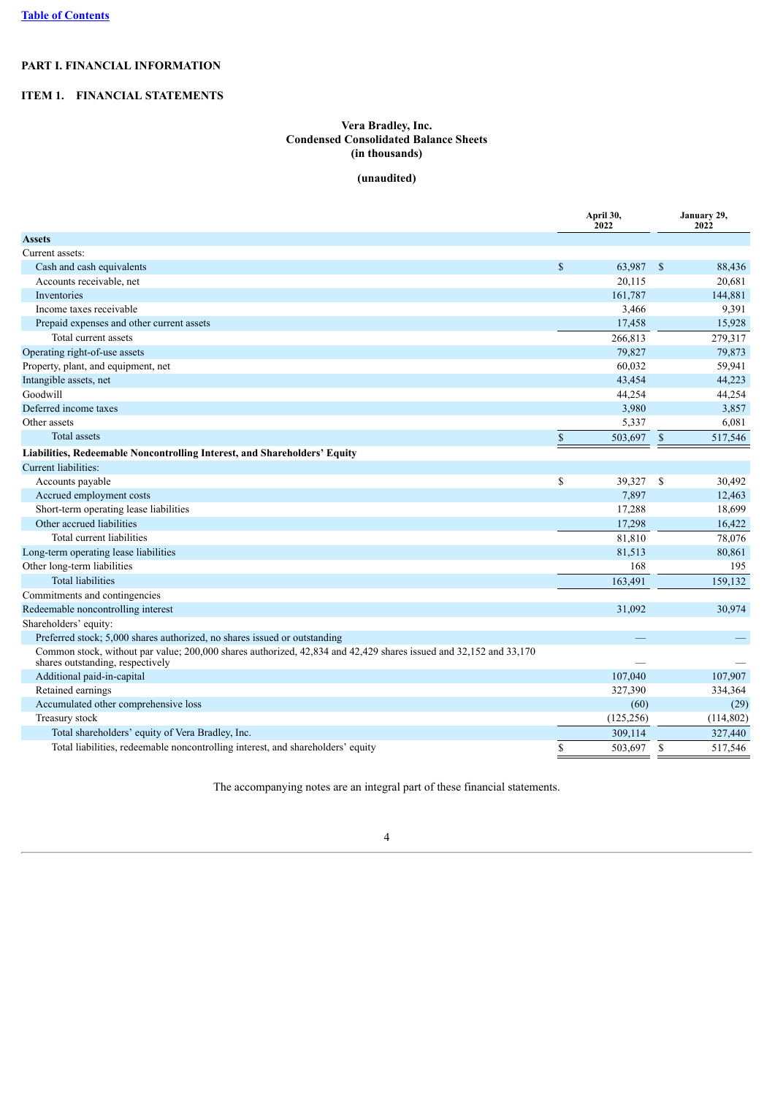### **PART I. FINANCIAL INFORMATION**

### <span id="page-4-1"></span><span id="page-4-0"></span>**ITEM 1. FINANCIAL STATEMENTS**

### **Vera Bradley, Inc. Condensed Consolidated Balance Sheets (in thousands)**

### **(unaudited)**

|                                                                                                                                                       |               | April 30,<br>2022 |               | January 29,<br>2022 |
|-------------------------------------------------------------------------------------------------------------------------------------------------------|---------------|-------------------|---------------|---------------------|
| <b>Assets</b>                                                                                                                                         |               |                   |               |                     |
| Current assets:                                                                                                                                       |               |                   |               |                     |
| Cash and cash equivalents                                                                                                                             | \$            | 63,987            | $\mathbb{S}$  | 88,436              |
| Accounts receivable, net                                                                                                                              |               | 20.115            |               | 20,681              |
| Inventories                                                                                                                                           |               | 161,787           |               | 144,881             |
| Income taxes receivable                                                                                                                               |               | 3,466             |               | 9,391               |
| Prepaid expenses and other current assets                                                                                                             |               | 17,458            |               | 15,928              |
| Total current assets                                                                                                                                  |               | 266,813           |               | 279,317             |
| Operating right-of-use assets                                                                                                                         |               | 79,827            |               | 79,873              |
| Property, plant, and equipment, net                                                                                                                   |               | 60,032            |               | 59,941              |
| Intangible assets, net                                                                                                                                |               | 43,454            |               | 44,223              |
| Goodwill                                                                                                                                              |               | 44,254            |               | 44,254              |
| Deferred income taxes                                                                                                                                 |               | 3,980             |               | 3,857               |
| Other assets                                                                                                                                          |               | 5,337             |               | 6,081               |
| Total assets                                                                                                                                          | $\mathsf{\$}$ | 503,697           | $\mathcal{S}$ | 517,546             |
| Liabilities, Redeemable Noncontrolling Interest, and Shareholders' Equity                                                                             |               |                   |               |                     |
| Current liabilities:                                                                                                                                  |               |                   |               |                     |
| Accounts payable                                                                                                                                      | \$            | 39,327            | $\mathcal{S}$ | 30,492              |
| Accrued employment costs                                                                                                                              |               | 7,897             |               | 12,463              |
| Short-term operating lease liabilities                                                                                                                |               | 17,288            |               | 18,699              |
| Other accrued liabilities                                                                                                                             |               | 17,298            |               | 16,422              |
| Total current liabilities                                                                                                                             |               | 81,810            |               | 78,076              |
| Long-term operating lease liabilities                                                                                                                 |               | 81,513            |               | 80,861              |
| Other long-term liabilities                                                                                                                           |               | 168               |               | 195                 |
| <b>Total liabilities</b>                                                                                                                              |               | 163,491           |               | 159,132             |
| Commitments and contingencies                                                                                                                         |               |                   |               |                     |
| Redeemable noncontrolling interest                                                                                                                    |               | 31,092            |               | 30,974              |
| Shareholders' equity:                                                                                                                                 |               |                   |               |                     |
| Preferred stock; 5,000 shares authorized, no shares issued or outstanding                                                                             |               |                   |               |                     |
| Common stock, without par value; 200,000 shares authorized, 42,834 and 42,429 shares issued and 32,152 and 33,170<br>shares outstanding, respectively |               |                   |               |                     |
| Additional paid-in-capital                                                                                                                            |               | 107,040           |               | 107,907             |
| Retained earnings                                                                                                                                     |               | 327,390           |               | 334,364             |
| Accumulated other comprehensive loss                                                                                                                  |               | (60)              |               | (29)                |
| Treasury stock                                                                                                                                        |               | (125, 256)        |               | (114, 802)          |
| Total shareholders' equity of Vera Bradley, Inc.                                                                                                      |               | 309,114           |               | 327,440             |
| Total liabilities, redeemable noncontrolling interest, and shareholders' equity                                                                       | \$            | 503,697           | $\mathbb{S}$  | 517,546             |

<span id="page-4-2"></span>The accompanying notes are an integral part of these financial statements.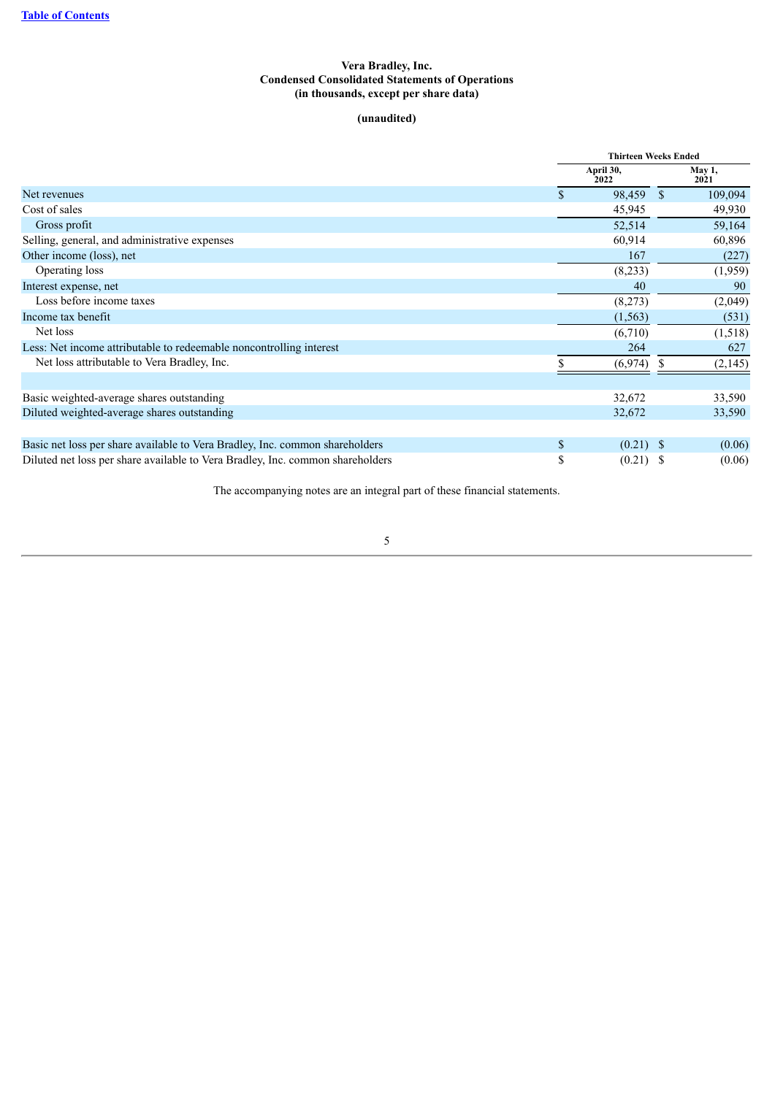#### **Vera Bradley, Inc. Condensed Consolidated Statements of Operations (in thousands, except per share data)**

### **(unaudited)**

|                                                                                | <b>Thirteen Weeks Ended</b> |      |                |
|--------------------------------------------------------------------------------|-----------------------------|------|----------------|
|                                                                                | April 30,<br>2022           |      | May 1,<br>2021 |
| Net revenues                                                                   | \$<br>98,459                | - \$ | 109,094        |
| Cost of sales                                                                  | 45,945                      |      | 49,930         |
| Gross profit                                                                   | 52,514                      |      | 59,164         |
| Selling, general, and administrative expenses                                  | 60,914                      |      | 60,896         |
| Other income (loss), net                                                       | 167                         |      | (227)          |
| Operating loss                                                                 | (8,233)                     |      | (1,959)        |
| Interest expense, net                                                          | 40                          |      | 90             |
| Loss before income taxes                                                       | (8,273)                     |      | (2,049)        |
| Income tax benefit                                                             | (1, 563)                    |      | (531)          |
| Net loss                                                                       | (6,710)                     |      | (1,518)        |
| Less: Net income attributable to redeemable noncontrolling interest            | 264                         |      | 627            |
| Net loss attributable to Vera Bradley, Inc.                                    | (6, 974)                    | -S   | (2,145)        |
| Basic weighted-average shares outstanding                                      | 32,672                      |      | 33,590         |
| Diluted weighted-average shares outstanding                                    | 32,672                      |      | 33,590         |
| Basic net loss per share available to Vera Bradley, Inc. common shareholders   | \$<br>$(0.21)$ \$           |      | (0.06)         |
| Diluted net loss per share available to Vera Bradley, Inc. common shareholders | \$<br>$(0.21)$ \$           |      | (0.06)         |

<span id="page-5-0"></span>The accompanying notes are an integral part of these financial statements.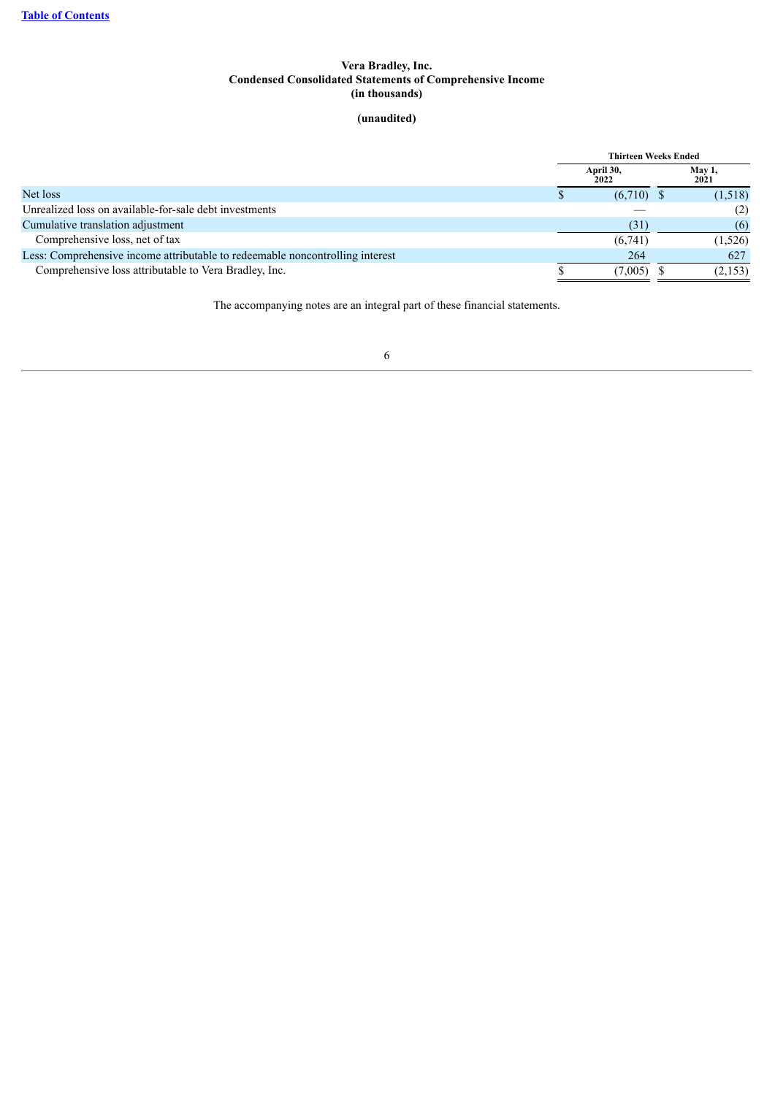#### **Vera Bradley, Inc. Condensed Consolidated Statements of Comprehensive Income (in thousands)**

### **(unaudited)**

|                                                                               | <b>Thirteen Weeks Ended</b> |  |                |  |
|-------------------------------------------------------------------------------|-----------------------------|--|----------------|--|
|                                                                               | April 30,<br>2022           |  | May 1,<br>2021 |  |
| Net loss                                                                      | $(6,710)$ \$                |  | (1,518)        |  |
| Unrealized loss on available-for-sale debt investments                        |                             |  | (2)            |  |
| Cumulative translation adjustment                                             | (31)                        |  | (6)            |  |
| Comprehensive loss, net of tax                                                | (6,741)                     |  | (1,526)        |  |
| Less: Comprehensive income attributable to redeemable noncontrolling interest | 264                         |  | 627            |  |
| Comprehensive loss attributable to Vera Bradley, Inc.                         | (7,005)                     |  | (2,153)        |  |

<span id="page-6-0"></span>The accompanying notes are an integral part of these financial statements.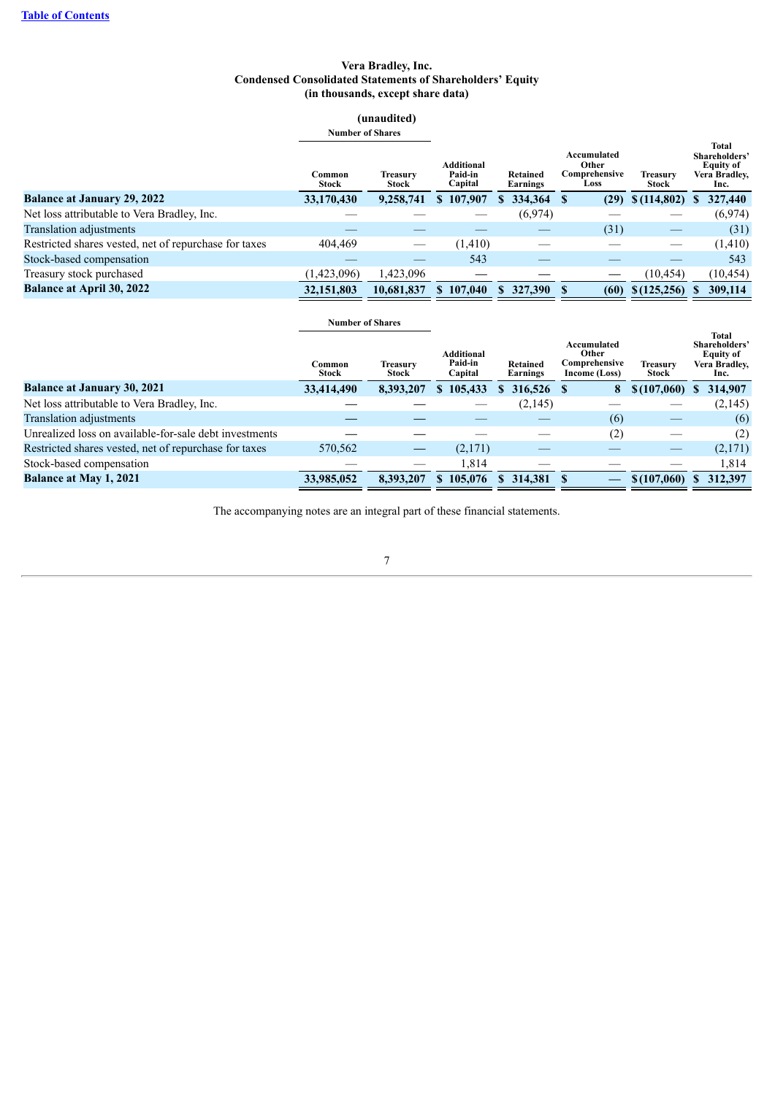#### **Vera Bradley, Inc. Condensed Consolidated Statements of Shareholders' Equity (in thousands, except share data)**

### **(unaudited)**

#### **Number of Shares**

|                                                       | Common<br>Stock | <b>Treasury</b><br>Stock | Additional<br>Paid-in<br>Capital | Retained<br>Earnings | Accumulated<br>Other<br>Comprehensive<br>Loss | <b>Treasury</b><br><b>Stock</b> | <b>Total</b><br>Shareholders'<br><b>Equity of</b><br>Vera Bradley,<br>Inc. |
|-------------------------------------------------------|-----------------|--------------------------|----------------------------------|----------------------|-----------------------------------------------|---------------------------------|----------------------------------------------------------------------------|
| <b>Balance at January 29, 2022</b>                    | 33,170,430      | 9,258,741                | \$107,907                        | 334.364 \$<br>S.     | (29)                                          | \$(114,802)                     | 327,440<br>S                                                               |
| Net loss attributable to Vera Bradley, Inc.           |                 |                          |                                  | (6,974)              |                                               |                                 | (6,974)                                                                    |
| Translation adjustments                               |                 |                          |                                  |                      | (31)                                          |                                 | (31)                                                                       |
| Restricted shares vested, net of repurchase for taxes | 404,469         |                          | (1, 410)                         |                      |                                               |                                 | (1,410)                                                                    |
| Stock-based compensation                              |                 |                          | 543                              |                      |                                               |                                 | 543                                                                        |
| Treasury stock purchased                              | (1,423,096)     | 1,423,096                |                                  |                      |                                               | (10, 454)                       | (10, 454)                                                                  |
| <b>Balance at April 30, 2022</b>                      | 32,151,803      | 10,681,837               | \$107,040                        | 327.390 \$<br>S.     | (60)                                          | \$(125, 256)                    | 309,114                                                                    |

|                                                        | <b>Number of Shares</b> |                          |                                         |                            |                                                        |                          |                                                                            |
|--------------------------------------------------------|-------------------------|--------------------------|-----------------------------------------|----------------------------|--------------------------------------------------------|--------------------------|----------------------------------------------------------------------------|
|                                                        | Common<br><b>Stock</b>  | <b>Treasury</b><br>Stock | <b>Additional</b><br>Paid-in<br>Capital | Retained<br>Earnings       | Accumulated<br>Other<br>Comprehensive<br>Income (Loss) | <b>Treasury</b><br>Stock | <b>Total</b><br>Shareholders'<br><b>Equity of</b><br>Vera Bradlev,<br>Inc. |
| <b>Balance at January 30, 2021</b>                     | 33,414,490              | 8,393,207                | \$105,433                               | 316,526 \$<br>$\mathbf{s}$ | 8                                                      | \$(107,060)              | 314,907<br><sup>\$</sup>                                                   |
| Net loss attributable to Vera Bradley, Inc.            |                         |                          |                                         | (2,145)                    |                                                        |                          | (2,145)                                                                    |
| Translation adjustments                                |                         |                          |                                         |                            | (6)                                                    |                          | (6)                                                                        |
| Unrealized loss on available-for-sale debt investments |                         |                          |                                         |                            | (2)                                                    |                          | (2)                                                                        |
| Restricted shares vested, net of repurchase for taxes  | 570,562                 |                          | (2,171)                                 |                            |                                                        |                          | (2,171)                                                                    |
| Stock-based compensation                               |                         |                          | 1,814                                   |                            |                                                        |                          | 1,814                                                                      |
| <b>Balance at May 1, 2021</b>                          | 33,985,052              | 8,393,207                | \$105.076                               | 314.381<br>S.              |                                                        | \$(107,060)              | 312,397                                                                    |

<span id="page-7-0"></span>The accompanying notes are an integral part of these financial statements.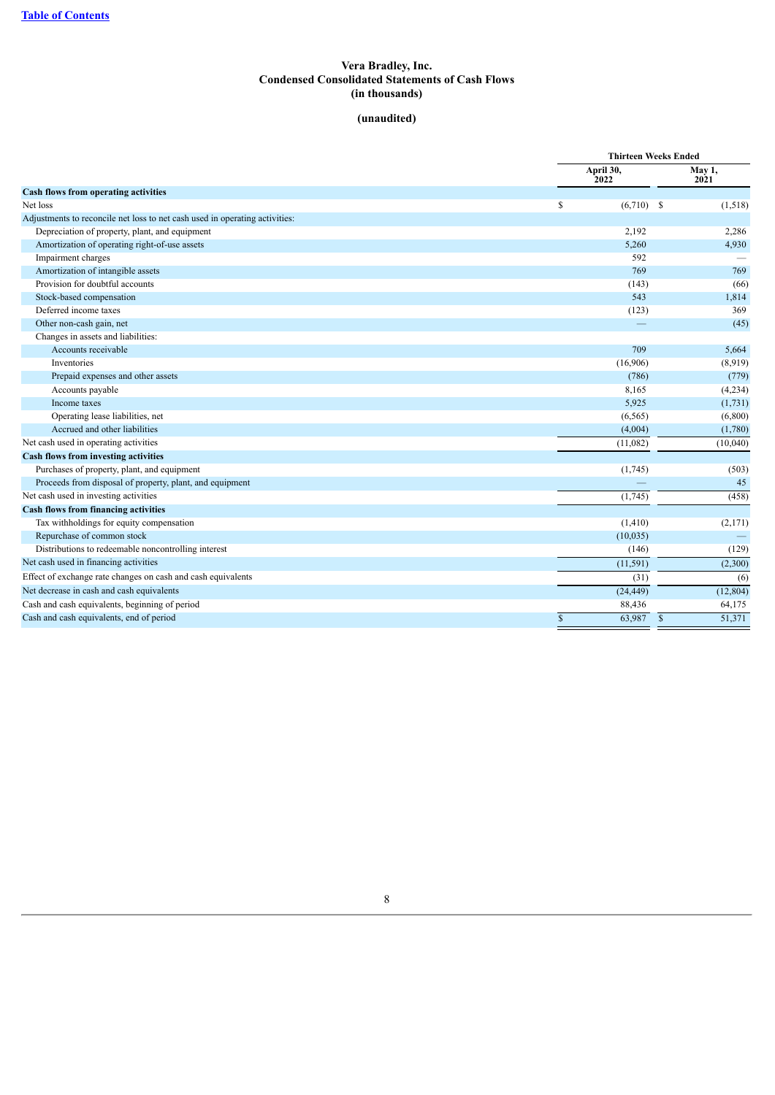#### **Vera Bradley, Inc. Condensed Consolidated Statements of Cash Flows (in thousands)**

### **(unaudited)**

|                                                                             |                   | <b>Thirteen Weeks Ended</b> |                |  |
|-----------------------------------------------------------------------------|-------------------|-----------------------------|----------------|--|
|                                                                             | April 30,<br>2022 |                             | May 1,<br>2021 |  |
| <b>Cash flows from operating activities</b>                                 |                   |                             |                |  |
| Net loss                                                                    | \$                | $(6,710)$ \$                | (1, 518)       |  |
| Adjustments to reconcile net loss to net cash used in operating activities: |                   |                             |                |  |
| Depreciation of property, plant, and equipment                              |                   | 2,192                       | 2,286          |  |
| Amortization of operating right-of-use assets                               |                   | 5,260                       | 4,930          |  |
| Impairment charges                                                          |                   | 592                         |                |  |
| Amortization of intangible assets                                           |                   | 769                         | 769            |  |
| Provision for doubtful accounts                                             |                   | (143)                       | (66)           |  |
| Stock-based compensation                                                    |                   | 543                         | 1,814          |  |
| Deferred income taxes                                                       |                   | (123)                       | 369            |  |
| Other non-cash gain, net                                                    |                   | $\overline{\phantom{m}}$    | (45)           |  |
| Changes in assets and liabilities:                                          |                   |                             |                |  |
| Accounts receivable                                                         |                   | 709                         | 5,664          |  |
| Inventories                                                                 |                   | (16,906)                    | (8,919)        |  |
| Prepaid expenses and other assets                                           |                   | (786)                       | (779)          |  |
| Accounts payable                                                            |                   | 8,165                       | (4,234)        |  |
| Income taxes                                                                |                   | 5,925                       | (1, 731)       |  |
| Operating lease liabilities, net                                            |                   | (6, 565)                    | (6,800)        |  |
| Accrued and other liabilities                                               |                   | (4,004)                     | (1,780)        |  |
| Net cash used in operating activities                                       |                   | (11,082)                    | (10,040)       |  |
| <b>Cash flows from investing activities</b>                                 |                   |                             |                |  |
| Purchases of property, plant, and equipment                                 |                   | (1,745)                     | (503)          |  |
| Proceeds from disposal of property, plant, and equipment                    |                   |                             | 45             |  |
| Net cash used in investing activities                                       |                   | (1,745)                     | (458)          |  |
| <b>Cash flows from financing activities</b>                                 |                   |                             |                |  |
| Tax withholdings for equity compensation                                    |                   | (1,410)                     | (2,171)        |  |
| Repurchase of common stock                                                  |                   | (10, 035)                   |                |  |
| Distributions to redeemable noncontrolling interest                         |                   | (146)                       | (129)          |  |
| Net cash used in financing activities                                       |                   | (11, 591)                   | (2,300)        |  |
| Effect of exchange rate changes on cash and cash equivalents                |                   | (31)                        | (6)            |  |
| Net decrease in cash and cash equivalents                                   |                   | (24, 449)                   | (12, 804)      |  |
| Cash and cash equivalents, beginning of period                              |                   | 88,436                      | 64,175         |  |
| Cash and cash equivalents, end of period                                    | $\mathsf{s}$      | $\mathbf{s}$<br>63,987      | 51,371         |  |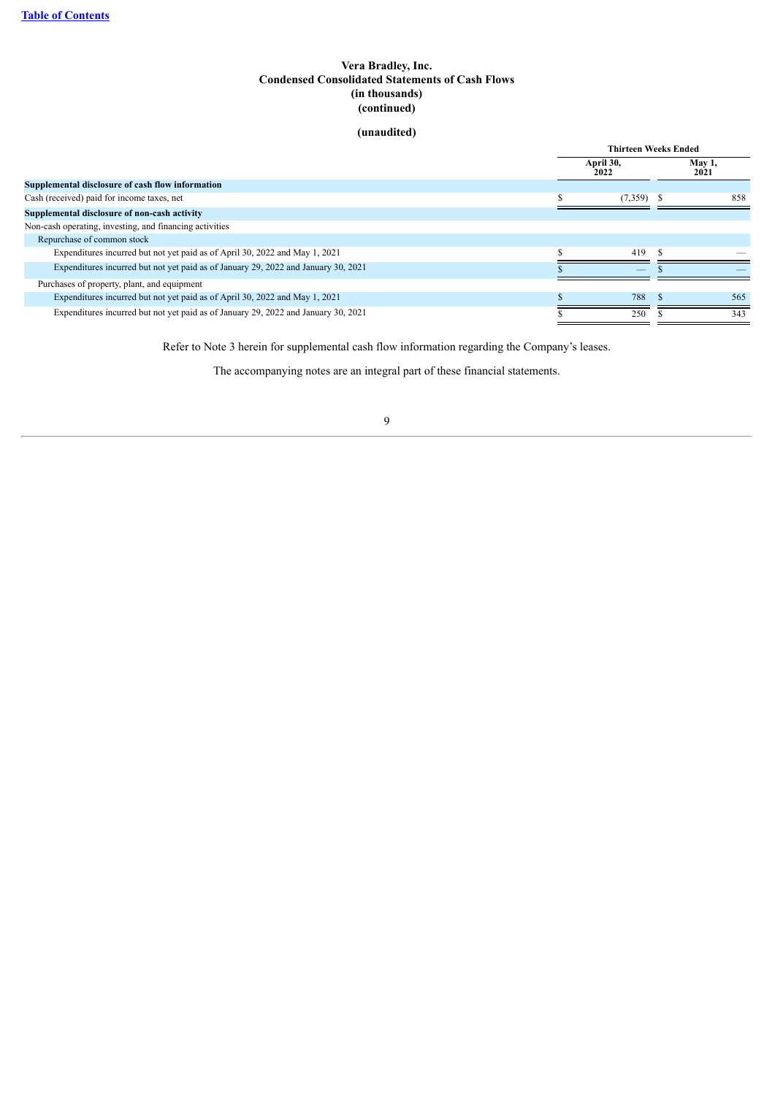### **Vera Bradley, Inc. Condensed Consolidated Statements of Cash Flows (in thousands) (continued)**

### **(unaudited)**

|                                                                                    | <b>Thirteen Weeks Ended</b> |                   |                |
|------------------------------------------------------------------------------------|-----------------------------|-------------------|----------------|
|                                                                                    |                             | April 30,<br>2022 | May 1,<br>2021 |
| Supplemental disclosure of cash flow information                                   |                             |                   |                |
| Cash (received) paid for income taxes, net                                         |                             | $(7,359)$ \$      | 858            |
| Supplemental disclosure of non-cash activity                                       |                             |                   |                |
| Non-cash operating, investing, and financing activities                            |                             |                   |                |
| Repurchase of common stock                                                         |                             |                   |                |
| Expenditures incurred but not yet paid as of April 30, 2022 and May 1, 2021        |                             | 419               |                |
| Expenditures incurred but not yet paid as of January 29, 2022 and January 30, 2021 |                             |                   |                |
| Purchases of property, plant, and equipment                                        |                             |                   |                |
| Expenditures incurred but not yet paid as of April 30, 2022 and May 1, 2021        |                             | 788               | 565            |
| Expenditures incurred but not yet paid as of January 29, 2022 and January 30, 2021 |                             | 250               | 343            |
|                                                                                    |                             |                   |                |

<span id="page-9-0"></span>Refer to Note 3 herein for supplemental cash flow information regarding the Company's leases.

The accompanying notes are an integral part of these financial statements.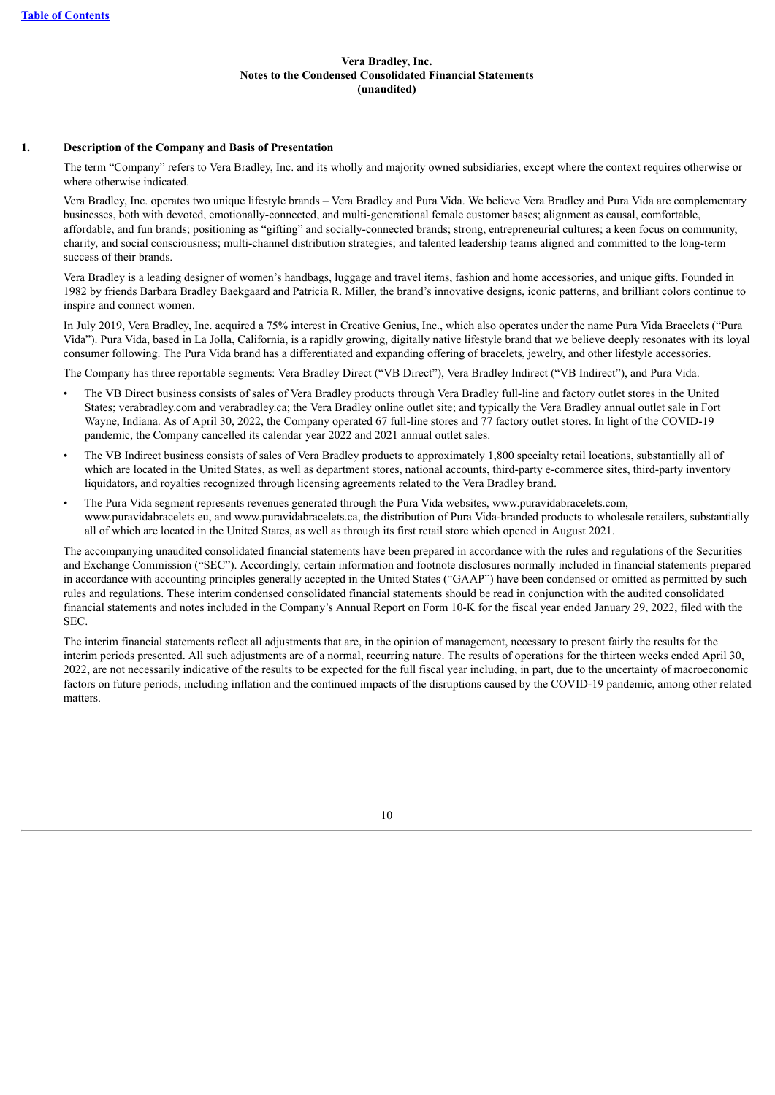#### **1. Description of the Company and Basis of Presentation**

The term "Company" refers to Vera Bradley, Inc. and its wholly and majority owned subsidiaries, except where the context requires otherwise or where otherwise indicated.

Vera Bradley, Inc. operates two unique lifestyle brands – Vera Bradley and Pura Vida. We believe Vera Bradley and Pura Vida are complementary businesses, both with devoted, emotionally-connected, and multi-generational female customer bases; alignment as causal, comfortable, affordable, and fun brands; positioning as "gifting" and socially-connected brands; strong, entrepreneurial cultures; a keen focus on community, charity, and social consciousness; multi-channel distribution strategies; and talented leadership teams aligned and committed to the long-term success of their brands.

Vera Bradley is a leading designer of women's handbags, luggage and travel items, fashion and home accessories, and unique gifts. Founded in 1982 by friends Barbara Bradley Baekgaard and Patricia R. Miller, the brand's innovative designs, iconic patterns, and brilliant colors continue to inspire and connect women.

In July 2019, Vera Bradley, Inc. acquired a 75% interest in Creative Genius, Inc., which also operates under the name Pura Vida Bracelets ("Pura Vida"). Pura Vida, based in La Jolla, California, is a rapidly growing, digitally native lifestyle brand that we believe deeply resonates with its loyal consumer following. The Pura Vida brand has a differentiated and expanding offering of bracelets, jewelry, and other lifestyle accessories.

The Company has three reportable segments: Vera Bradley Direct ("VB Direct"), Vera Bradley Indirect ("VB Indirect"), and Pura Vida.

- The VB Direct business consists of sales of Vera Bradley products through Vera Bradley full-line and factory outlet stores in the United States; verabradley.com and verabradley.ca; the Vera Bradley online outlet site; and typically the Vera Bradley annual outlet sale in Fort Wayne, Indiana. As of April 30, 2022, the Company operated 67 full-line stores and 77 factory outlet stores. In light of the COVID-19 pandemic, the Company cancelled its calendar year 2022 and 2021 annual outlet sales.
- The VB Indirect business consists of sales of Vera Bradley products to approximately 1,800 specialty retail locations, substantially all of which are located in the United States, as well as department stores, national accounts, third-party e-commerce sites, third-party inventory liquidators, and royalties recognized through licensing agreements related to the Vera Bradley brand.
- The Pura Vida segment represents revenues generated through the Pura Vida websites, www.puravidabracelets.com, www.puravidabracelets.eu, and www.puravidabracelets.ca, the distribution of Pura Vida-branded products to wholesale retailers, substantially all of which are located in the United States, as well as through its first retail store which opened in August 2021.

The accompanying unaudited consolidated financial statements have been prepared in accordance with the rules and regulations of the Securities and Exchange Commission ("SEC"). Accordingly, certain information and footnote disclosures normally included in financial statements prepared in accordance with accounting principles generally accepted in the United States ("GAAP") have been condensed or omitted as permitted by such rules and regulations. These interim condensed consolidated financial statements should be read in conjunction with the audited consolidated financial statements and notes included in the Company's Annual Report on Form 10-K for the fiscal year ended January 29, 2022, filed with the SEC.

The interim financial statements reflect all adjustments that are, in the opinion of management, necessary to present fairly the results for the interim periods presented. All such adjustments are of a normal, recurring nature. The results of operations for the thirteen weeks ended April 30, 2022, are not necessarily indicative of the results to be expected for the full fiscal year including, in part, due to the uncertainty of macroeconomic factors on future periods, including inflation and the continued impacts of the disruptions caused by the COVID-19 pandemic, among other related matters.

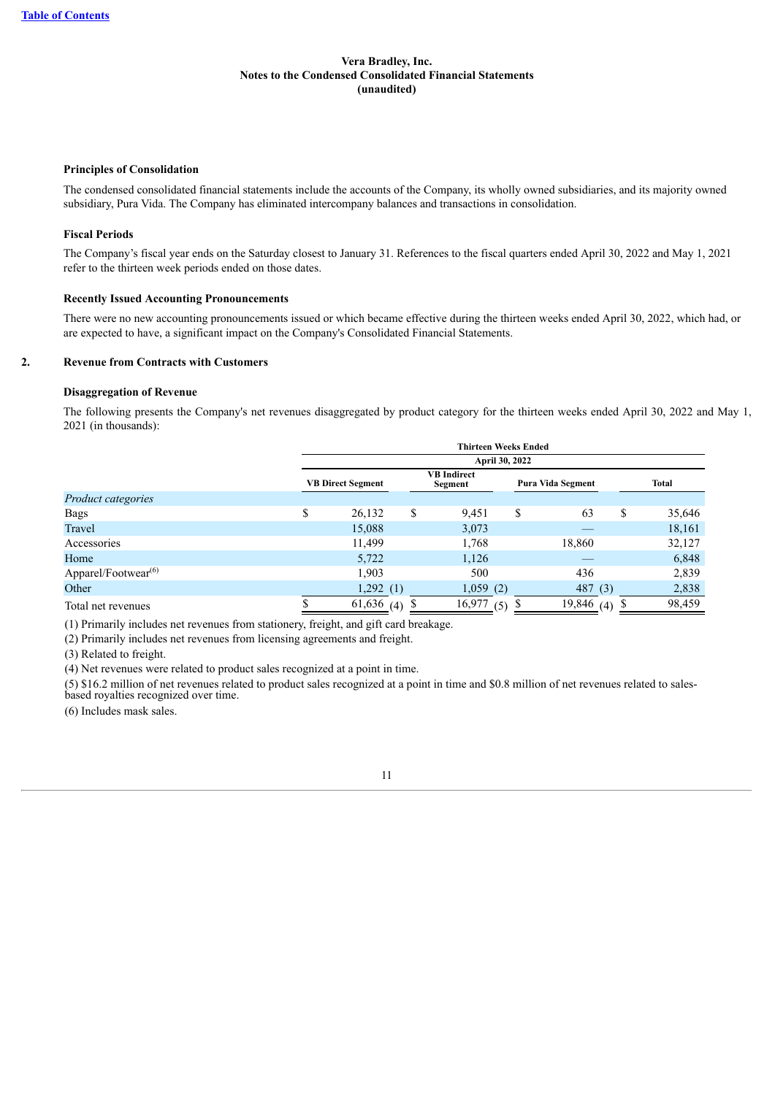#### **Principles of Consolidation**

The condensed consolidated financial statements include the accounts of the Company, its wholly owned subsidiaries, and its majority owned subsidiary, Pura Vida. The Company has eliminated intercompany balances and transactions in consolidation.

#### **Fiscal Periods**

The Company's fiscal year ends on the Saturday closest to January 31. References to the fiscal quarters ended April 30, 2022 and May 1, 2021 refer to the thirteen week periods ended on those dates.

#### **Recently Issued Accounting Pronouncements**

There were no new accounting pronouncements issued or which became effective during the thirteen weeks ended April 30, 2022, which had, or are expected to have, a significant impact on the Company's Consolidated Financial Statements.

#### **2. Revenue from Contracts with Customers**

#### **Disaggregation of Revenue**

The following presents the Company's net revenues disaggregated by product category for the thirteen weeks ended April 30, 2022 and May 1, 2021 (in thousands):

|                                 | <b>Thirteen Weeks Ended</b> |               |                               |                    |                          |               |    |              |  |
|---------------------------------|-----------------------------|---------------|-------------------------------|--------------------|--------------------------|---------------|----|--------------|--|
|                                 | April 30, 2022              |               |                               |                    |                          |               |    |              |  |
|                                 | <b>VB Direct Segment</b>    |               | <b>VB</b> Indirect<br>Segment |                    | <b>Pura Vida Segment</b> |               |    | <b>Total</b> |  |
| <i>Product categories</i>       |                             |               |                               |                    |                          |               |    |              |  |
| <b>Bags</b>                     | \$                          | 26,132        | \$                            | 9,451              | \$                       | 63            | \$ | 35,646       |  |
| Travel                          |                             | 15,088        |                               | 3,073              |                          |               |    | 18,161       |  |
| Accessories                     |                             | 11,499        |                               | 1,768              |                          | 18,860        |    | 32,127       |  |
| Home                            |                             | 5,722         |                               | 1,126              |                          |               |    | 6,848        |  |
| Apparel/Footwear <sup>(6)</sup> |                             | 1.903         |                               | 500                |                          | 436           |    | 2,839        |  |
| Other                           |                             | 1,292(1)      |                               | 1,059(2)           |                          | 487(3)        |    | 2,838        |  |
| Total net revenues              |                             | 61,636 (4) \$ |                               | 16,977<br>$(5)$ \$ |                          | 19,846<br>(4) |    | 98,459       |  |

(1) Primarily includes net revenues from stationery, freight, and gift card breakage.

(2) Primarily includes net revenues from licensing agreements and freight.

(3) Related to freight.

(4) Net revenues were related to product sales recognized at a point in time.

(5) \$16.2 million of net revenues related to product sales recognized at a point in time and \$0.8 million of net revenues related to salesbased royalties recognized over time.

(6) Includes mask sales.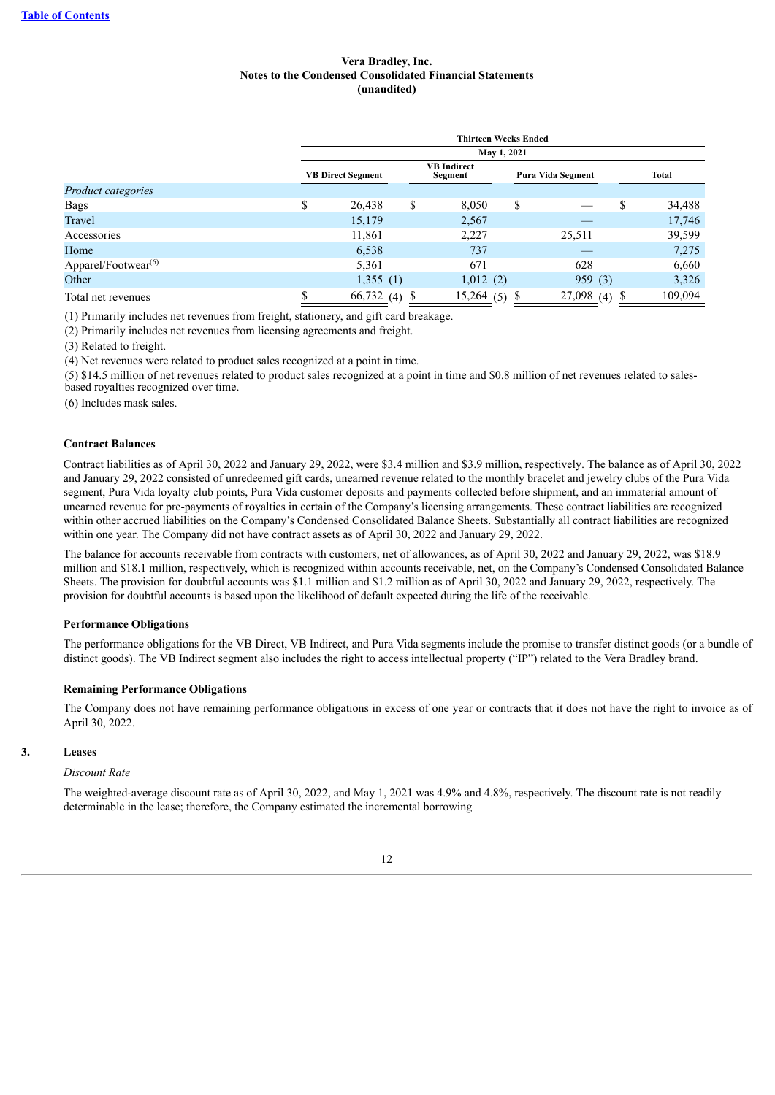|                                 | <b>Thirteen Weeks Ended</b> |               |                               |    |                          |         |  |  |  |
|---------------------------------|-----------------------------|---------------|-------------------------------|----|--------------------------|---------|--|--|--|
|                                 | May 1, 2021                 |               |                               |    |                          |         |  |  |  |
|                                 | <b>VB Direct Segment</b>    |               | <b>VB Indirect</b><br>Segment |    | <b>Pura Vida Segment</b> | Total   |  |  |  |
| <i>Product categories</i>       |                             |               |                               |    |                          |         |  |  |  |
| <b>Bags</b>                     | \$<br>26,438                | \$            | 8,050                         | \$ | \$                       | 34,488  |  |  |  |
| Travel                          | 15,179                      |               | 2,567                         |    |                          | 17,746  |  |  |  |
| Accessories                     | 11,861                      |               | 2,227                         |    | 25,511                   | 39,599  |  |  |  |
| Home                            | 6,538                       |               | 737                           |    |                          | 7,275   |  |  |  |
| Apparel/Footwear <sup>(6)</sup> | 5,361                       |               | 671                           |    | 628                      | 6,660   |  |  |  |
| Other                           | 1,355(1)                    |               | 1,012(2)                      |    | 959(3)                   | 3,326   |  |  |  |
| Total net revenues              | \$                          | 66,732 (4) \$ | 15,264<br>(5)                 |    | 27,098<br>(4)<br>S       | 109,094 |  |  |  |

(1) Primarily includes net revenues from freight, stationery, and gift card breakage.

(2) Primarily includes net revenues from licensing agreements and freight.

(3) Related to freight.

(4) Net revenues were related to product sales recognized at a point in time.

(5) \$14.5 million of net revenues related to product sales recognized at a point in time and \$0.8 million of net revenues related to salesbased royalties recognized over time.

(6) Includes mask sales.

#### **Contract Balances**

Contract liabilities as of April 30, 2022 and January 29, 2022, were \$3.4 million and \$3.9 million, respectively. The balance as of April 30, 2022 and January 29, 2022 consisted of unredeemed gift cards, unearned revenue related to the monthly bracelet and jewelry clubs of the Pura Vida segment, Pura Vida loyalty club points, Pura Vida customer deposits and payments collected before shipment, and an immaterial amount of unearned revenue for pre-payments of royalties in certain of the Company's licensing arrangements. These contract liabilities are recognized within other accrued liabilities on the Company's Condensed Consolidated Balance Sheets. Substantially all contract liabilities are recognized within one year. The Company did not have contract assets as of April 30, 2022 and January 29, 2022.

The balance for accounts receivable from contracts with customers, net of allowances, as of April 30, 2022 and January 29, 2022, was \$18.9 million and \$18.1 million, respectively, which is recognized within accounts receivable, net, on the Company's Condensed Consolidated Balance Sheets. The provision for doubtful accounts was \$1.1 million and \$1.2 million as of April 30, 2022 and January 29, 2022, respectively. The provision for doubtful accounts is based upon the likelihood of default expected during the life of the receivable.

#### **Performance Obligations**

The performance obligations for the VB Direct, VB Indirect, and Pura Vida segments include the promise to transfer distinct goods (or a bundle of distinct goods). The VB Indirect segment also includes the right to access intellectual property ("IP") related to the Vera Bradley brand.

#### **Remaining Performance Obligations**

The Company does not have remaining performance obligations in excess of one year or contracts that it does not have the right to invoice as of April 30, 2022.

#### **3. Leases**

#### *Discount Rate*

The weighted-average discount rate as of April 30, 2022, and May 1, 2021 was 4.9% and 4.8%, respectively. The discount rate is not readily determinable in the lease; therefore, the Company estimated the incremental borrowing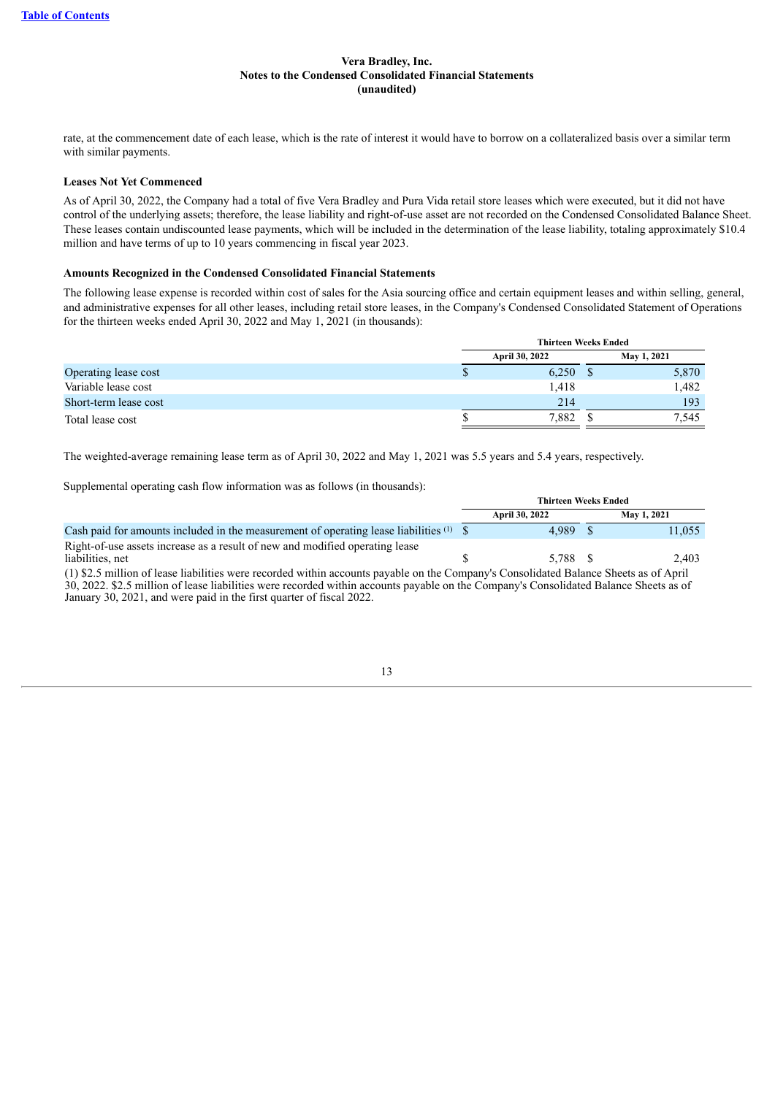rate, at the commencement date of each lease, which is the rate of interest it would have to borrow on a collateralized basis over a similar term with similar payments.

#### **Leases Not Yet Commenced**

As of April 30, 2022, the Company had a total of five Vera Bradley and Pura Vida retail store leases which were executed, but it did not have control of the underlying assets; therefore, the lease liability and right-of-use asset are not recorded on the Condensed Consolidated Balance Sheet. These leases contain undiscounted lease payments, which will be included in the determination of the lease liability, totaling approximately \$10.4 million and have terms of up to 10 years commencing in fiscal year 2023.

#### **Amounts Recognized in the Condensed Consolidated Financial Statements**

The following lease expense is recorded within cost of sales for the Asia sourcing office and certain equipment leases and within selling, general, and administrative expenses for all other leases, including retail store leases, in the Company's Condensed Consolidated Statement of Operations for the thirteen weeks ended April 30, 2022 and May 1, 2021 (in thousands):

|                       | <b>Thirteen Weeks Ended</b> |                |             |       |  |  |
|-----------------------|-----------------------------|----------------|-------------|-------|--|--|
|                       |                             | April 30, 2022 | May 1, 2021 |       |  |  |
| Operating lease cost  |                             | 6,250          |             | 5,870 |  |  |
| Variable lease cost   |                             | 1,418          |             | 1,482 |  |  |
| Short-term lease cost |                             | 214            |             | 193   |  |  |
| Total lease cost      |                             | 7,882          | c           | 7.545 |  |  |

The weighted-average remaining lease term as of April 30, 2022 and May 1, 2021 was 5.5 years and 5.4 years, respectively.

Supplemental operating cash flow information was as follows (in thousands):

|                                                                                                                                         | <b>Thirteen Weeks Ended</b> |                |  |             |  |
|-----------------------------------------------------------------------------------------------------------------------------------------|-----------------------------|----------------|--|-------------|--|
|                                                                                                                                         |                             | April 30, 2022 |  | May 1, 2021 |  |
| Cash paid for amounts included in the measurement of operating lease liabilities $(1)$ \$                                               |                             | 4.989          |  | 1.055       |  |
| Right-of-use assets increase as a result of new and modified operating lease                                                            |                             |                |  |             |  |
| liabilities, net                                                                                                                        |                             | 5.788 \$       |  | 2.403       |  |
| $(1)$ \$2.5 million of lease liabilities were recorded within accounts payable on the Company's Consolidated Balance Sheets as of April |                             |                |  |             |  |

(1) \$2.5 million of lease liabilities were recorded within accounts payable on the Company's Consolidated Balance Sheets as of April 30, 2022. \$2.5 million of lease liabilities were recorded within accounts payable on the Company's Consolidated Balance Sheets as of January 30, 2021, and were paid in the first quarter of fiscal 2022.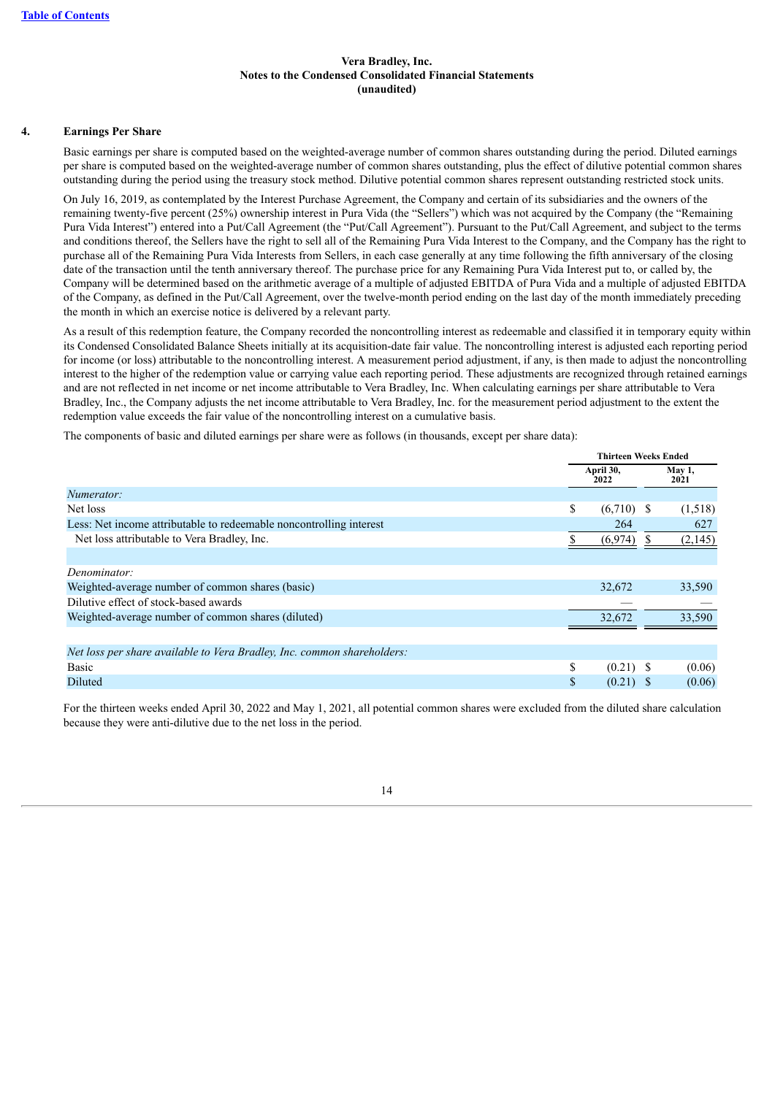#### **4. Earnings Per Share**

Basic earnings per share is computed based on the weighted-average number of common shares outstanding during the period. Diluted earnings per share is computed based on the weighted-average number of common shares outstanding, plus the effect of dilutive potential common shares outstanding during the period using the treasury stock method. Dilutive potential common shares represent outstanding restricted stock units.

On July 16, 2019, as contemplated by the Interest Purchase Agreement, the Company and certain of its subsidiaries and the owners of the remaining twenty-five percent (25%) ownership interest in Pura Vida (the "Sellers") which was not acquired by the Company (the "Remaining Pura Vida Interest") entered into a Put/Call Agreement (the "Put/Call Agreement"). Pursuant to the Put/Call Agreement, and subject to the terms and conditions thereof, the Sellers have the right to sell all of the Remaining Pura Vida Interest to the Company, and the Company has the right to purchase all of the Remaining Pura Vida Interests from Sellers, in each case generally at any time following the fifth anniversary of the closing date of the transaction until the tenth anniversary thereof. The purchase price for any Remaining Pura Vida Interest put to, or called by, the Company will be determined based on the arithmetic average of a multiple of adjusted EBITDA of Pura Vida and a multiple of adjusted EBITDA of the Company, as defined in the Put/Call Agreement, over the twelve-month period ending on the last day of the month immediately preceding the month in which an exercise notice is delivered by a relevant party.

As a result of this redemption feature, the Company recorded the noncontrolling interest as redeemable and classified it in temporary equity within its Condensed Consolidated Balance Sheets initially at its acquisition-date fair value. The noncontrolling interest is adjusted each reporting period for income (or loss) attributable to the noncontrolling interest. A measurement period adjustment, if any, is then made to adjust the noncontrolling interest to the higher of the redemption value or carrying value each reporting period. These adjustments are recognized through retained earnings and are not reflected in net income or net income attributable to Vera Bradley, Inc. When calculating earnings per share attributable to Vera Bradley, Inc., the Company adjusts the net income attributable to Vera Bradley, Inc. for the measurement period adjustment to the extent the redemption value exceeds the fair value of the noncontrolling interest on a cumulative basis.

The components of basic and diluted earnings per share were as follows (in thousands, except per share data):

|                                                                         | <b>Thirteen Weeks Ended</b> |  |                |
|-------------------------------------------------------------------------|-----------------------------|--|----------------|
|                                                                         | April 30,<br>2022           |  | May 1,<br>2021 |
| Numerator:                                                              |                             |  |                |
| Net loss                                                                | \$<br>$(6,710)$ \$          |  | (1,518)        |
| Less: Net income attributable to redeemable noncontrolling interest     | 264                         |  | 627            |
| Net loss attributable to Vera Bradley, Inc.                             | (6,974)                     |  | (2,145)        |
|                                                                         |                             |  |                |
| Denominator:                                                            |                             |  |                |
| Weighted-average number of common shares (basic)                        | 32,672                      |  | 33,590         |
| Dilutive effect of stock-based awards                                   |                             |  |                |
| Weighted-average number of common shares (diluted)                      | 32.672                      |  | 33,590         |
|                                                                         |                             |  |                |
| Net loss per share available to Vera Bradley, Inc. common shareholders: |                             |  |                |
| <b>Basic</b>                                                            | \$<br>$(0.21)$ \$           |  | (0.06)         |
| Diluted                                                                 | \$<br>$(0.21)$ \$           |  | (0.06)         |

For the thirteen weeks ended April 30, 2022 and May 1, 2021, all potential common shares were excluded from the diluted share calculation because they were anti-dilutive due to the net loss in the period.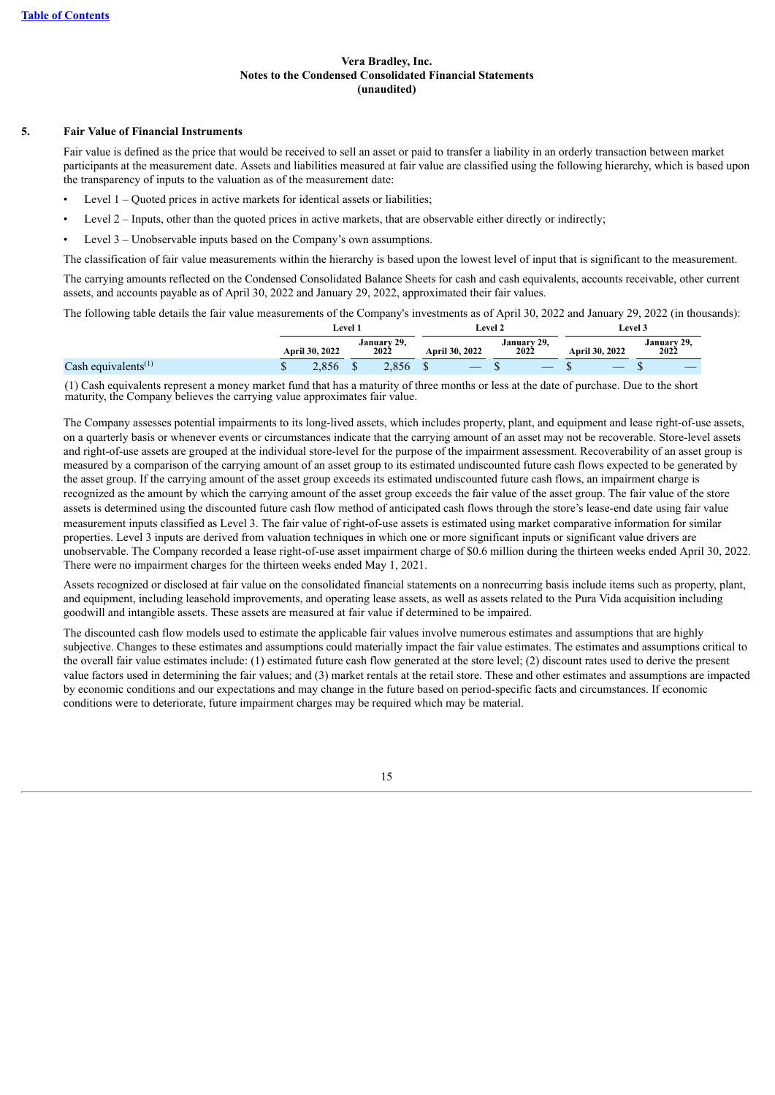#### **5. Fair Value of Financial Instruments**

Fair value is defined as the price that would be received to sell an asset or paid to transfer a liability in an orderly transaction between market participants at the measurement date. Assets and liabilities measured at fair value are classified using the following hierarchy, which is based upon the transparency of inputs to the valuation as of the measurement date:

- Level  $1 -$ Ouoted prices in active markets for identical assets or liabilities;
- Level 2 Inputs, other than the quoted prices in active markets, that are observable either directly or indirectly;
- Level 3 Unobservable inputs based on the Company's own assumptions.

The classification of fair value measurements within the hierarchy is based upon the lowest level of input that is significant to the measurement.

The carrying amounts reflected on the Condensed Consolidated Balance Sheets for cash and cash equivalents, accounts receivable, other current assets, and accounts payable as of April 30, 2022 and January 29, 2022, approximated their fair values.

The following table details the fair value measurements of the Company's investments as of April 30, 2022 and January 29, 2022 (in thousands):

|                                              | <b>Level</b>          | <b>Level</b> 2      |  |                       | <b>Level 3</b>      |  |                       |             |             |
|----------------------------------------------|-----------------------|---------------------|--|-----------------------|---------------------|--|-----------------------|-------------|-------------|
|                                              | <b>April 30, 2022</b> | January 29,<br>2022 |  | <b>April 30, 2022</b> | January 29,<br>2022 |  | <b>April 30, 2022</b> | <b>2022</b> | January 29, |
| Cash equivalents <sup><math>(1)</math></sup> | 2.856                 | 2.856               |  | _                     |                     |  |                       |             |             |

(1) Cash equivalents represent a money market fund that has a maturity of three months or less at the date of purchase. Due to the short maturity, the Company believes the carrying value approximates fair value.

The Company assesses potential impairments to its long-lived assets, which includes property, plant, and equipment and lease right-of-use assets, on a quarterly basis or whenever events or circumstances indicate that the carrying amount of an asset may not be recoverable. Store-level assets and right-of-use assets are grouped at the individual store-level for the purpose of the impairment assessment. Recoverability of an asset group is measured by a comparison of the carrying amount of an asset group to its estimated undiscounted future cash flows expected to be generated by the asset group. If the carrying amount of the asset group exceeds its estimated undiscounted future cash flows, an impairment charge is recognized as the amount by which the carrying amount of the asset group exceeds the fair value of the asset group. The fair value of the store assets is determined using the discounted future cash flow method of anticipated cash flows through the store's lease-end date using fair value measurement inputs classified as Level 3. The fair value of right-of-use assets is estimated using market comparative information for similar properties. Level 3 inputs are derived from valuation techniques in which one or more significant inputs or significant value drivers are unobservable. The Company recorded a lease right-of-use asset impairment charge of \$0.6 million during the thirteen weeks ended April 30, 2022. There were no impairment charges for the thirteen weeks ended May 1, 2021.

Assets recognized or disclosed at fair value on the consolidated financial statements on a nonrecurring basis include items such as property, plant, and equipment, including leasehold improvements, and operating lease assets, as well as assets related to the Pura Vida acquisition including goodwill and intangible assets. These assets are measured at fair value if determined to be impaired.

The discounted cash flow models used to estimate the applicable fair values involve numerous estimates and assumptions that are highly subjective. Changes to these estimates and assumptions could materially impact the fair value estimates. The estimates and assumptions critical to the overall fair value estimates include: (1) estimated future cash flow generated at the store level; (2) discount rates used to derive the present value factors used in determining the fair values; and (3) market rentals at the retail store. These and other estimates and assumptions are impacted by economic conditions and our expectations and may change in the future based on period-specific facts and circumstances. If economic conditions were to deteriorate, future impairment charges may be required which may be material.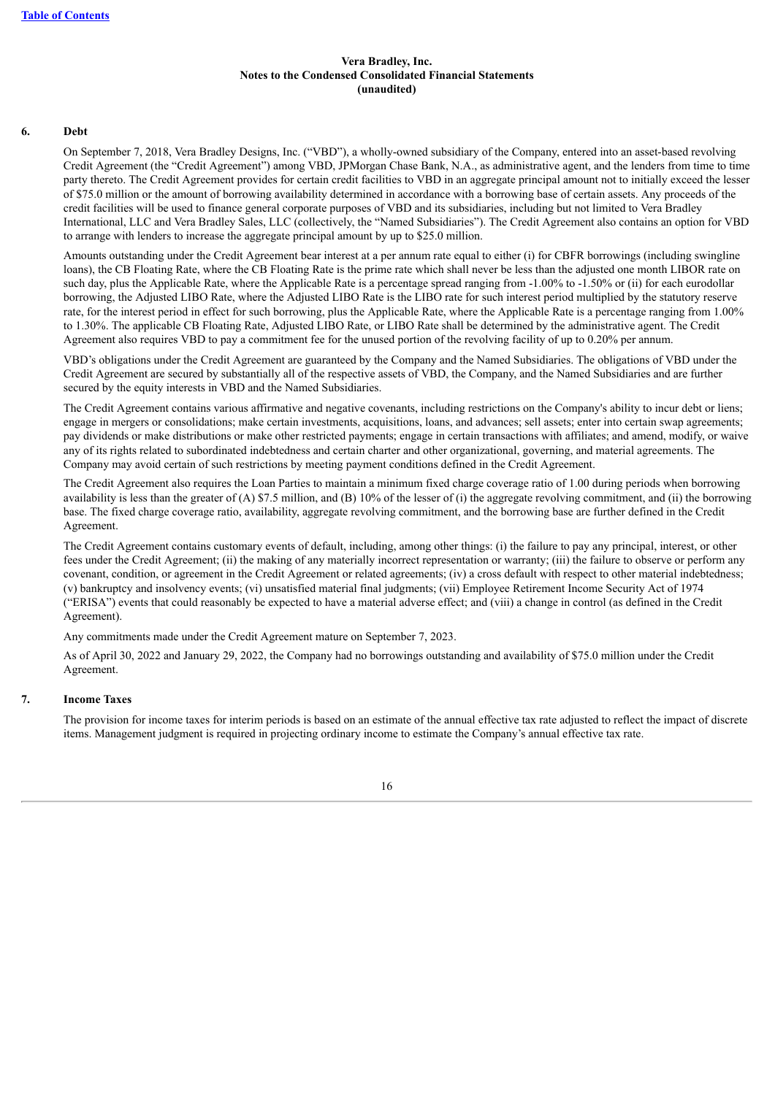#### **6. Debt**

On September 7, 2018, Vera Bradley Designs, Inc. ("VBD"), a wholly-owned subsidiary of the Company, entered into an asset-based revolving Credit Agreement (the "Credit Agreement") among VBD, JPMorgan Chase Bank, N.A., as administrative agent, and the lenders from time to time party thereto. The Credit Agreement provides for certain credit facilities to VBD in an aggregate principal amount not to initially exceed the lesser of \$75.0 million or the amount of borrowing availability determined in accordance with a borrowing base of certain assets. Any proceeds of the credit facilities will be used to finance general corporate purposes of VBD and its subsidiaries, including but not limited to Vera Bradley International, LLC and Vera Bradley Sales, LLC (collectively, the "Named Subsidiaries"). The Credit Agreement also contains an option for VBD to arrange with lenders to increase the aggregate principal amount by up to \$25.0 million.

Amounts outstanding under the Credit Agreement bear interest at a per annum rate equal to either (i) for CBFR borrowings (including swingline loans), the CB Floating Rate, where the CB Floating Rate is the prime rate which shall never be less than the adjusted one month LIBOR rate on such day, plus the Applicable Rate, where the Applicable Rate is a percentage spread ranging from -1.00% to -1.50% or (ii) for each eurodollar borrowing, the Adjusted LIBO Rate, where the Adjusted LIBO Rate is the LIBO rate for such interest period multiplied by the statutory reserve rate, for the interest period in effect for such borrowing, plus the Applicable Rate, where the Applicable Rate is a percentage ranging from 1.00% to 1.30%. The applicable CB Floating Rate, Adjusted LIBO Rate, or LIBO Rate shall be determined by the administrative agent. The Credit Agreement also requires VBD to pay a commitment fee for the unused portion of the revolving facility of up to 0.20% per annum.

VBD's obligations under the Credit Agreement are guaranteed by the Company and the Named Subsidiaries. The obligations of VBD under the Credit Agreement are secured by substantially all of the respective assets of VBD, the Company, and the Named Subsidiaries and are further secured by the equity interests in VBD and the Named Subsidiaries.

The Credit Agreement contains various affirmative and negative covenants, including restrictions on the Company's ability to incur debt or liens; engage in mergers or consolidations; make certain investments, acquisitions, loans, and advances; sell assets; enter into certain swap agreements; pay dividends or make distributions or make other restricted payments; engage in certain transactions with affiliates; and amend, modify, or waive any of its rights related to subordinated indebtedness and certain charter and other organizational, governing, and material agreements. The Company may avoid certain of such restrictions by meeting payment conditions defined in the Credit Agreement.

The Credit Agreement also requires the Loan Parties to maintain a minimum fixed charge coverage ratio of 1.00 during periods when borrowing availability is less than the greater of (A) \$7.5 million, and (B) 10% of the lesser of (i) the aggregate revolving commitment, and (ii) the borrowing base. The fixed charge coverage ratio, availability, aggregate revolving commitment, and the borrowing base are further defined in the Credit Agreement.

The Credit Agreement contains customary events of default, including, among other things: (i) the failure to pay any principal, interest, or other fees under the Credit Agreement; (ii) the making of any materially incorrect representation or warranty; (iii) the failure to observe or perform any covenant, condition, or agreement in the Credit Agreement or related agreements; (iv) a cross default with respect to other material indebtedness; (v) bankruptcy and insolvency events; (vi) unsatisfied material final judgments; (vii) Employee Retirement Income Security Act of 1974 ("ERISA") events that could reasonably be expected to have a material adverse effect; and (viii) a change in control (as defined in the Credit Agreement).

Any commitments made under the Credit Agreement mature on September 7, 2023.

As of April 30, 2022 and January 29, 2022, the Company had no borrowings outstanding and availability of \$75.0 million under the Credit Agreement.

#### **7. Income Taxes**

The provision for income taxes for interim periods is based on an estimate of the annual effective tax rate adjusted to reflect the impact of discrete items. Management judgment is required in projecting ordinary income to estimate the Company's annual effective tax rate.

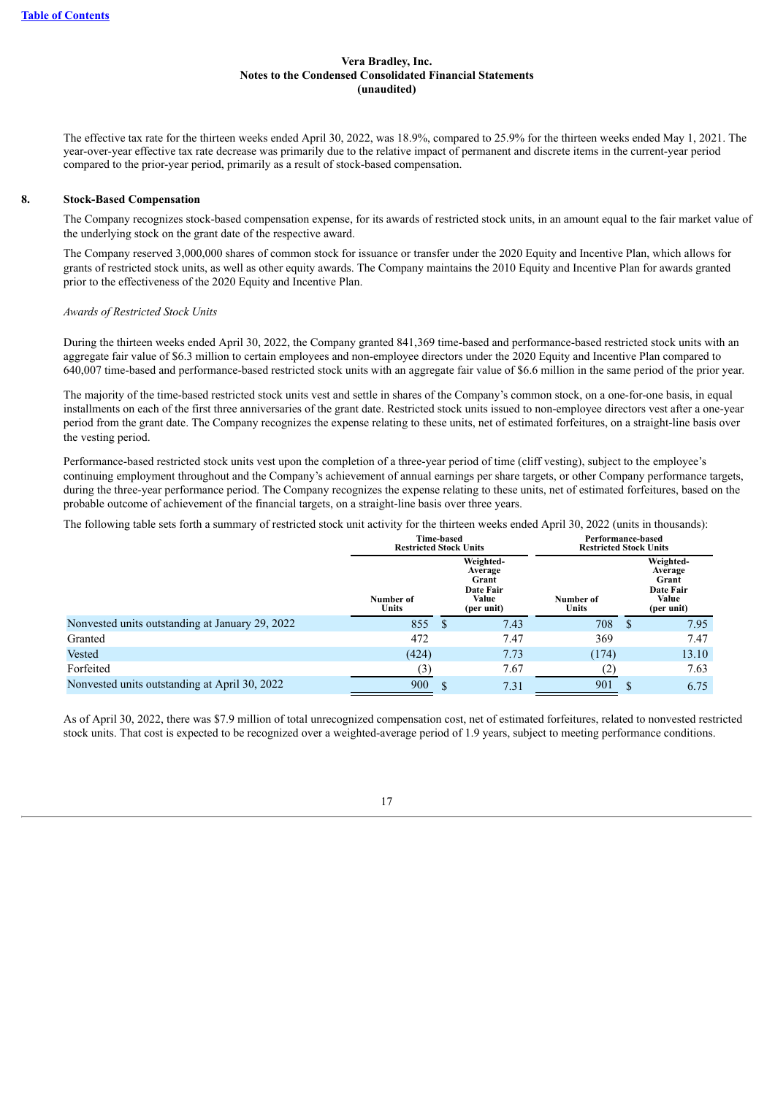The effective tax rate for the thirteen weeks ended April 30, 2022, was 18.9%, compared to 25.9% for the thirteen weeks ended May 1, 2021. The year-over-year effective tax rate decrease was primarily due to the relative impact of permanent and discrete items in the current-year period compared to the prior-year period, primarily as a result of stock-based compensation.

#### **8. Stock-Based Compensation**

The Company recognizes stock-based compensation expense, for its awards of restricted stock units, in an amount equal to the fair market value of the underlying stock on the grant date of the respective award.

The Company reserved 3,000,000 shares of common stock for issuance or transfer under the 2020 Equity and Incentive Plan, which allows for grants of restricted stock units, as well as other equity awards. The Company maintains the 2010 Equity and Incentive Plan for awards granted prior to the effectiveness of the 2020 Equity and Incentive Plan.

#### *Awards of Restricted Stock Units*

During the thirteen weeks ended April 30, 2022, the Company granted 841,369 time-based and performance-based restricted stock units with an aggregate fair value of \$6.3 million to certain employees and non-employee directors under the 2020 Equity and Incentive Plan compared to 640,007 time-based and performance-based restricted stock units with an aggregate fair value of \$6.6 million in the same period of the prior year.

The majority of the time-based restricted stock units vest and settle in shares of the Company's common stock, on a one-for-one basis, in equal installments on each of the first three anniversaries of the grant date. Restricted stock units issued to non-employee directors vest after a one-year period from the grant date. The Company recognizes the expense relating to these units, net of estimated forfeitures, on a straight-line basis over the vesting period.

Performance-based restricted stock units vest upon the completion of a three-year period of time (cliff vesting), subject to the employee's continuing employment throughout and the Company's achievement of annual earnings per share targets, or other Company performance targets, during the three-year performance period. The Company recognizes the expense relating to these units, net of estimated forfeitures, based on the probable outcome of achievement of the financial targets, on a straight-line basis over three years.

The following table sets forth a summary of restricted stock unit activity for the thirteen weeks ended April 30, 2022 (units in thousands):

|                                                 | <b>Time-based</b><br><b>Restricted Stock Units</b> |               |                                                                   | Performance-based<br><b>Restricted Stock Units</b> |   |                                                                   |  |  |
|-------------------------------------------------|----------------------------------------------------|---------------|-------------------------------------------------------------------|----------------------------------------------------|---|-------------------------------------------------------------------|--|--|
|                                                 | Number of<br>Units                                 |               | Weighted-<br>Average<br>Grant<br>Date Fair<br>Value<br>(per unit) | Number of<br>Units                                 |   | Weighted-<br>Average<br>Grant<br>Date Fair<br>Value<br>(per unit) |  |  |
| Nonvested units outstanding at January 29, 2022 | 855                                                | $\mathbf{s}$  | 7.43                                                              | 708                                                | S | 7.95                                                              |  |  |
| Granted                                         | 472                                                |               | 7.47                                                              | 369                                                |   | 7.47                                                              |  |  |
| <b>Vested</b>                                   | (424)                                              |               | 7.73                                                              | (174)                                              |   | 13.10                                                             |  |  |
| Forfeited                                       | (3)                                                |               | 7.67                                                              | (2)                                                |   | 7.63                                                              |  |  |
| Nonvested units outstanding at April 30, 2022   | 900                                                | <sup>\$</sup> | 7.31                                                              | 901                                                |   | 6.75                                                              |  |  |

As of April 30, 2022, there was \$7.9 million of total unrecognized compensation cost, net of estimated forfeitures, related to nonvested restricted stock units. That cost is expected to be recognized over a weighted-average period of 1.9 years, subject to meeting performance conditions.

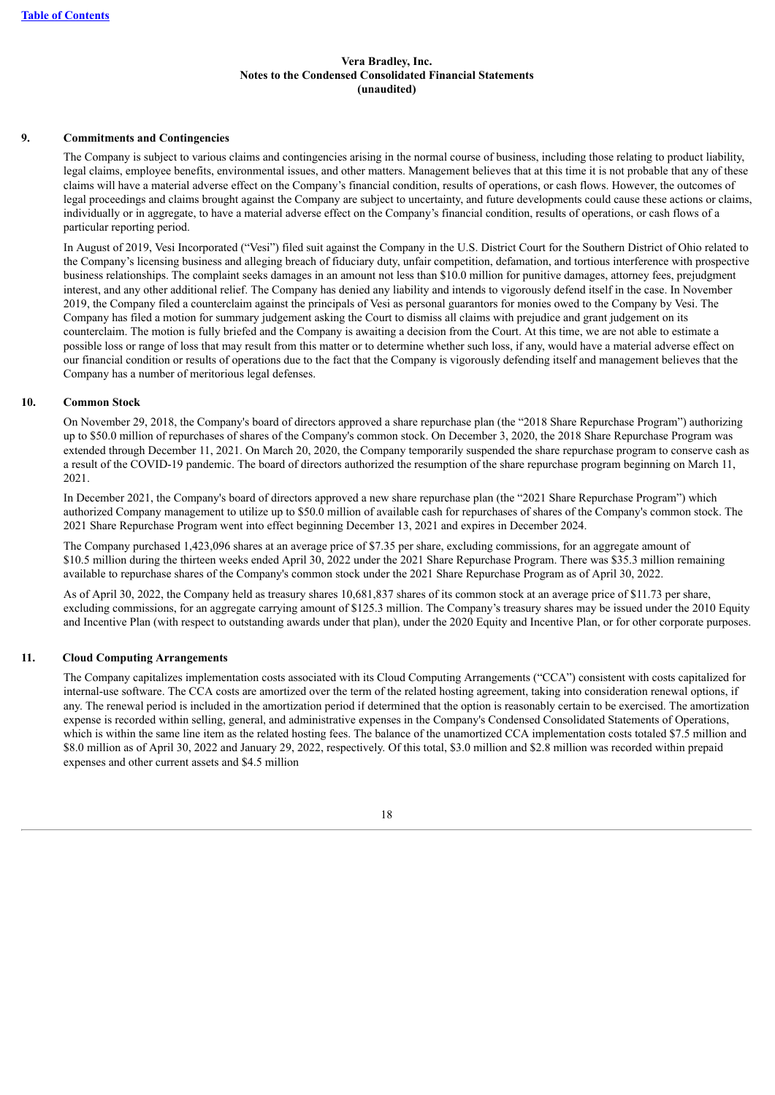#### **9. Commitments and Contingencies**

The Company is subject to various claims and contingencies arising in the normal course of business, including those relating to product liability, legal claims, employee benefits, environmental issues, and other matters. Management believes that at this time it is not probable that any of these claims will have a material adverse effect on the Company's financial condition, results of operations, or cash flows. However, the outcomes of legal proceedings and claims brought against the Company are subject to uncertainty, and future developments could cause these actions or claims, individually or in aggregate, to have a material adverse effect on the Company's financial condition, results of operations, or cash flows of a particular reporting period.

In August of 2019, Vesi Incorporated ("Vesi") filed suit against the Company in the U.S. District Court for the Southern District of Ohio related to the Company's licensing business and alleging breach of fiduciary duty, unfair competition, defamation, and tortious interference with prospective business relationships. The complaint seeks damages in an amount not less than \$10.0 million for punitive damages, attorney fees, prejudgment interest, and any other additional relief. The Company has denied any liability and intends to vigorously defend itself in the case. In November 2019, the Company filed a counterclaim against the principals of Vesi as personal guarantors for monies owed to the Company by Vesi. The Company has filed a motion for summary judgement asking the Court to dismiss all claims with prejudice and grant judgement on its counterclaim. The motion is fully briefed and the Company is awaiting a decision from the Court. At this time, we are not able to estimate a possible loss or range of loss that may result from this matter or to determine whether such loss, if any, would have a material adverse effect on our financial condition or results of operations due to the fact that the Company is vigorously defending itself and management believes that the Company has a number of meritorious legal defenses.

#### **10. Common Stock**

On November 29, 2018, the Company's board of directors approved a share repurchase plan (the "2018 Share Repurchase Program") authorizing up to \$50.0 million of repurchases of shares of the Company's common stock. On December 3, 2020, the 2018 Share Repurchase Program was extended through December 11, 2021. On March 20, 2020, the Company temporarily suspended the share repurchase program to conserve cash as a result of the COVID-19 pandemic. The board of directors authorized the resumption of the share repurchase program beginning on March 11, 2021.

In December 2021, the Company's board of directors approved a new share repurchase plan (the "2021 Share Repurchase Program") which authorized Company management to utilize up to \$50.0 million of available cash for repurchases of shares of the Company's common stock. The 2021 Share Repurchase Program went into effect beginning December 13, 2021 and expires in December 2024.

The Company purchased 1,423,096 shares at an average price of \$7.35 per share, excluding commissions, for an aggregate amount of \$10.5 million during the thirteen weeks ended April 30, 2022 under the 2021 Share Repurchase Program. There was \$35.3 million remaining available to repurchase shares of the Company's common stock under the 2021 Share Repurchase Program as of April 30, 2022.

As of April 30, 2022, the Company held as treasury shares 10,681,837 shares of its common stock at an average price of \$11.73 per share, excluding commissions, for an aggregate carrying amount of \$125.3 million. The Company's treasury shares may be issued under the 2010 Equity and Incentive Plan (with respect to outstanding awards under that plan), under the 2020 Equity and Incentive Plan, or for other corporate purposes.

#### **11. Cloud Computing Arrangements**

The Company capitalizes implementation costs associated with its Cloud Computing Arrangements ("CCA") consistent with costs capitalized for internal-use software. The CCA costs are amortized over the term of the related hosting agreement, taking into consideration renewal options, if any. The renewal period is included in the amortization period if determined that the option is reasonably certain to be exercised. The amortization expense is recorded within selling, general, and administrative expenses in the Company's Condensed Consolidated Statements of Operations, which is within the same line item as the related hosting fees. The balance of the unamortized CCA implementation costs totaled \$7.5 million and \$8.0 million as of April 30, 2022 and January 29, 2022, respectively. Of this total, \$3.0 million and \$2.8 million was recorded within prepaid expenses and other current assets and \$4.5 million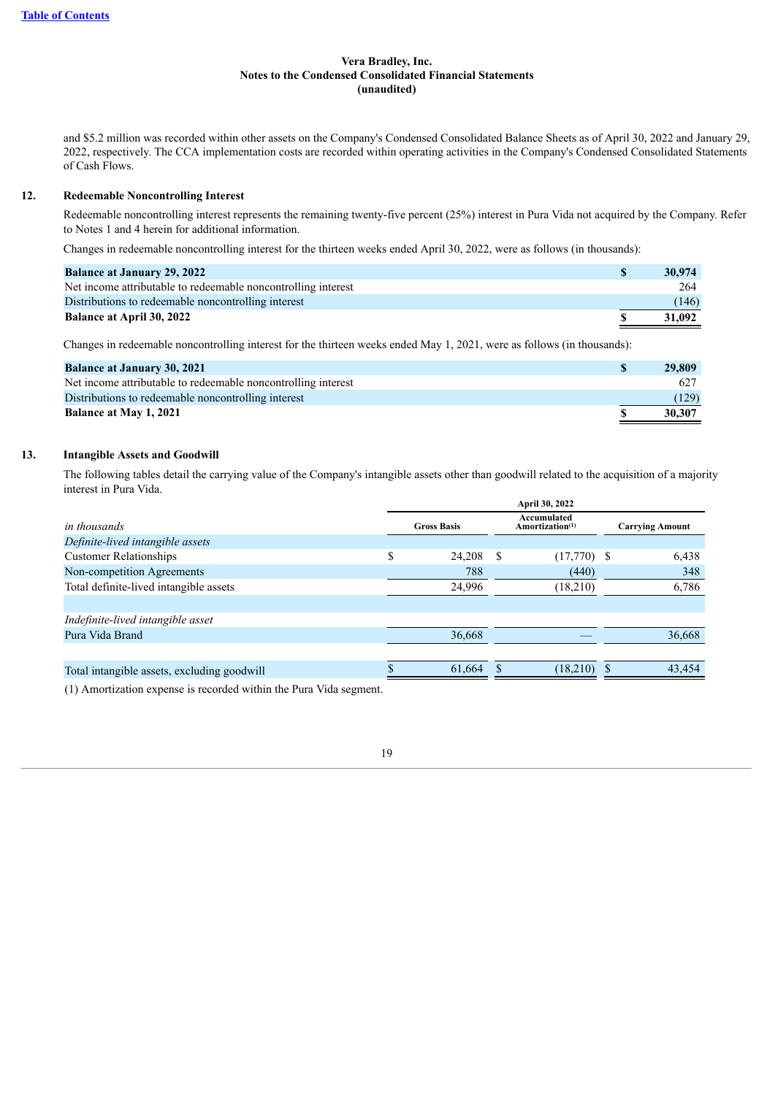and \$5.2 million was recorded within other assets on the Company's Condensed Consolidated Balance Sheets as of April 30, 2022 and January 29, 2022, respectively. The CCA implementation costs are recorded within operating activities in the Company's Condensed Consolidated Statements of Cash Flows.

#### **12. Redeemable Noncontrolling Interest**

Redeemable noncontrolling interest represents the remaining twenty-five percent (25%) interest in Pura Vida not acquired by the Company. Refer to Notes 1 and 4 herein for additional information.

Changes in redeemable noncontrolling interest for the thirteen weeks ended April 30, 2022, were as follows (in thousands):

| <b>Balance at January 29, 2022</b>                            | 30.974 |
|---------------------------------------------------------------|--------|
| Net income attributable to redeemable noncontrolling interest | 264    |
| Distributions to redeemable noncontrolling interest           | (146)  |
| <b>Balance at April 30, 2022</b>                              | 31.092 |

Changes in redeemable noncontrolling interest for the thirteen weeks ended May 1, 2021, were as follows (in thousands):

| <b>Balance at January 30, 2021</b>                            | 29,809 |
|---------------------------------------------------------------|--------|
| Net income attributable to redeemable noncontrolling interest | 627    |
| Distributions to redeemable noncontrolling interest           | (129)  |
| <b>Balance at May 1, 2021</b>                                 | 30,307 |

### **13. Intangible Assets and Goodwill**

The following tables detail the carrying value of the Company's intangible assets other than goodwill related to the acquisition of a majority interest in Pura Vida.

|                                             |    | April 30, 2022     |     |                                            |                        |        |  |  |  |
|---------------------------------------------|----|--------------------|-----|--------------------------------------------|------------------------|--------|--|--|--|
| <i>in thousands</i>                         |    | <b>Gross Basis</b> |     | Accumulated<br>Amortization <sup>(1)</sup> | <b>Carrying Amount</b> |        |  |  |  |
| Definite-lived intangible assets            |    |                    |     |                                            |                        |        |  |  |  |
| <b>Customer Relationships</b>               | \$ | 24,208             | - S | $(17,770)$ \$                              |                        | 6,438  |  |  |  |
| Non-competition Agreements                  |    | 788                |     | (440)                                      |                        | 348    |  |  |  |
| Total definite-lived intangible assets      |    | 24,996             |     | (18,210)                                   |                        | 6,786  |  |  |  |
|                                             |    |                    |     |                                            |                        |        |  |  |  |
| Indefinite-lived intangible asset           |    |                    |     |                                            |                        |        |  |  |  |
| Pura Vida Brand                             |    | 36,668             |     |                                            |                        | 36,668 |  |  |  |
|                                             |    |                    |     |                                            |                        |        |  |  |  |
| Total intangible assets, excluding goodwill |    | 61,664             |     | (18,210)                                   |                        | 43,454 |  |  |  |
|                                             |    |                    |     |                                            |                        |        |  |  |  |

(1) Amortization expense is recorded within the Pura Vida segment.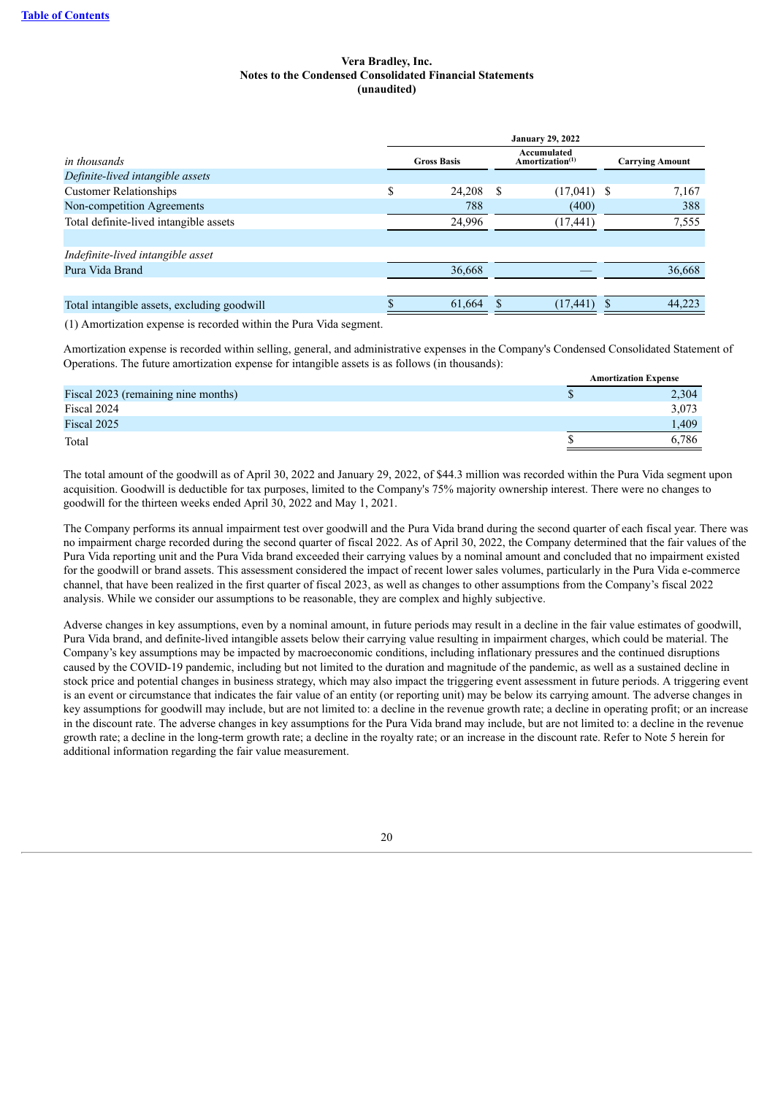|                                             | <b>January 29, 2022</b> |                    |                                            |               |  |                        |  |  |
|---------------------------------------------|-------------------------|--------------------|--------------------------------------------|---------------|--|------------------------|--|--|
| <i>in thousands</i>                         |                         | <b>Gross Basis</b> | Accumulated<br>Amortization <sup>(1)</sup> |               |  | <b>Carrying Amount</b> |  |  |
| Definite-lived intangible assets            |                         |                    |                                            |               |  |                        |  |  |
| <b>Customer Relationships</b>               | \$                      | 24,208             | - \$                                       | $(17,041)$ \$ |  | 7,167                  |  |  |
| Non-competition Agreements                  |                         | 788                |                                            | (400)         |  | 388                    |  |  |
| Total definite-lived intangible assets      |                         | 24,996             |                                            | (17, 441)     |  | 7,555                  |  |  |
|                                             |                         |                    |                                            |               |  |                        |  |  |
| Indefinite-lived intangible asset           |                         |                    |                                            |               |  |                        |  |  |
| Pura Vida Brand                             |                         | 36,668             |                                            |               |  | 36,668                 |  |  |
|                                             |                         |                    |                                            |               |  |                        |  |  |
| Total intangible assets, excluding goodwill |                         | 61,664             |                                            | (17, 441)     |  | 44,223                 |  |  |

(1) Amortization expense is recorded within the Pura Vida segment.

Amortization expense is recorded within selling, general, and administrative expenses in the Company's Condensed Consolidated Statement of Operations. The future amortization expense for intangible assets is as follows (in thousands):

|                                     | <b>Amortization Expense</b> |       |
|-------------------------------------|-----------------------------|-------|
| Fiscal 2023 (remaining nine months) |                             | 2,304 |
| Fiscal 2024                         |                             | 3,073 |
| Fiscal 2025                         |                             | 1,409 |
| Total                               |                             | 6.786 |

The total amount of the goodwill as of April 30, 2022 and January 29, 2022, of \$44.3 million was recorded within the Pura Vida segment upon acquisition. Goodwill is deductible for tax purposes, limited to the Company's 75% majority ownership interest. There were no changes to goodwill for the thirteen weeks ended April 30, 2022 and May 1, 2021.

The Company performs its annual impairment test over goodwill and the Pura Vida brand during the second quarter of each fiscal year. There was no impairment charge recorded during the second quarter of fiscal 2022. As of April 30, 2022, the Company determined that the fair values of the Pura Vida reporting unit and the Pura Vida brand exceeded their carrying values by a nominal amount and concluded that no impairment existed for the goodwill or brand assets. This assessment considered the impact of recent lower sales volumes, particularly in the Pura Vida e-commerce channel, that have been realized in the first quarter of fiscal 2023, as well as changes to other assumptions from the Company's fiscal 2022 analysis. While we consider our assumptions to be reasonable, they are complex and highly subjective.

Adverse changes in key assumptions, even by a nominal amount, in future periods may result in a decline in the fair value estimates of goodwill, Pura Vida brand, and definite-lived intangible assets below their carrying value resulting in impairment charges, which could be material. The Company's key assumptions may be impacted by macroeconomic conditions, including inflationary pressures and the continued disruptions caused by the COVID-19 pandemic, including but not limited to the duration and magnitude of the pandemic, as well as a sustained decline in stock price and potential changes in business strategy, which may also impact the triggering event assessment in future periods. A triggering event is an event or circumstance that indicates the fair value of an entity (or reporting unit) may be below its carrying amount. The adverse changes in key assumptions for goodwill may include, but are not limited to: a decline in the revenue growth rate; a decline in operating profit; or an increase in the discount rate. The adverse changes in key assumptions for the Pura Vida brand may include, but are not limited to: a decline in the revenue growth rate; a decline in the long-term growth rate; a decline in the royalty rate; or an increase in the discount rate. Refer to Note 5 herein for additional information regarding the fair value measurement.

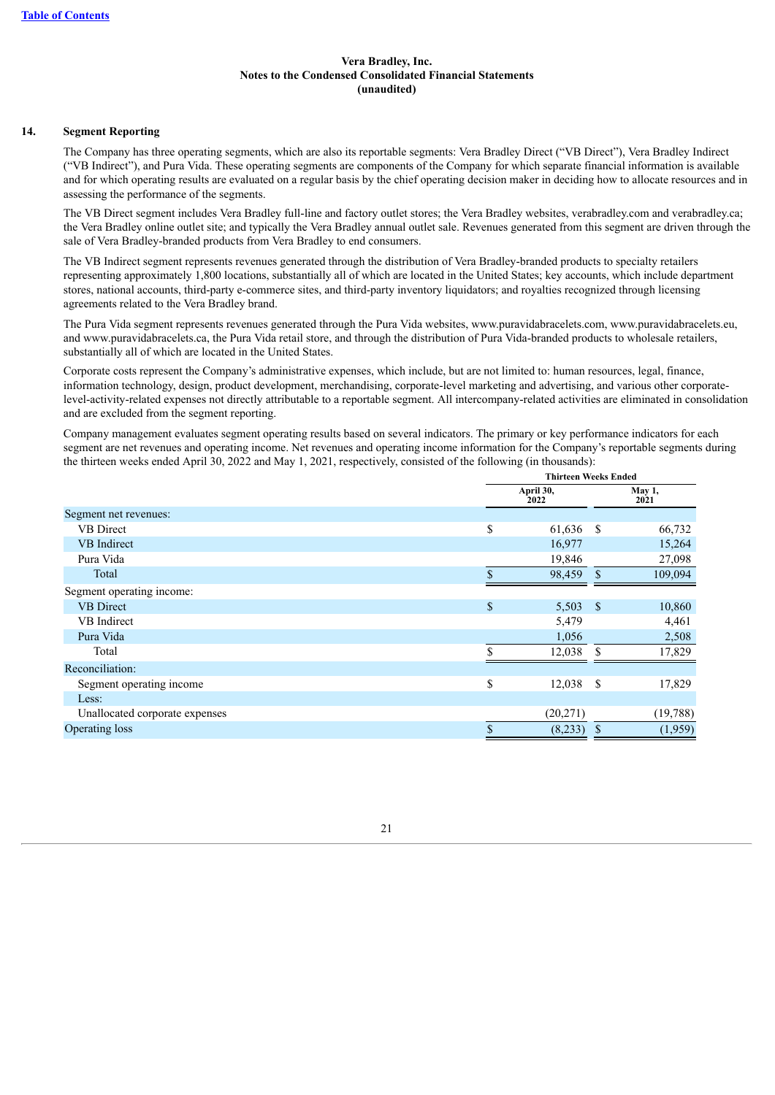#### **14. Segment Reporting**

The Company has three operating segments, which are also its reportable segments: Vera Bradley Direct ("VB Direct"), Vera Bradley Indirect ("VB Indirect"), and Pura Vida. These operating segments are components of the Company for which separate financial information is available and for which operating results are evaluated on a regular basis by the chief operating decision maker in deciding how to allocate resources and in assessing the performance of the segments.

The VB Direct segment includes Vera Bradley full-line and factory outlet stores; the Vera Bradley websites, verabradley.com and verabradley.ca; the Vera Bradley online outlet site; and typically the Vera Bradley annual outlet sale. Revenues generated from this segment are driven through the sale of Vera Bradley-branded products from Vera Bradley to end consumers.

The VB Indirect segment represents revenues generated through the distribution of Vera Bradley-branded products to specialty retailers representing approximately 1,800 locations, substantially all of which are located in the United States; key accounts, which include department stores, national accounts, third-party e-commerce sites, and third-party inventory liquidators; and royalties recognized through licensing agreements related to the Vera Bradley brand.

The Pura Vida segment represents revenues generated through the Pura Vida websites, www.puravidabracelets.com, www.puravidabracelets.eu, and www.puravidabracelets.ca, the Pura Vida retail store, and through the distribution of Pura Vida-branded products to wholesale retailers, substantially all of which are located in the United States.

Corporate costs represent the Company's administrative expenses, which include, but are not limited to: human resources, legal, finance, information technology, design, product development, merchandising, corporate-level marketing and advertising, and various other corporatelevel-activity-related expenses not directly attributable to a reportable segment. All intercompany-related activities are eliminated in consolidation and are excluded from the segment reporting.

Company management evaluates segment operating results based on several indicators. The primary or key performance indicators for each segment are net revenues and operating income. Net revenues and operating income information for the Company's reportable segments during the thirteen weeks ended April 30, 2022 and May 1, 2021, respectively, consisted of the following (in thousands):

<span id="page-21-0"></span>

|                                | <b>Thirteen Weeks Ended</b> |               |                |  |
|--------------------------------|-----------------------------|---------------|----------------|--|
|                                | April 30,<br>2022           |               | May 1,<br>2021 |  |
| Segment net revenues:          |                             |               |                |  |
| <b>VB</b> Direct               | \$<br>61,636 \$             |               | 66,732         |  |
| VB Indirect                    | 16,977                      |               | 15,264         |  |
| Pura Vida                      | 19,846                      |               | 27,098         |  |
| Total                          | 98,459                      | <sup>\$</sup> | 109,094        |  |
| Segment operating income:      |                             |               |                |  |
| <b>VB</b> Direct               | \$<br>5,503                 | - \$          | 10,860         |  |
| VB Indirect                    | 5,479                       |               | 4,461          |  |
| Pura Vida                      | 1,056                       |               | 2,508          |  |
| Total                          | 12,038                      | S             | 17,829         |  |
| Reconciliation:                |                             |               |                |  |
| Segment operating income       | \$<br>12,038                | S             | 17,829         |  |
| Less:                          |                             |               |                |  |
| Unallocated corporate expenses | (20,271)                    |               | (19,788)       |  |
| Operating loss                 | \$<br>(8,233)               | \$            | (1,959)        |  |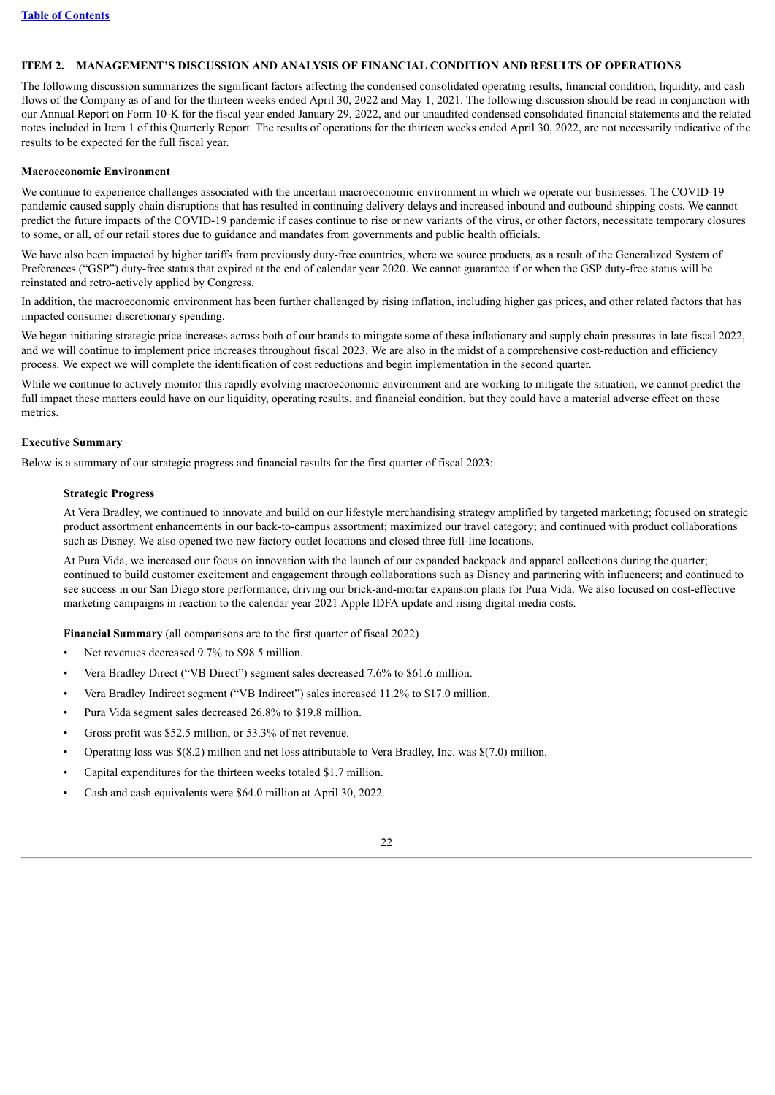#### **ITEM 2. MANAGEMENT'S DISCUSSION AND ANALYSIS OF FINANCIAL CONDITION AND RESULTS OF OPERATIONS**

The following discussion summarizes the significant factors affecting the condensed consolidated operating results, financial condition, liquidity, and cash flows of the Company as of and for the thirteen weeks ended April 30, 2022 and May 1, 2021. The following discussion should be read in conjunction with our Annual Report on Form 10-K for the fiscal year ended January 29, 2022, and our unaudited condensed consolidated financial statements and the related notes included in Item 1 of this Quarterly Report. The results of operations for the thirteen weeks ended April 30, 2022, are not necessarily indicative of the results to be expected for the full fiscal year.

#### **Macroeconomic Environment**

We continue to experience challenges associated with the uncertain macroeconomic environment in which we operate our businesses. The COVID-19 pandemic caused supply chain disruptions that has resulted in continuing delivery delays and increased inbound and outbound shipping costs. We cannot predict the future impacts of the COVID-19 pandemic if cases continue to rise or new variants of the virus, or other factors, necessitate temporary closures to some, or all, of our retail stores due to guidance and mandates from governments and public health officials.

We have also been impacted by higher tariffs from previously duty-free countries, where we source products, as a result of the Generalized System of Preferences ("GSP") duty-free status that expired at the end of calendar year 2020. We cannot guarantee if or when the GSP duty-free status will be reinstated and retro-actively applied by Congress.

In addition, the macroeconomic environment has been further challenged by rising inflation, including higher gas prices, and other related factors that has impacted consumer discretionary spending.

We began initiating strategic price increases across both of our brands to mitigate some of these inflationary and supply chain pressures in late fiscal 2022, and we will continue to implement price increases throughout fiscal 2023. We are also in the midst of a comprehensive cost-reduction and efficiency process. We expect we will complete the identification of cost reductions and begin implementation in the second quarter.

While we continue to actively monitor this rapidly evolving macroeconomic environment and are working to mitigate the situation, we cannot predict the full impact these matters could have on our liquidity, operating results, and financial condition, but they could have a material adverse effect on these metrics.

#### **Executive Summary**

Below is a summary of our strategic progress and financial results for the first quarter of fiscal 2023:

#### **Strategic Progress**

At Vera Bradley, we continued to innovate and build on our lifestyle merchandising strategy amplified by targeted marketing; focused on strategic product assortment enhancements in our back-to-campus assortment; maximized our travel category; and continued with product collaborations such as Disney. We also opened two new factory outlet locations and closed three full-line locations.

At Pura Vida, we increased our focus on innovation with the launch of our expanded backpack and apparel collections during the quarter; continued to build customer excitement and engagement through collaborations such as Disney and partnering with influencers; and continued to see success in our San Diego store performance, driving our brick-and-mortar expansion plans for Pura Vida. We also focused on cost-effective marketing campaigns in reaction to the calendar year 2021 Apple IDFA update and rising digital media costs.

**Financial Summary** (all comparisons are to the first quarter of fiscal 2022)

- Net revenues decreased 9.7% to \$98.5 million.
- Vera Bradley Direct ("VB Direct") segment sales decreased 7.6% to \$61.6 million.
- Vera Bradley Indirect segment ("VB Indirect") sales increased 11.2% to \$17.0 million.
- Pura Vida segment sales decreased 26.8% to \$19.8 million.
- Gross profit was \$52.5 million, or 53.3% of net revenue.
- Operating loss was \$(8.2) million and net loss attributable to Vera Bradley, Inc. was \$(7.0) million.
- Capital expenditures for the thirteen weeks totaled \$1.7 million.
- Cash and cash equivalents were \$64.0 million at April 30, 2022.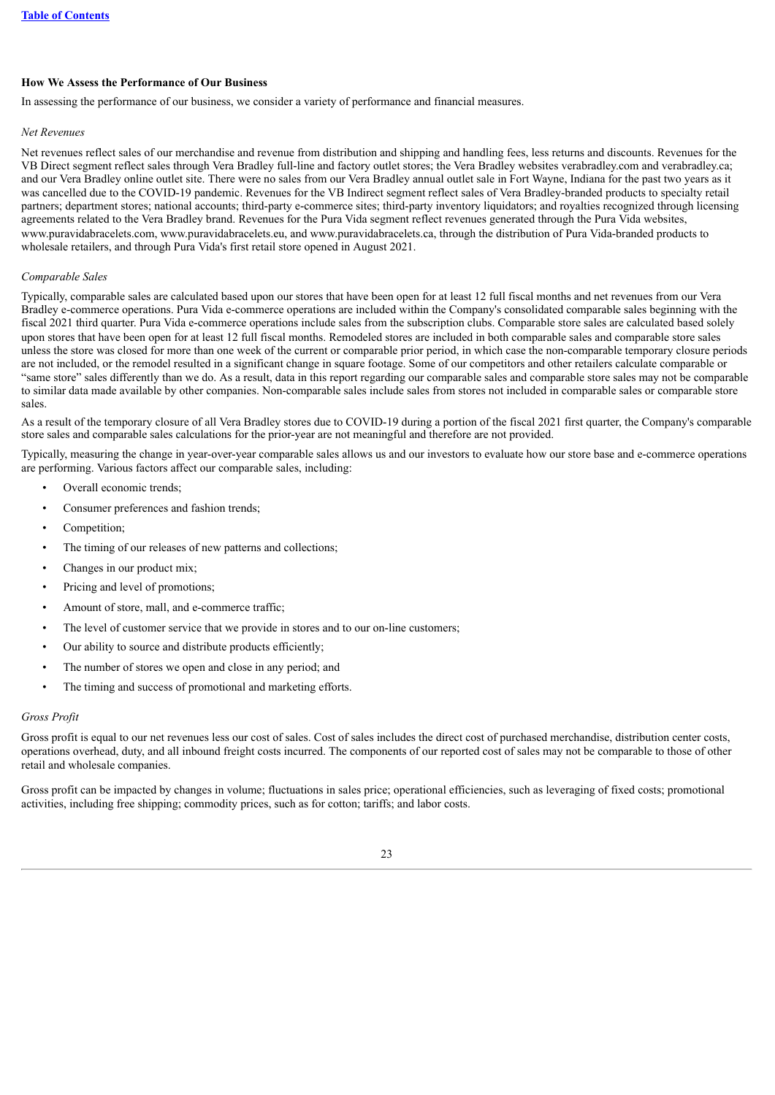#### **How We Assess the Performance of Our Business**

In assessing the performance of our business, we consider a variety of performance and financial measures.

#### *Net Revenues*

Net revenues reflect sales of our merchandise and revenue from distribution and shipping and handling fees, less returns and discounts. Revenues for the VB Direct segment reflect sales through Vera Bradley full-line and factory outlet stores; the Vera Bradley websites verabradley.com and verabradley.ca; and our Vera Bradley online outlet site. There were no sales from our Vera Bradley annual outlet sale in Fort Wayne, Indiana for the past two years as it was cancelled due to the COVID-19 pandemic. Revenues for the VB Indirect segment reflect sales of Vera Bradley-branded products to specialty retail partners; department stores; national accounts; third-party e-commerce sites; third-party inventory liquidators; and royalties recognized through licensing agreements related to the Vera Bradley brand. Revenues for the Pura Vida segment reflect revenues generated through the Pura Vida websites, www.puravidabracelets.com, www.puravidabracelets.eu, and www.puravidabracelets.ca, through the distribution of Pura Vida-branded products to wholesale retailers, and through Pura Vida's first retail store opened in August 2021.

#### *Comparable Sales*

Typically, comparable sales are calculated based upon our stores that have been open for at least 12 full fiscal months and net revenues from our Vera Bradley e-commerce operations. Pura Vida e-commerce operations are included within the Company's consolidated comparable sales beginning with the fiscal 2021 third quarter. Pura Vida e-commerce operations include sales from the subscription clubs. Comparable store sales are calculated based solely upon stores that have been open for at least 12 full fiscal months. Remodeled stores are included in both comparable sales and comparable store sales unless the store was closed for more than one week of the current or comparable prior period, in which case the non-comparable temporary closure periods are not included, or the remodel resulted in a significant change in square footage. Some of our competitors and other retailers calculate comparable or "same store" sales differently than we do. As a result, data in this report regarding our comparable sales and comparable store sales may not be comparable to similar data made available by other companies. Non-comparable sales include sales from stores not included in comparable sales or comparable store sales.

As a result of the temporary closure of all Vera Bradley stores due to COVID-19 during a portion of the fiscal 2021 first quarter, the Company's comparable store sales and comparable sales calculations for the prior-year are not meaningful and therefore are not provided.

Typically, measuring the change in year-over-year comparable sales allows us and our investors to evaluate how our store base and e-commerce operations are performing. Various factors affect our comparable sales, including:

- Overall economic trends;
- Consumer preferences and fashion trends;
- Competition;
- The timing of our releases of new patterns and collections;
- Changes in our product mix:
- Pricing and level of promotions;
- Amount of store, mall, and e-commerce traffic;
- The level of customer service that we provide in stores and to our on-line customers;
- Our ability to source and distribute products efficiently;
- The number of stores we open and close in any period; and
- The timing and success of promotional and marketing efforts.

#### *Gross Profit*

Gross profit is equal to our net revenues less our cost of sales. Cost of sales includes the direct cost of purchased merchandise, distribution center costs, operations overhead, duty, and all inbound freight costs incurred. The components of our reported cost of sales may not be comparable to those of other retail and wholesale companies.

Gross profit can be impacted by changes in volume; fluctuations in sales price; operational efficiencies, such as leveraging of fixed costs; promotional activities, including free shipping; commodity prices, such as for cotton; tariffs; and labor costs.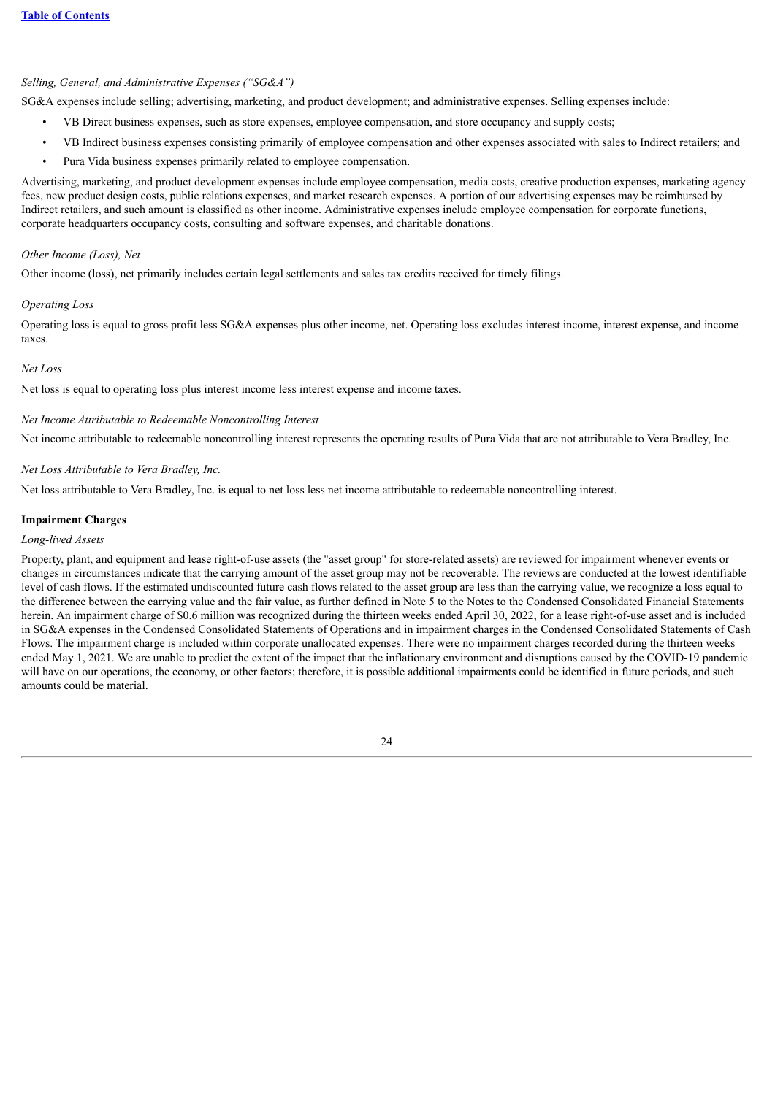#### *Selling, General, and Administrative Expenses ("SG&A")*

SG&A expenses include selling; advertising, marketing, and product development; and administrative expenses. Selling expenses include:

- VB Direct business expenses, such as store expenses, employee compensation, and store occupancy and supply costs;
- VB Indirect business expenses consisting primarily of employee compensation and other expenses associated with sales to Indirect retailers; and
- Pura Vida business expenses primarily related to employee compensation.

Advertising, marketing, and product development expenses include employee compensation, media costs, creative production expenses, marketing agency fees, new product design costs, public relations expenses, and market research expenses. A portion of our advertising expenses may be reimbursed by Indirect retailers, and such amount is classified as other income. Administrative expenses include employee compensation for corporate functions, corporate headquarters occupancy costs, consulting and software expenses, and charitable donations.

#### *Other Income (Loss), Net*

Other income (loss), net primarily includes certain legal settlements and sales tax credits received for timely filings.

#### *Operating Loss*

Operating loss is equal to gross profit less SG&A expenses plus other income, net. Operating loss excludes interest income, interest expense, and income taxes.

#### *Net Loss*

Net loss is equal to operating loss plus interest income less interest expense and income taxes.

#### *Net Income Attributable to Redeemable Noncontrolling Interest*

Net income attributable to redeemable noncontrolling interest represents the operating results of Pura Vida that are not attributable to Vera Bradley, Inc.

#### *Net Loss Attributable to Vera Bradley, Inc.*

Net loss attributable to Vera Bradley. Inc. is equal to net loss less net income attributable to redeemable noncontrolling interest.

#### **Impairment Charges**

#### *Long-lived Assets*

Property, plant, and equipment and lease right-of-use assets (the "asset group" for store-related assets) are reviewed for impairment whenever events or changes in circumstances indicate that the carrying amount of the asset group may not be recoverable. The reviews are conducted at the lowest identifiable level of cash flows. If the estimated undiscounted future cash flows related to the asset group are less than the carrying value, we recognize a loss equal to the difference between the carrying value and the fair value, as further defined in Note 5 to the Notes to the Condensed Consolidated Financial Statements herein. An impairment charge of \$0.6 million was recognized during the thirteen weeks ended April 30, 2022, for a lease right-of-use asset and is included in SG&A expenses in the Condensed Consolidated Statements of Operations and in impairment charges in the Condensed Consolidated Statements of Cash Flows. The impairment charge is included within corporate unallocated expenses. There were no impairment charges recorded during the thirteen weeks ended May 1, 2021. We are unable to predict the extent of the impact that the inflationary environment and disruptions caused by the COVID-19 pandemic will have on our operations, the economy, or other factors; therefore, it is possible additional impairments could be identified in future periods, and such amounts could be material.

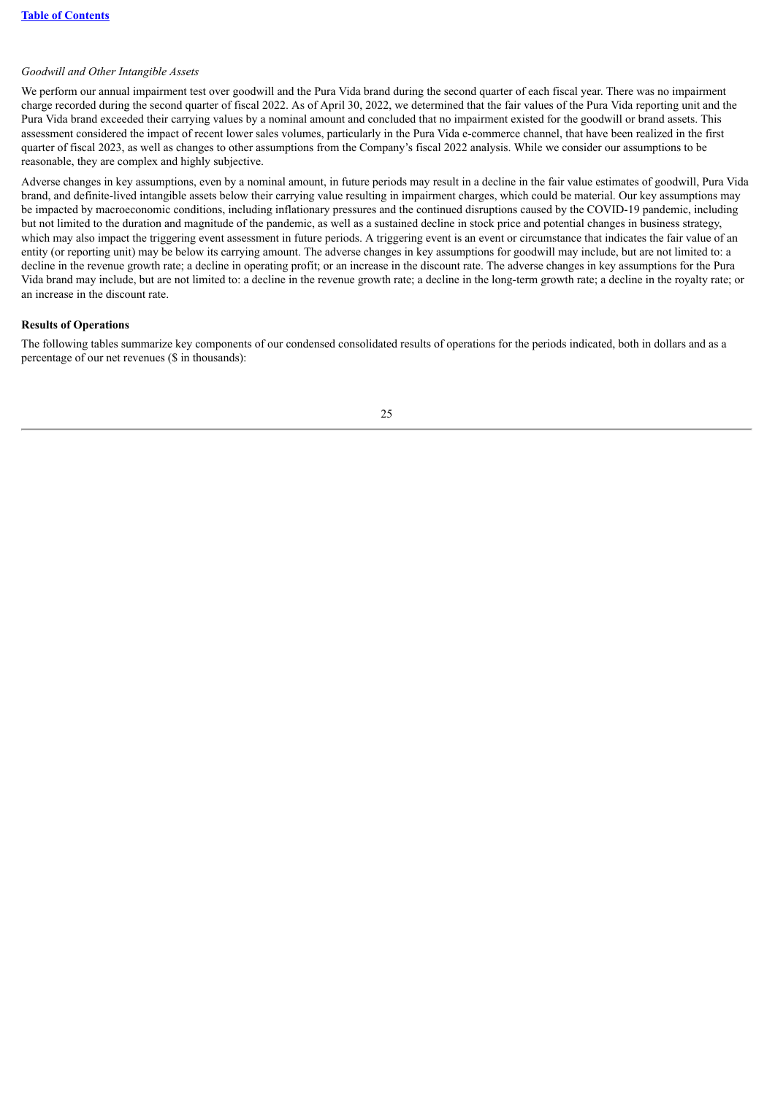#### *Goodwill and Other Intangible Assets*

We perform our annual impairment test over goodwill and the Pura Vida brand during the second quarter of each fiscal year. There was no impairment charge recorded during the second quarter of fiscal 2022. As of April 30, 2022, we determined that the fair values of the Pura Vida reporting unit and the Pura Vida brand exceeded their carrying values by a nominal amount and concluded that no impairment existed for the goodwill or brand assets. This assessment considered the impact of recent lower sales volumes, particularly in the Pura Vida e-commerce channel, that have been realized in the first quarter of fiscal 2023, as well as changes to other assumptions from the Company's fiscal 2022 analysis. While we consider our assumptions to be reasonable, they are complex and highly subjective.

Adverse changes in key assumptions, even by a nominal amount, in future periods may result in a decline in the fair value estimates of goodwill, Pura Vida brand, and definite-lived intangible assets below their carrying value resulting in impairment charges, which could be material. Our key assumptions may be impacted by macroeconomic conditions, including inflationary pressures and the continued disruptions caused by the COVID-19 pandemic, including but not limited to the duration and magnitude of the pandemic, as well as a sustained decline in stock price and potential changes in business strategy, which may also impact the triggering event assessment in future periods. A triggering event is an event or circumstance that indicates the fair value of an entity (or reporting unit) may be below its carrying amount. The adverse changes in key assumptions for goodwill may include, but are not limited to: a decline in the revenue growth rate; a decline in operating profit; or an increase in the discount rate. The adverse changes in key assumptions for the Pura Vida brand may include, but are not limited to: a decline in the revenue growth rate; a decline in the long-term growth rate; a decline in the royalty rate; or an increase in the discount rate.

#### **Results of Operations**

The following tables summarize key components of our condensed consolidated results of operations for the periods indicated, both in dollars and as a percentage of our net revenues (\$ in thousands):

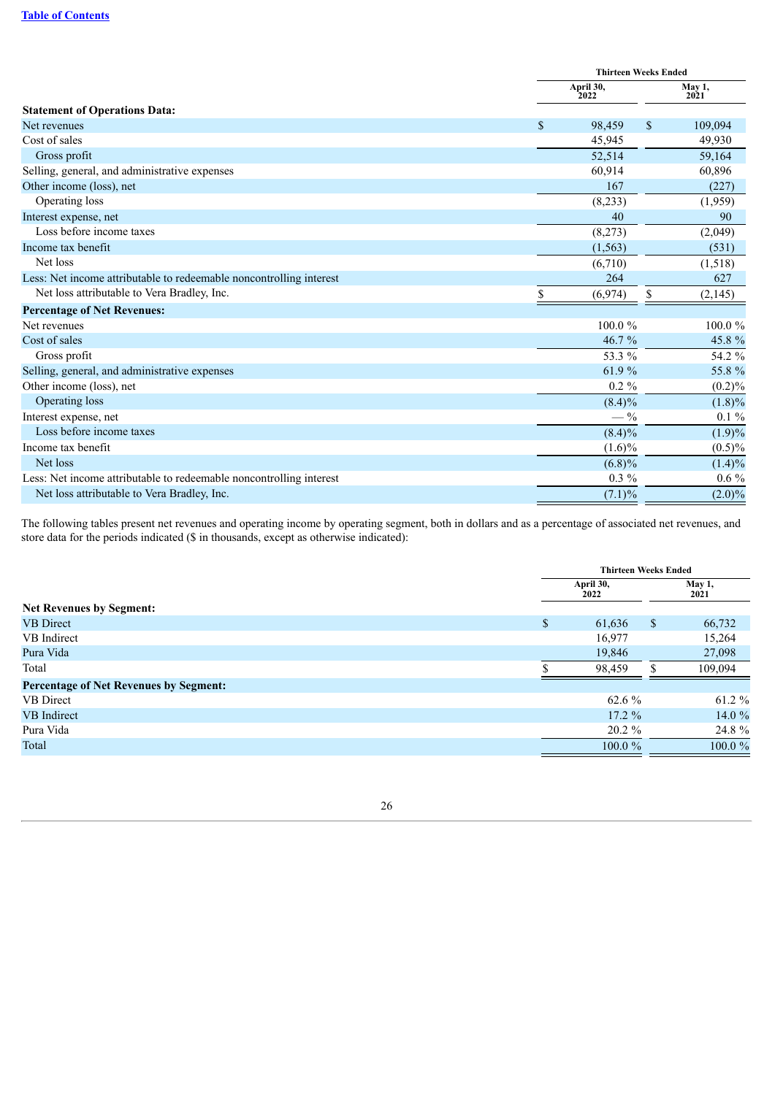|                                                                     |                       | <b>Thirteen Weeks Ended</b> |                |  |  |  |
|---------------------------------------------------------------------|-----------------------|-----------------------------|----------------|--|--|--|
|                                                                     | April 30,<br>2022     |                             | May 1,<br>2021 |  |  |  |
| <b>Statement of Operations Data:</b>                                |                       |                             |                |  |  |  |
| Net revenues                                                        | $\mathbf S$<br>98,459 | $\mathbf S$                 | 109,094        |  |  |  |
| Cost of sales                                                       | 45,945                |                             | 49,930         |  |  |  |
| Gross profit                                                        | 52,514                |                             | 59,164         |  |  |  |
| Selling, general, and administrative expenses                       | 60,914                |                             | 60,896         |  |  |  |
| Other income (loss), net                                            | 167                   |                             | (227)          |  |  |  |
| Operating loss                                                      | (8,233)               |                             | (1,959)        |  |  |  |
| Interest expense, net                                               | 40                    |                             | 90             |  |  |  |
| Loss before income taxes                                            | (8,273)               |                             | (2,049)        |  |  |  |
| Income tax benefit                                                  | (1, 563)              |                             | (531)          |  |  |  |
| Net loss                                                            | (6,710)               |                             | (1,518)        |  |  |  |
| Less: Net income attributable to redeemable noncontrolling interest | 264                   |                             | 627            |  |  |  |
| Net loss attributable to Vera Bradley, Inc.                         | (6,974)<br>\$         | \$                          | (2, 145)       |  |  |  |
| <b>Percentage of Net Revenues:</b>                                  |                       |                             |                |  |  |  |
| Net revenues                                                        | 100.0%                |                             | $100.0 \%$     |  |  |  |
| Cost of sales                                                       | 46.7%                 |                             | 45.8 %         |  |  |  |
| Gross profit                                                        | 53.3 %                |                             | 54.2 %         |  |  |  |
| Selling, general, and administrative expenses                       | 61.9%                 |                             | 55.8%          |  |  |  |
| Other income (loss), net                                            | $0.2 \%$              |                             | (0.2)%         |  |  |  |
| Operating loss                                                      | $(8.4)\%$             |                             | $(1.8)\%$      |  |  |  |
| Interest expense, net                                               | $-$ %                 |                             | $0.1 \%$       |  |  |  |
| Loss before income taxes                                            | $(8.4)\%$             |                             | (1.9)%         |  |  |  |
| Income tax benefit                                                  | $(1.6)\%$             |                             | $(0.5)\%$      |  |  |  |
| Net loss                                                            | $(6.8)\%$             |                             | $(1.4)\%$      |  |  |  |
| Less: Net income attributable to redeemable noncontrolling interest | $0.3\%$               |                             | $0.6\%$        |  |  |  |
| Net loss attributable to Vera Bradley, Inc.                         | $(7.1)\%$             |                             | $(2.0)\%$      |  |  |  |

The following tables present net revenues and operating income by operating segment, both in dollars and as a percentage of associated net revenues, and store data for the periods indicated (\$ in thousands, except as otherwise indicated):

|                                               | <b>Thirteen Weeks Ended</b> |    |           |
|-----------------------------------------------|-----------------------------|----|-----------|
|                                               | April 30,<br>2021<br>2022   |    | May 1,    |
| <b>Net Revenues by Segment:</b>               |                             |    |           |
| <b>VB</b> Direct                              | \$<br>61,636                | \$ | 66,732    |
| VB Indirect                                   | 16,977                      |    | 15,264    |
| Pura Vida                                     | 19,846                      |    | 27,098    |
| Total                                         | 98,459                      |    | 109,094   |
| <b>Percentage of Net Revenues by Segment:</b> |                             |    |           |
| <b>VB</b> Direct                              | 62.6 %                      |    | $61.2 \%$ |
| VB Indirect                                   | $17.2\%$                    |    | 14.0 $%$  |
| Pura Vida                                     | $20.2 \%$                   |    | 24.8 %    |
| Total                                         | $100.0 \%$                  |    | 100.0%    |
|                                               |                             |    |           |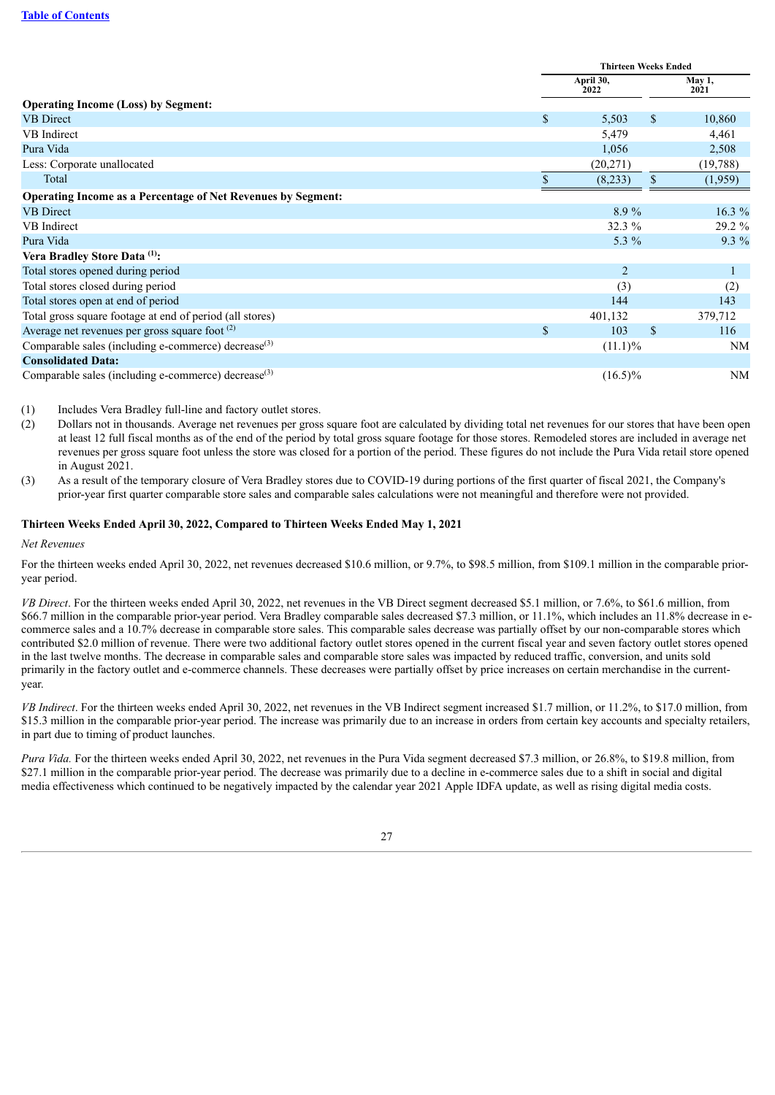|                                                              |             | <b>Thirteen Weeks Ended</b> |               |           |
|--------------------------------------------------------------|-------------|-----------------------------|---------------|-----------|
|                                                              |             | April 30,<br>2022<br>2021   |               | May 1,    |
| <b>Operating Income (Loss) by Segment:</b>                   |             |                             |               |           |
| <b>VB</b> Direct                                             | $\mathbf S$ | 5,503                       | $\mathbb{S}$  | 10,860    |
| VB Indirect                                                  |             | 5,479                       |               | 4,461     |
| Pura Vida                                                    |             | 1,056                       |               | 2,508     |
| Less: Corporate unallocated                                  |             | (20,271)                    |               | (19, 788) |
| Total                                                        |             | (8,233)                     | \$            | (1,959)   |
| Operating Income as a Percentage of Net Revenues by Segment: |             |                             |               |           |
| <b>VB</b> Direct                                             |             | 8.9%                        |               | $16.3\%$  |
| VB Indirect                                                  |             | 32.3 %                      |               | 29.2 %    |
| Pura Vida                                                    |             | 5.3 $%$                     |               | $9.3\%$   |
| Vera Bradley Store Data (1):                                 |             |                             |               |           |
| Total stores opened during period                            |             | $\mathfrak{D}$              |               |           |
| Total stores closed during period                            |             | (3)                         |               | (2)       |
| Total stores open at end of period                           |             | 144                         |               | 143       |
| Total gross square footage at end of period (all stores)     |             | 401,132                     |               | 379,712   |
| Average net revenues per gross square foot $(2)$             | $\mathbf S$ | 103                         | $\mathcal{S}$ | 116       |
| Comparable sales (including e-commerce) decrease $(3)$       |             | $(11.1)\%$                  |               | NM        |
| <b>Consolidated Data:</b>                                    |             |                             |               |           |
| Comparable sales (including e-commerce) decrease $(3)$       |             | $(16.5)\%$                  |               | NM        |

(1) Includes Vera Bradley full-line and factory outlet stores.

(2) Dollars not in thousands. Average net revenues per gross square foot are calculated by dividing total net revenues for our stores that have been open at least 12 full fiscal months as of the end of the period by total gross square footage for those stores. Remodeled stores are included in average net revenues per gross square foot unless the store was closed for a portion of the period. These figures do not include the Pura Vida retail store opened in August 2021.

(3) As a result of the temporary closure of Vera Bradley stores due to COVID-19 during portions of the first quarter of fiscal 2021, the Company's prior-year first quarter comparable store sales and comparable sales calculations were not meaningful and therefore were not provided.

#### **Thirteen Weeks Ended April 30, 2022, Compared to Thirteen Weeks Ended May 1, 2021**

*Net Revenues*

For the thirteen weeks ended April 30, 2022, net revenues decreased \$10.6 million, or 9.7%, to \$98.5 million, from \$109.1 million in the comparable prioryear period.

*VB Direct*. For the thirteen weeks ended April 30, 2022, net revenues in the VB Direct segment decreased \$5.1 million, or 7.6%, to \$61.6 million, from \$66.7 million in the comparable prior-year period. Vera Bradley comparable sales decreased \$7.3 million, or 11.1%, which includes an 11.8% decrease in ecommerce sales and a 10.7% decrease in comparable store sales. This comparable sales decrease was partially offset by our non-comparable stores which contributed \$2.0 million of revenue. There were two additional factory outlet stores opened in the current fiscal year and seven factory outlet stores opened in the last twelve months. The decrease in comparable sales and comparable store sales was impacted by reduced traffic, conversion, and units sold primarily in the factory outlet and e-commerce channels. These decreases were partially offset by price increases on certain merchandise in the currentyear.

*VB Indirect*. For the thirteen weeks ended April 30, 2022, net revenues in the VB Indirect segment increased \$1.7 million, or 11.2%, to \$17.0 million, from \$15.3 million in the comparable prior-year period. The increase was primarily due to an increase in orders from certain key accounts and specialty retailers, in part due to timing of product launches.

*Pura Vida.* For the thirteen weeks ended April 30, 2022, net revenues in the Pura Vida segment decreased \$7.3 million, or 26.8%, to \$19.8 million, from \$27.1 million in the comparable prior-year period. The decrease was primarily due to a decline in e-commerce sales due to a shift in social and digital media effectiveness which continued to be negatively impacted by the calendar year 2021 Apple IDFA update, as well as rising digital media costs.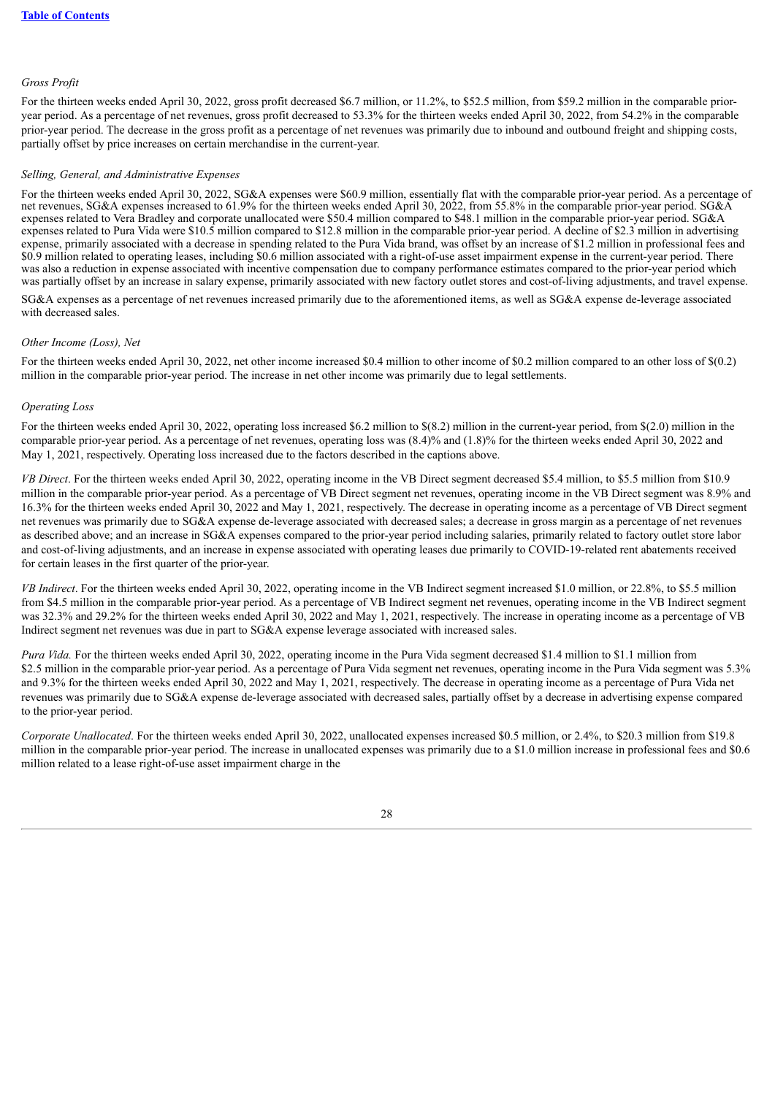#### *Gross Profit*

For the thirteen weeks ended April 30, 2022, gross profit decreased \$6.7 million, or 11.2%, to \$52.5 million, from \$59.2 million in the comparable prioryear period. As a percentage of net revenues, gross profit decreased to 53.3% for the thirteen weeks ended April 30, 2022, from 54.2% in the comparable prior-year period. The decrease in the gross profit as a percentage of net revenues was primarily due to inbound and outbound freight and shipping costs, partially offset by price increases on certain merchandise in the current-year.

#### *Selling, General, and Administrative Expenses*

For the thirteen weeks ended April 30, 2022, SG&A expenses were \$60.9 million, essentially flat with the comparable prior-year period. As a percentage of net revenues, SG&A expenses increased to 61.9% for the thirteen weeks ended April 30, 2022, from 55.8% in the comparable prior-year period. SG&A expenses related to Vera Bradley and corporate unallocated were \$50.4 million compared to \$48.1 million in the comparable prior-year period. SG&A expenses related to Pura Vida were \$10.5 million compared to \$12.8 million in the comparable prior-year period. A decline of \$2.3 million in advertising expense, primarily associated with a decrease in spending related to the Pura Vida brand, was offset by an increase of \$1.2 million in professional fees and \$0.9 million related to operating leases, including \$0.6 million associated with a right-of-use asset impairment expense in the current-year period. There was also a reduction in expense associated with incentive compensation due to company performance estimates compared to the prior-year period which was partially offset by an increase in salary expense, primarily associated with new factory outlet stores and cost-of-living adjustments, and travel expense.

SG&A expenses as a percentage of net revenues increased primarily due to the aforementioned items, as well as SG&A expense de-leverage associated with decreased sales.

#### *Other Income (Loss), Net*

For the thirteen weeks ended April 30, 2022, net other income increased \$0.4 million to other income of \$0.2 million compared to an other loss of \$(0.2) million in the comparable prior-year period. The increase in net other income was primarily due to legal settlements.

#### *Operating Loss*

For the thirteen weeks ended April 30, 2022, operating loss increased \$6.2 million to \$(8.2) million in the current-year period, from \$(2.0) million in the comparable prior-year period. As a percentage of net revenues, operating loss was (8.4)% and (1.8)% for the thirteen weeks ended April 30, 2022 and May 1, 2021, respectively. Operating loss increased due to the factors described in the captions above.

*VB Direct*. For the thirteen weeks ended April 30, 2022, operating income in the VB Direct segment decreased \$5.4 million, to \$5.5 million from \$10.9 million in the comparable prior-year period. As a percentage of VB Direct segment net revenues, operating income in the VB Direct segment was 8.9% and 16.3% for the thirteen weeks ended April 30, 2022 and May 1, 2021, respectively. The decrease in operating income as a percentage of VB Direct segment net revenues was primarily due to SG&A expense de-leverage associated with decreased sales; a decrease in gross margin as a percentage of net revenues as described above; and an increase in SG&A expenses compared to the prior-year period including salaries, primarily related to factory outlet store labor and cost-of-living adjustments, and an increase in expense associated with operating leases due primarily to COVID-19-related rent abatements received for certain leases in the first quarter of the prior-year.

*VB Indirect*. For the thirteen weeks ended April 30, 2022, operating income in the VB Indirect segment increased \$1.0 million, or 22.8%, to \$5.5 million from \$4.5 million in the comparable prior-year period. As a percentage of VB Indirect segment net revenues, operating income in the VB Indirect segment was 32.3% and 29.2% for the thirteen weeks ended April 30, 2022 and May 1, 2021, respectively. The increase in operating income as a percentage of VB Indirect segment net revenues was due in part to SG&A expense leverage associated with increased sales.

*Pura Vida.* For the thirteen weeks ended April 30, 2022, operating income in the Pura Vida segment decreased \$1.4 million to \$1.1 million from \$2.5 million in the comparable prior-year period. As a percentage of Pura Vida segment net revenues, operating income in the Pura Vida segment was 5.3% and 9.3% for the thirteen weeks ended April 30, 2022 and May 1, 2021, respectively. The decrease in operating income as a percentage of Pura Vida net revenues was primarily due to SG&A expense de-leverage associated with decreased sales, partially offset by a decrease in advertising expense compared to the prior-year period.

*Corporate Unallocated*. For the thirteen weeks ended April 30, 2022, unallocated expenses increased \$0.5 million, or 2.4%, to \$20.3 million from \$19.8 million in the comparable prior-year period. The increase in unallocated expenses was primarily due to a \$1.0 million increase in professional fees and \$0.6 million related to a lease right-of-use asset impairment charge in the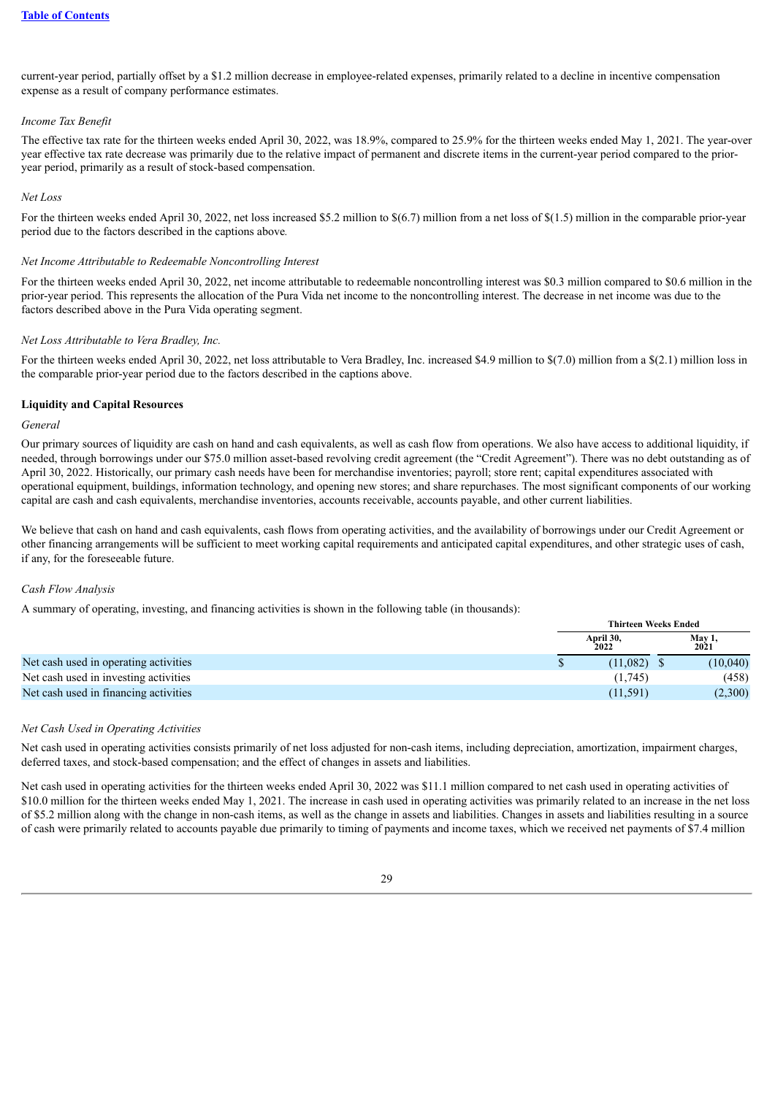current-year period, partially offset by a \$1.2 million decrease in employee-related expenses, primarily related to a decline in incentive compensation expense as a result of company performance estimates.

#### *Income Tax Benefit*

The effective tax rate for the thirteen weeks ended April 30, 2022, was 18.9%, compared to 25.9% for the thirteen weeks ended May 1, 2021. The year-over year effective tax rate decrease was primarily due to the relative impact of permanent and discrete items in the current-year period compared to the prioryear period, primarily as a result of stock-based compensation.

#### *Net Loss*

For the thirteen weeks ended April 30, 2022, net loss increased \$5.2 million to \$(6.7) million from a net loss of \$(1.5) million in the comparable prior-year period due to the factors described in the captions above*.*

#### *Net Income Attributable to Redeemable Noncontrolling Interest*

For the thirteen weeks ended April 30, 2022, net income attributable to redeemable noncontrolling interest was \$0.3 million compared to \$0.6 million in the prior-year period. This represents the allocation of the Pura Vida net income to the noncontrolling interest. The decrease in net income was due to the factors described above in the Pura Vida operating segment.

#### *Net Loss Attributable to Vera Bradley, Inc.*

For the thirteen weeks ended April 30, 2022, net loss attributable to Vera Bradley, Inc. increased \$4.9 million to \$(7.0) million from a \$(2.1) million loss in the comparable prior-year period due to the factors described in the captions above.

#### **Liquidity and Capital Resources**

#### *General*

Our primary sources of liquidity are cash on hand and cash equivalents, as well as cash flow from operations. We also have access to additional liquidity, if needed, through borrowings under our \$75.0 million asset-based revolving credit agreement (the "Credit Agreement"). There was no debt outstanding as of April 30, 2022. Historically, our primary cash needs have been for merchandise inventories; payroll; store rent; capital expenditures associated with operational equipment, buildings, information technology, and opening new stores; and share repurchases. The most significant components of our working capital are cash and cash equivalents, merchandise inventories, accounts receivable, accounts payable, and other current liabilities.

We believe that cash on hand and cash equivalents, cash flows from operating activities, and the availability of borrowings under our Credit Agreement or other financing arrangements will be sufficient to meet working capital requirements and anticipated capital expenditures, and other strategic uses of cash, if any, for the foreseeable future.

#### *Cash Flow Analysis*

A summary of operating, investing, and financing activities is shown in the following table (in thousands):

|                                       | <b>Thirteen Weeks Ended</b> |  |                |
|---------------------------------------|-----------------------------|--|----------------|
|                                       | April 30,<br>2022           |  | May 1,<br>2021 |
| Net cash used in operating activities | (11,082)                    |  | (10,040)       |
| Net cash used in investing activities | (1,745)                     |  | (458)          |
| Net cash used in financing activities | (11, 591)                   |  | (2,300)        |

#### *Net Cash Used in Operating Activities*

Net cash used in operating activities consists primarily of net loss adjusted for non-cash items, including depreciation, amortization, impairment charges, deferred taxes, and stock-based compensation; and the effect of changes in assets and liabilities.

Net cash used in operating activities for the thirteen weeks ended April 30, 2022 was \$11.1 million compared to net cash used in operating activities of \$10.0 million for the thirteen weeks ended May 1, 2021. The increase in cash used in operating activities was primarily related to an increase in the net loss of \$5.2 million along with the change in non-cash items, as well as the change in assets and liabilities. Changes in assets and liabilities resulting in a source of cash were primarily related to accounts payable due primarily to timing of payments and income taxes, which we received net payments of \$7.4 million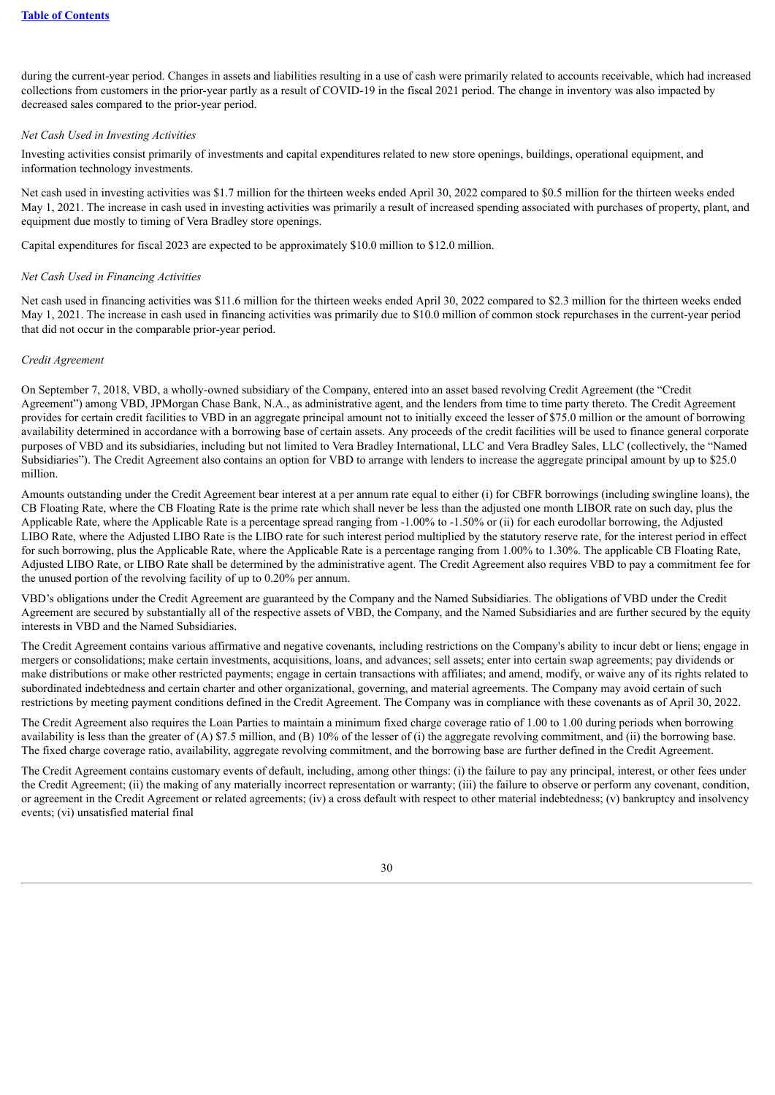during the current-year period. Changes in assets and liabilities resulting in a use of cash were primarily related to accounts receivable, which had increased collections from customers in the prior-year partly as a result of COVID-19 in the fiscal 2021 period. The change in inventory was also impacted by decreased sales compared to the prior-year period.

#### *Net Cash Used in Investing Activities*

Investing activities consist primarily of investments and capital expenditures related to new store openings, buildings, operational equipment, and information technology investments.

Net cash used in investing activities was \$1.7 million for the thirteen weeks ended April 30, 2022 compared to \$0.5 million for the thirteen weeks ended May 1, 2021. The increase in cash used in investing activities was primarily a result of increased spending associated with purchases of property, plant, and equipment due mostly to timing of Vera Bradley store openings.

Capital expenditures for fiscal 2023 are expected to be approximately \$10.0 million to \$12.0 million.

#### *Net Cash Used in Financing Activities*

Net cash used in financing activities was \$11.6 million for the thirteen weeks ended April 30, 2022 compared to \$2.3 million for the thirteen weeks ended May 1, 2021. The increase in cash used in financing activities was primarily due to \$10.0 million of common stock repurchases in the current-year period that did not occur in the comparable prior-year period.

#### *Credit Agreement*

On September 7, 2018, VBD, a wholly-owned subsidiary of the Company, entered into an asset based revolving Credit Agreement (the "Credit Agreement") among VBD, JPMorgan Chase Bank, N.A., as administrative agent, and the lenders from time to time party thereto. The Credit Agreement provides for certain credit facilities to VBD in an aggregate principal amount not to initially exceed the lesser of \$75.0 million or the amount of borrowing availability determined in accordance with a borrowing base of certain assets. Any proceeds of the credit facilities will be used to finance general corporate purposes of VBD and its subsidiaries, including but not limited to Vera Bradley International, LLC and Vera Bradley Sales, LLC (collectively, the "Named Subsidiaries"). The Credit Agreement also contains an option for VBD to arrange with lenders to increase the aggregate principal amount by up to \$25.0 million.

Amounts outstanding under the Credit Agreement bear interest at a per annum rate equal to either (i) for CBFR borrowings (including swingline loans), the CB Floating Rate, where the CB Floating Rate is the prime rate which shall never be less than the adjusted one month LIBOR rate on such day, plus the Applicable Rate, where the Applicable Rate is a percentage spread ranging from -1.00% to -1.50% or (ii) for each eurodollar borrowing, the Adjusted LIBO Rate, where the Adjusted LIBO Rate is the LIBO rate for such interest period multiplied by the statutory reserve rate, for the interest period in effect for such borrowing, plus the Applicable Rate, where the Applicable Rate is a percentage ranging from 1.00% to 1.30%. The applicable CB Floating Rate, Adjusted LIBO Rate, or LIBO Rate shall be determined by the administrative agent. The Credit Agreement also requires VBD to pay a commitment fee for the unused portion of the revolving facility of up to 0.20% per annum.

VBD's obligations under the Credit Agreement are guaranteed by the Company and the Named Subsidiaries. The obligations of VBD under the Credit Agreement are secured by substantially all of the respective assets of VBD, the Company, and the Named Subsidiaries and are further secured by the equity interests in VBD and the Named Subsidiaries.

The Credit Agreement contains various affirmative and negative covenants, including restrictions on the Company's ability to incur debt or liens; engage in mergers or consolidations; make certain investments, acquisitions, loans, and advances; sell assets; enter into certain swap agreements; pay dividends or make distributions or make other restricted payments; engage in certain transactions with affiliates; and amend, modify, or waive any of its rights related to subordinated indebtedness and certain charter and other organizational, governing, and material agreements. The Company may avoid certain of such restrictions by meeting payment conditions defined in the Credit Agreement. The Company was in compliance with these covenants as of April 30, 2022.

The Credit Agreement also requires the Loan Parties to maintain a minimum fixed charge coverage ratio of 1.00 to 1.00 during periods when borrowing availability is less than the greater of (A) \$7.5 million, and (B) 10% of the lesser of (i) the aggregate revolving commitment, and (ii) the borrowing base. The fixed charge coverage ratio, availability, aggregate revolving commitment, and the borrowing base are further defined in the Credit Agreement.

The Credit Agreement contains customary events of default, including, among other things: (i) the failure to pay any principal, interest, or other fees under the Credit Agreement; (ii) the making of any materially incorrect representation or warranty; (iii) the failure to observe or perform any covenant, condition, or agreement in the Credit Agreement or related agreements; (iv) a cross default with respect to other material indebtedness; (v) bankruptcy and insolvency events; (vi) unsatisfied material final

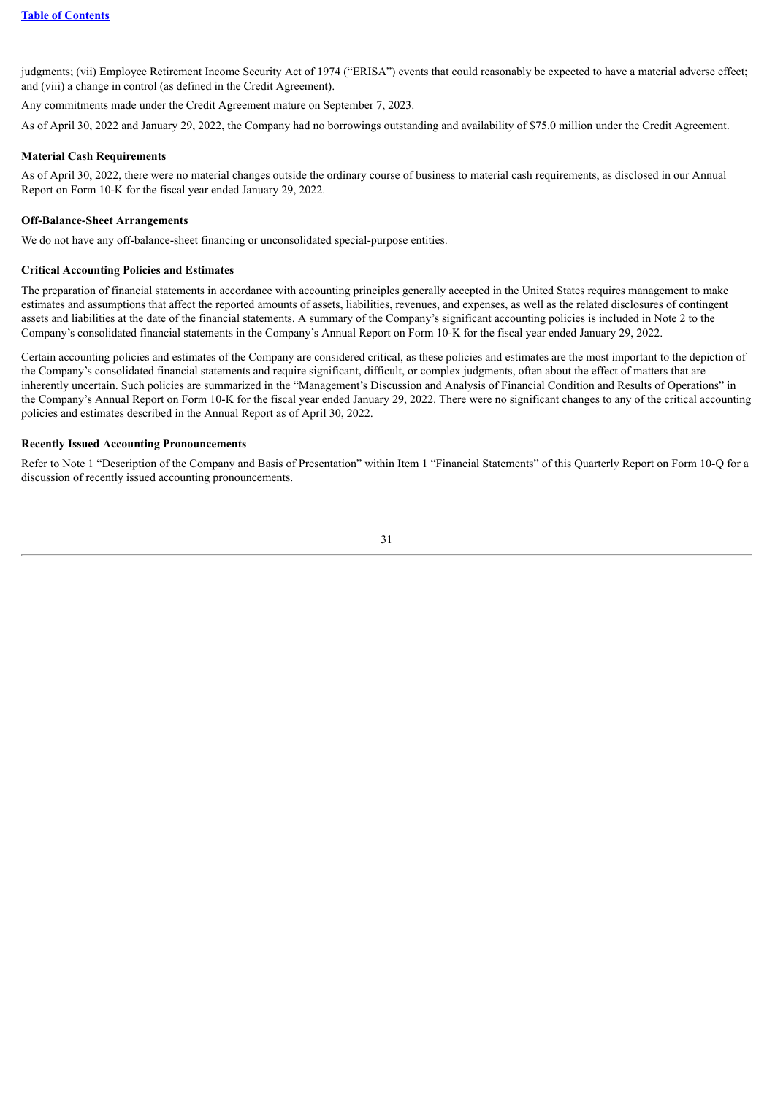judgments; (vii) Employee Retirement Income Security Act of 1974 ("ERISA") events that could reasonably be expected to have a material adverse effect; and (viii) a change in control (as defined in the Credit Agreement).

Any commitments made under the Credit Agreement mature on September 7, 2023.

As of April 30, 2022 and January 29, 2022, the Company had no borrowings outstanding and availability of \$75.0 million under the Credit Agreement.

#### **Material Cash Requirements**

As of April 30, 2022, there were no material changes outside the ordinary course of business to material cash requirements, as disclosed in our Annual Report on Form 10-K for the fiscal year ended January 29, 2022.

#### **Off-Balance-Sheet Arrangements**

We do not have any off-balance-sheet financing or unconsolidated special-purpose entities.

#### **Critical Accounting Policies and Estimates**

The preparation of financial statements in accordance with accounting principles generally accepted in the United States requires management to make estimates and assumptions that affect the reported amounts of assets, liabilities, revenues, and expenses, as well as the related disclosures of contingent assets and liabilities at the date of the financial statements. A summary of the Company's significant accounting policies is included in Note 2 to the Company's consolidated financial statements in the Company's Annual Report on Form 10-K for the fiscal year ended January 29, 2022.

Certain accounting policies and estimates of the Company are considered critical, as these policies and estimates are the most important to the depiction of the Company's consolidated financial statements and require significant, difficult, or complex judgments, often about the effect of matters that are inherently uncertain. Such policies are summarized in the "Management's Discussion and Analysis of Financial Condition and Results of Operations" in the Company's Annual Report on Form 10-K for the fiscal year ended January 29, 2022. There were no significant changes to any of the critical accounting policies and estimates described in the Annual Report as of April 30, 2022.

#### **Recently Issued Accounting Pronouncements**

<span id="page-31-0"></span>Refer to Note 1 "Description of the Company and Basis of Presentation" within Item 1 "Financial Statements" of this Quarterly Report on Form 10-Q for a discussion of recently issued accounting pronouncements.

| I<br>I  |  |
|---------|--|
| ۰.<br>v |  |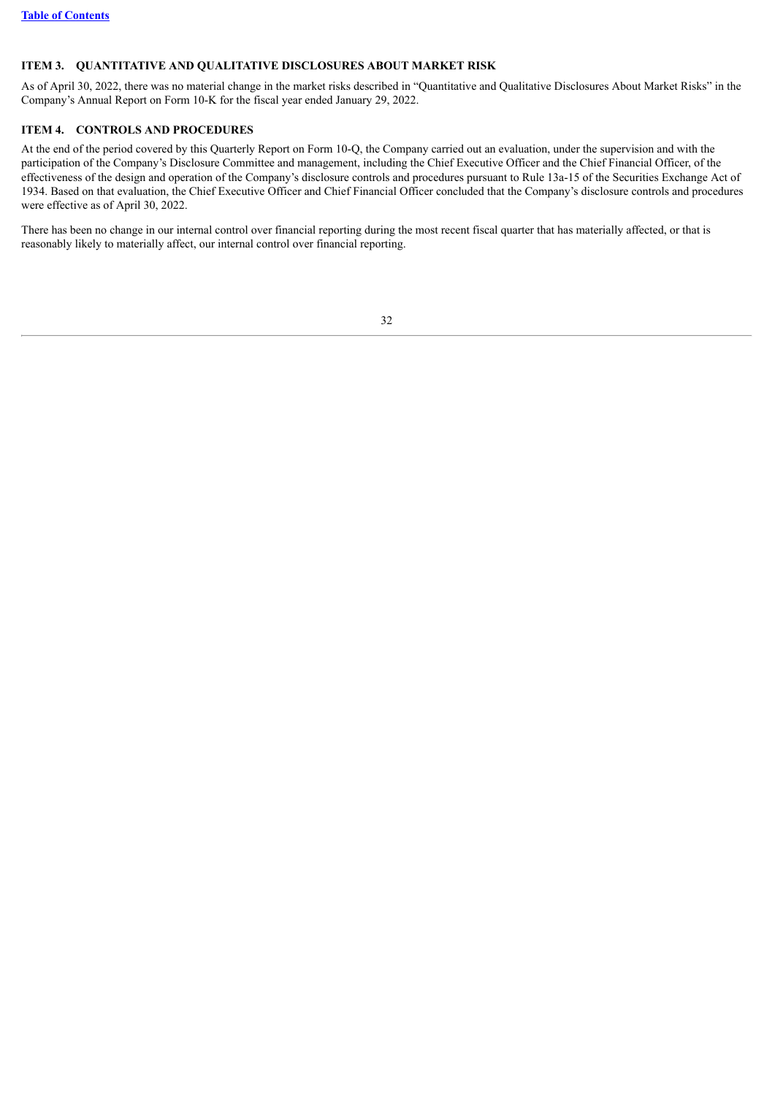#### **ITEM 3. QUANTITATIVE AND QUALITATIVE DISCLOSURES ABOUT MARKET RISK**

As of April 30, 2022, there was no material change in the market risks described in "Quantitative and Qualitative Disclosures About Market Risks" in the Company's Annual Report on Form 10-K for the fiscal year ended January 29, 2022.

### <span id="page-32-0"></span>**ITEM 4. CONTROLS AND PROCEDURES**

At the end of the period covered by this Quarterly Report on Form 10-Q, the Company carried out an evaluation, under the supervision and with the participation of the Company's Disclosure Committee and management, including the Chief Executive Officer and the Chief Financial Officer, of the effectiveness of the design and operation of the Company's disclosure controls and procedures pursuant to Rule 13a-15 of the Securities Exchange Act of 1934. Based on that evaluation, the Chief Executive Officer and Chief Financial Officer concluded that the Company's disclosure controls and procedures were effective as of April 30, 2022.

<span id="page-32-1"></span>There has been no change in our internal control over financial reporting during the most recent fiscal quarter that has materially affected, or that is reasonably likely to materially affect, our internal control over financial reporting.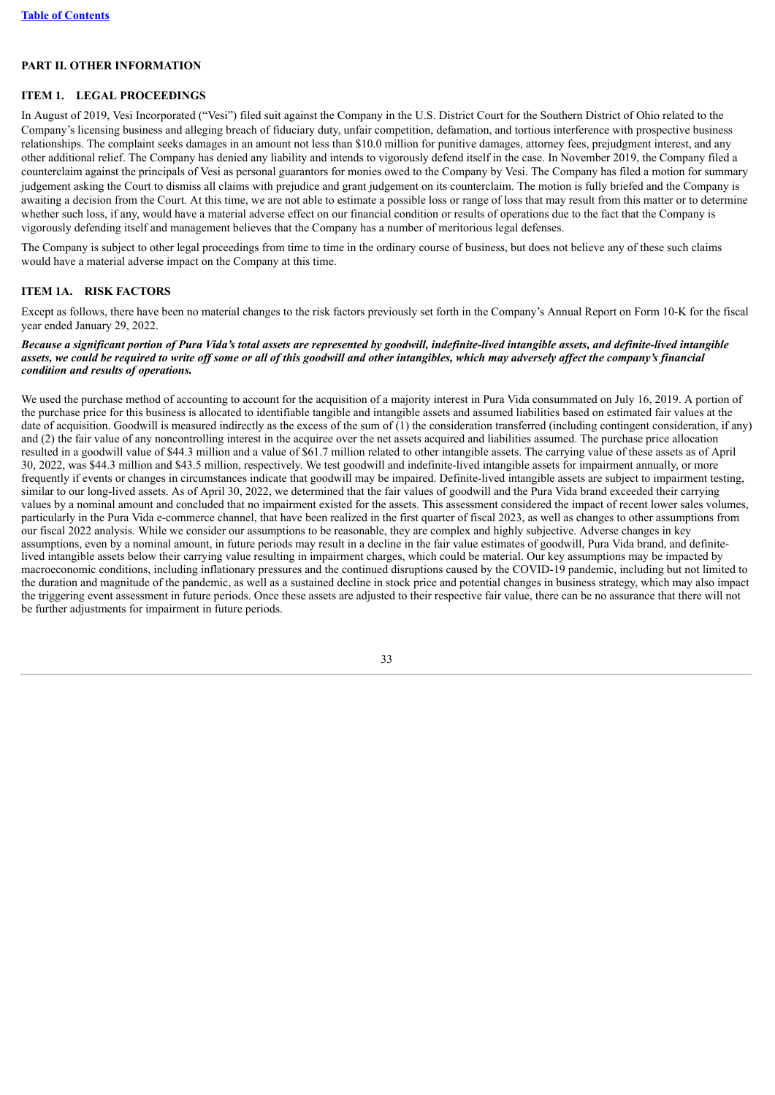#### **PART II. OTHER INFORMATION**

#### <span id="page-33-0"></span>**ITEM 1. LEGAL PROCEEDINGS**

In August of 2019, Vesi Incorporated ("Vesi") filed suit against the Company in the U.S. District Court for the Southern District of Ohio related to the Company's licensing business and alleging breach of fiduciary duty, unfair competition, defamation, and tortious interference with prospective business relationships. The complaint seeks damages in an amount not less than \$10.0 million for punitive damages, attorney fees, prejudgment interest, and any other additional relief. The Company has denied any liability and intends to vigorously defend itself in the case. In November 2019, the Company filed a counterclaim against the principals of Vesi as personal guarantors for monies owed to the Company by Vesi. The Company has filed a motion for summary judgement asking the Court to dismiss all claims with prejudice and grant judgement on its counterclaim. The motion is fully briefed and the Company is awaiting a decision from the Court. At this time, we are not able to estimate a possible loss or range of loss that may result from this matter or to determine whether such loss, if any, would have a material adverse effect on our financial condition or results of operations due to the fact that the Company is vigorously defending itself and management believes that the Company has a number of meritorious legal defenses.

The Company is subject to other legal proceedings from time to time in the ordinary course of business, but does not believe any of these such claims would have a material adverse impact on the Company at this time.

#### <span id="page-33-1"></span>**ITEM 1A. RISK FACTORS**

Except as follows, there have been no material changes to the risk factors previously set forth in the Company's Annual Report on Form 10-K for the fiscal year ended January 29, 2022.

#### Because a significant portion of Pura Vida's total assets are represented by goodwill, indefinite-lived intangible assets, and definite-lived intangible assets, we could be required to write off some or all of this goodwill and other intangibles, which may adversely affect the company's financial *condition and results of operations.*

<span id="page-33-2"></span>We used the purchase method of accounting to account for the acquisition of a majority interest in Pura Vida consummated on July 16, 2019. A portion of the purchase price for this business is allocated to identifiable tangible and intangible assets and assumed liabilities based on estimated fair values at the date of acquisition. Goodwill is measured indirectly as the excess of the sum of (1) the consideration transferred (including contingent consideration, if any) and (2) the fair value of any noncontrolling interest in the acquiree over the net assets acquired and liabilities assumed. The purchase price allocation resulted in a goodwill value of \$44.3 million and a value of \$61.7 million related to other intangible assets. The carrying value of these assets as of April 30, 2022, was \$44.3 million and \$43.5 million, respectively. We test goodwill and indefinite-lived intangible assets for impairment annually, or more frequently if events or changes in circumstances indicate that goodwill may be impaired. Definite-lived intangible assets are subject to impairment testing, similar to our long-lived assets. As of April 30, 2022, we determined that the fair values of goodwill and the Pura Vida brand exceeded their carrying values by a nominal amount and concluded that no impairment existed for the assets. This assessment considered the impact of recent lower sales volumes, particularly in the Pura Vida e-commerce channel, that have been realized in the first quarter of fiscal 2023, as well as changes to other assumptions from our fiscal 2022 analysis. While we consider our assumptions to be reasonable, they are complex and highly subjective. Adverse changes in key assumptions, even by a nominal amount, in future periods may result in a decline in the fair value estimates of goodwill, Pura Vida brand, and definitelived intangible assets below their carrying value resulting in impairment charges, which could be material. Our key assumptions may be impacted by macroeconomic conditions, including inflationary pressures and the continued disruptions caused by the COVID-19 pandemic, including but not limited to the duration and magnitude of the pandemic, as well as a sustained decline in stock price and potential changes in business strategy, which may also impact the triggering event assessment in future periods. Once these assets are adjusted to their respective fair value, there can be no assurance that there will not be further adjustments for impairment in future periods.

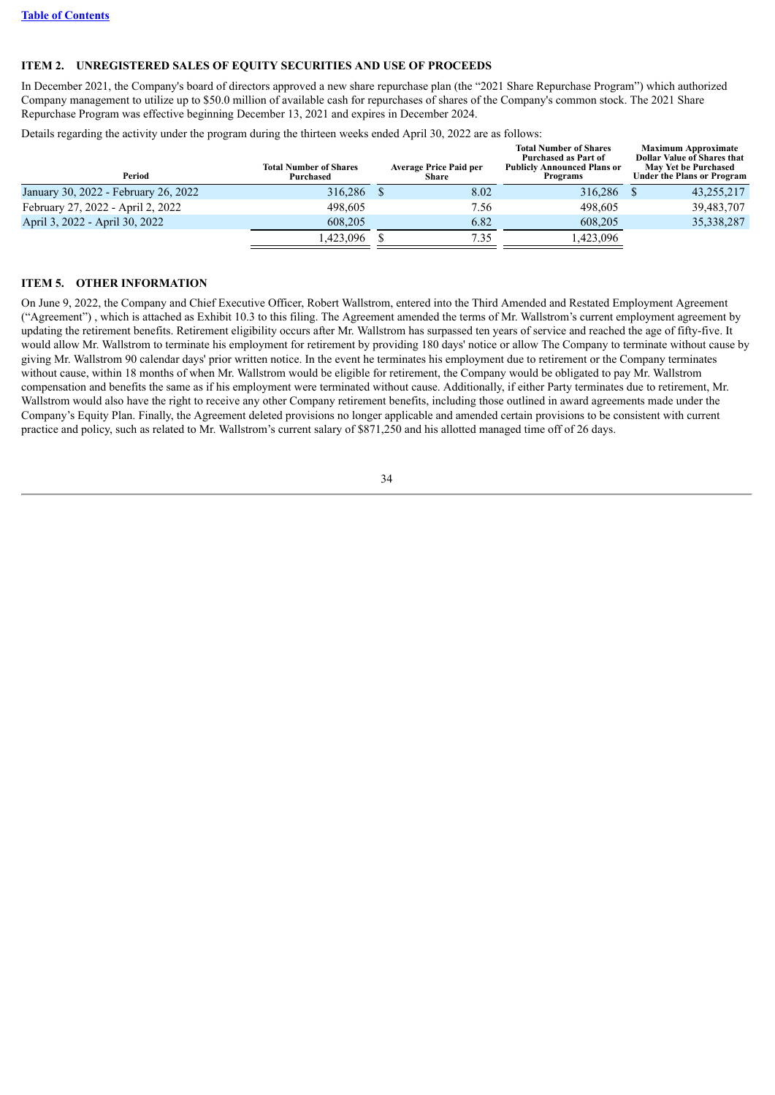#### **ITEM 2. UNREGISTERED SALES OF EQUITY SECURITIES AND USE OF PROCEEDS**

In December 2021, the Company's board of directors approved a new share repurchase plan (the "2021 Share Repurchase Program") which authorized Company management to utilize up to \$50.0 million of available cash for repurchases of shares of the Company's common stock. The 2021 Share Repurchase Program was effective beginning December 13, 2021 and expires in December 2024.

Details regarding the activity under the program during the thirteen weeks ended April 30, 2022 are as follows:

| Period                               | <b>Total Number of Shares</b><br>Purchased | <b>Average Price Paid per</b><br><b>Share</b> | <b>Total Number of Shares</b><br>Purchased as Part of<br><b>Publicly Announced Plans or</b><br>Programs | <b>Maximum Approximate</b><br><b>Dollar Value of Shares that</b><br><b>May Yet be Purchased</b><br>Under the Plans or Program |
|--------------------------------------|--------------------------------------------|-----------------------------------------------|---------------------------------------------------------------------------------------------------------|-------------------------------------------------------------------------------------------------------------------------------|
| January 30, 2022 - February 26, 2022 | 316,286                                    | 8.02                                          | 316,286                                                                                                 | 43,255,217                                                                                                                    |
| February 27, 2022 - April 2, 2022    | 498,605                                    | 7.56                                          | 498,605                                                                                                 | 39,483,707                                                                                                                    |
| April 3, 2022 - April 30, 2022       | 608.205                                    | 6.82                                          | 608.205                                                                                                 | 35, 338, 287                                                                                                                  |
|                                      | .423.096                                   | 7.35                                          | 423,096                                                                                                 |                                                                                                                               |

#### <span id="page-34-0"></span>**ITEM 5. OTHER INFORMATION**

<span id="page-34-1"></span>On June 9, 2022, the Company and Chief Executive Officer, Robert Wallstrom, entered into the Third Amended and Restated Employment Agreement ("Agreement") , which is attached as Exhibit 10.3 to this filing. The Agreement amended the terms of Mr. Wallstrom's current employment agreement by updating the retirement benefits. Retirement eligibility occurs after Mr. Wallstrom has surpassed ten years of service and reached the age of fifty-five. It would allow Mr. Wallstrom to terminate his employment for retirement by providing 180 days' notice or allow The Company to terminate without cause by giving Mr. Wallstrom 90 calendar days' prior written notice. In the event he terminates his employment due to retirement or the Company terminates without cause, within 18 months of when Mr. Wallstrom would be eligible for retirement, the Company would be obligated to pay Mr. Wallstrom compensation and benefits the same as if his employment were terminated without cause. Additionally, if either Party terminates due to retirement, Mr. Wallstrom would also have the right to receive any other Company retirement benefits, including those outlined in award agreements made under the Company's Equity Plan. Finally, the Agreement deleted provisions no longer applicable and amended certain provisions to be consistent with current practice and policy, such as related to Mr. Wallstrom's current salary of \$871,250 and his allotted managed time off of 26 days.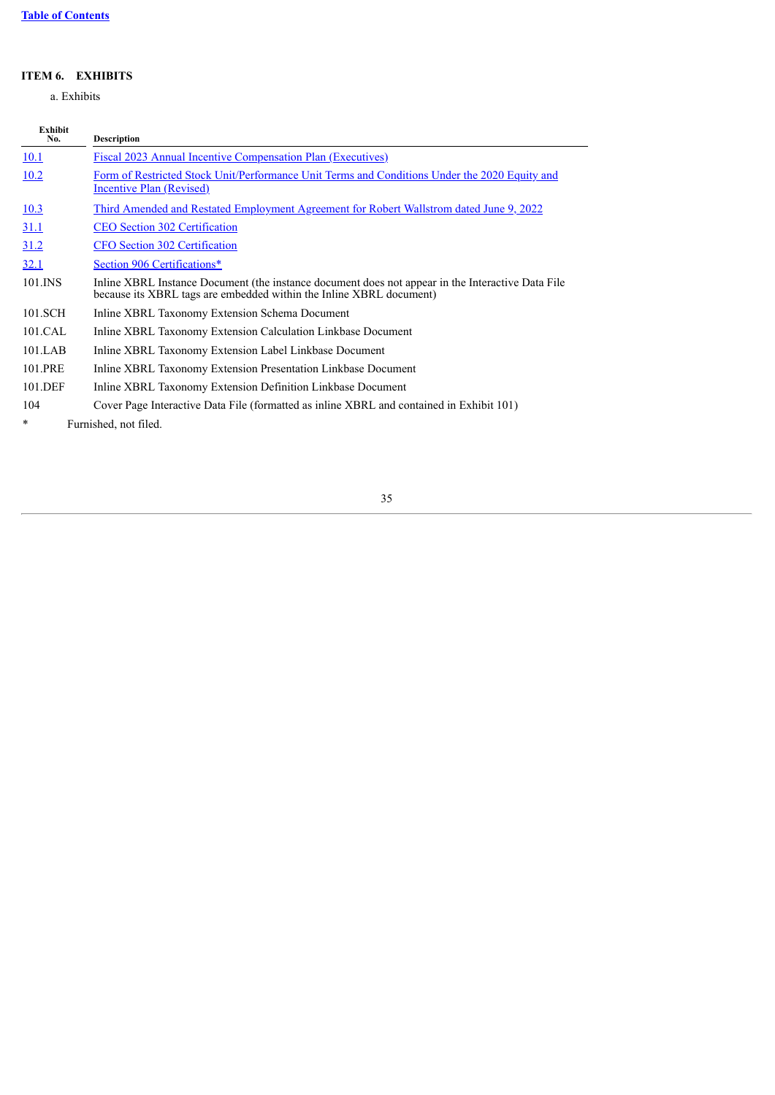### **ITEM 6. EXHIBITS**

a. Exhibits

| Exhibit<br>No. | <b>Description</b>                                                                                                                                                       |
|----------------|--------------------------------------------------------------------------------------------------------------------------------------------------------------------------|
| 10.1           | Fiscal 2023 Annual Incentive Compensation Plan (Executives)                                                                                                              |
| 10.2           | Form of Restricted Stock Unit/Performance Unit Terms and Conditions Under the 2020 Equity and<br>Incentive Plan (Revised)                                                |
| 10.3           | Third Amended and Restated Employment Agreement for Robert Wallstrom dated June 9, 2022                                                                                  |
| <u>31.1</u>    | <b>CEO Section 302 Certification</b>                                                                                                                                     |
| <u>31.2</u>    | CFO Section 302 Certification                                                                                                                                            |
| 32.1           | Section 906 Certifications*                                                                                                                                              |
| 101.INS        | Inline XBRL Instance Document (the instance document does not appear in the Interactive Data File<br>because its XBRL tags are embedded within the Inline XBRL document) |
| 101.SCH        | Inline XBRL Taxonomy Extension Schema Document                                                                                                                           |
| 101.CAL        | Inline XBRL Taxonomy Extension Calculation Linkbase Document                                                                                                             |
| $101$ LAB      | Inline XBRL Taxonomy Extension Label Linkbase Document                                                                                                                   |
| 101.PRE        | Inline XBRL Taxonomy Extension Presentation Linkbase Document                                                                                                            |
| 101.DEF        | Inline XBRL Taxonomy Extension Definition Linkbase Document                                                                                                              |
| 104            | Cover Page Interactive Data File (formatted as inline XBRL and contained in Exhibit 101)                                                                                 |
| *              | Furnished, not filed.                                                                                                                                                    |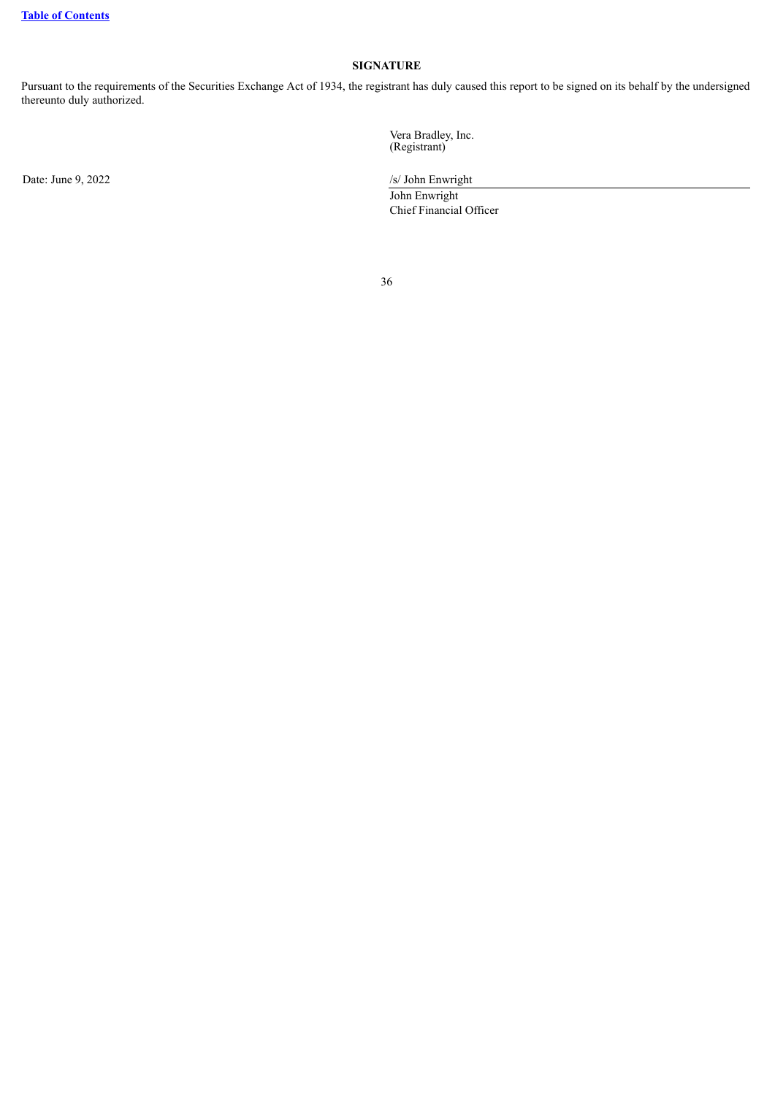### **SIGNATURE**

Pursuant to the requirements of the Securities Exchange Act of 1934, the registrant has duly caused this report to be signed on its behalf by the undersigned thereunto duly authorized.

> Vera Bradley, Inc. (Registrant)

Date: June 9, 2022 /s/ John Enwright

John Enwright Chief Financial Officer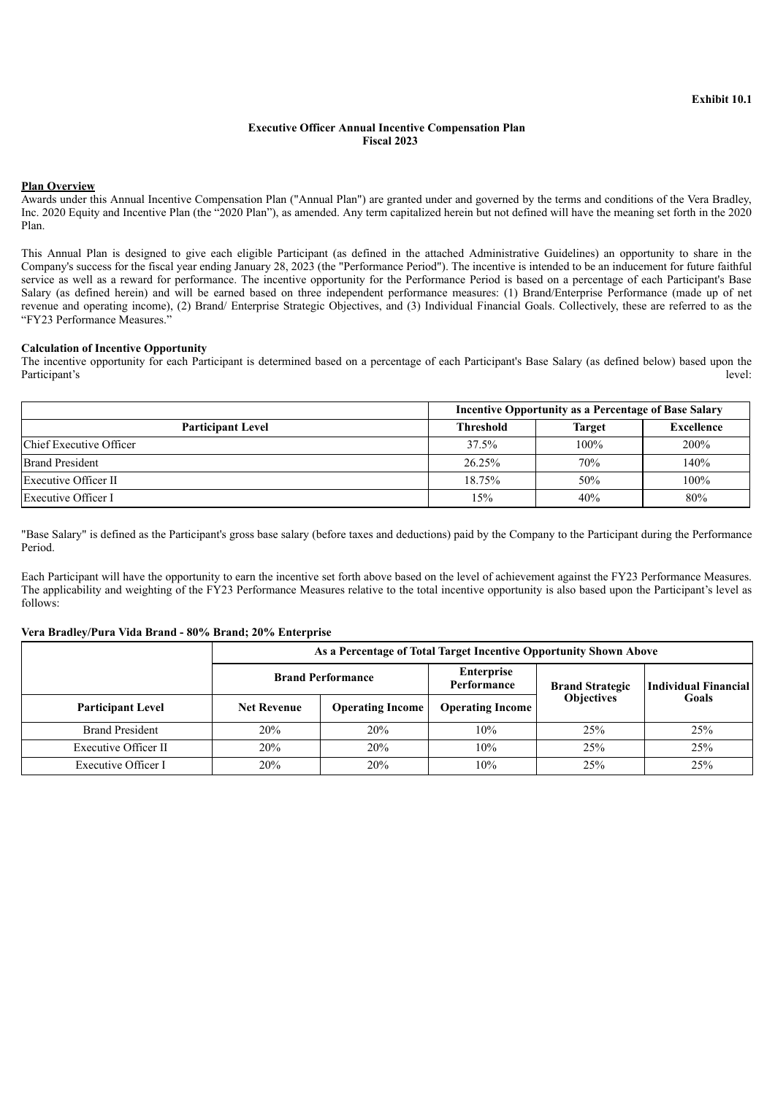#### **Executive Officer Annual Incentive Compensation Plan Fiscal 2023**

#### <span id="page-37-0"></span>**Plan Overview**

Awards under this Annual Incentive Compensation Plan ("Annual Plan") are granted under and governed by the terms and conditions of the Vera Bradley, Inc. 2020 Equity and Incentive Plan (the "2020 Plan"), as amended. Any term capitalized herein but not defined will have the meaning set forth in the 2020 Plan.

This Annual Plan is designed to give each eligible Participant (as defined in the attached Administrative Guidelines) an opportunity to share in the Company's success for the fiscal year ending January 28, 2023 (the "Performance Period"). The incentive is intended to be an inducement for future faithful service as well as a reward for performance. The incentive opportunity for the Performance Period is based on a percentage of each Participant's Base Salary (as defined herein) and will be earned based on three independent performance measures: (1) Brand/Enterprise Performance (made up of net revenue and operating income), (2) Brand/ Enterprise Strategic Objectives, and (3) Individual Financial Goals. Collectively, these are referred to as the "FY23 Performance Measures."

#### **Calculation of Incentive Opportunity**

The incentive opportunity for each Participant is determined based on a percentage of each Participant's Base Salary (as defined below) based upon the Participant's level:

|                          | <b>Incentive Opportunity as a Percentage of Base Salary</b> |               |            |  |  |
|--------------------------|-------------------------------------------------------------|---------------|------------|--|--|
| <b>Participant Level</b> | <b>Threshold</b>                                            | <b>Target</b> | Excellence |  |  |
| Chief Executive Officer  | 37.5%                                                       | 100%          | 200%       |  |  |
| <b>Brand President</b>   | 26.25%                                                      | 70%           | 140%       |  |  |
| Executive Officer II     | 18.75%                                                      | 50%           | 100%       |  |  |
| Executive Officer I      | 15%                                                         | 40%           | 80%        |  |  |

"Base Salary" is defined as the Participant's gross base salary (before taxes and deductions) paid by the Company to the Participant during the Performance Period.

Each Participant will have the opportunity to earn the incentive set forth above based on the level of achievement against the FY23 Performance Measures. The applicability and weighting of the FY23 Performance Measures relative to the total incentive opportunity is also based upon the Participant's level as follows:

#### **Vera Bradley/Pura Vida Brand - 80% Brand; 20% Enterprise**

|                          | As a Percentage of Total Target Incentive Opportunity Shown Above |                          |                                              |                        |                             |  |  |
|--------------------------|-------------------------------------------------------------------|--------------------------|----------------------------------------------|------------------------|-----------------------------|--|--|
|                          |                                                                   | <b>Brand Performance</b> | <b>Enterprise</b><br>Performance             | <b>Brand Strategic</b> | <b>Individual Financial</b> |  |  |
| <b>Participant Level</b> | <b>Net Revenue</b>                                                | <b>Operating Income</b>  | <b>Objectives</b><br><b>Operating Income</b> |                        | Goals                       |  |  |
| <b>Brand President</b>   | 20%                                                               | 20%                      | 10%                                          | 25%                    | <b>25%</b>                  |  |  |
| Executive Officer II     | 20%                                                               | 20%                      | 10%                                          | 25%                    | 25%                         |  |  |
| Executive Officer I      | 20%                                                               | 20%                      | 10%                                          | 25%                    | 25%                         |  |  |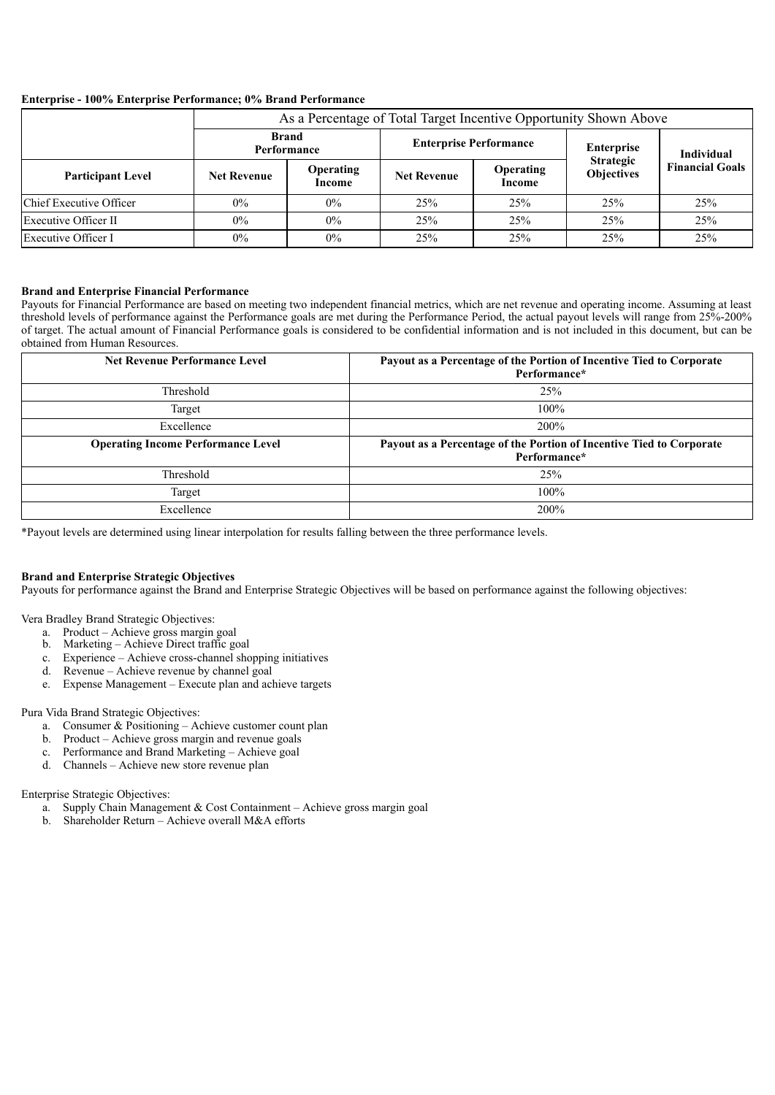#### **Enterprise - 100% Enterprise Performance; 0% Brand Performance**

|                          |                             | As a Percentage of Total Target Incentive Opportunity Shown Above |                               |                     |                                       |                        |  |
|--------------------------|-----------------------------|-------------------------------------------------------------------|-------------------------------|---------------------|---------------------------------------|------------------------|--|
|                          | <b>Brand</b><br>Performance |                                                                   | <b>Enterprise Performance</b> |                     | <b>Enterprise</b>                     | <b>Individual</b>      |  |
| <b>Participant Level</b> | <b>Net Revenue</b>          | <b>Operating</b><br>Income                                        | <b>Net Revenue</b>            | Operating<br>Income | <b>Strategic</b><br><b>Objectives</b> | <b>Financial Goals</b> |  |
| Chief Executive Officer  | $0\%$                       | $0\%$                                                             | 25%                           | 25%                 | 25%                                   | 25%                    |  |
| Executive Officer II     | $0\%$                       | $0\%$                                                             | 25%                           | 25%                 | 25%                                   | 25%                    |  |
| Executive Officer I      | $0\%$                       | $0\%$                                                             | 25%                           | 25%                 | 25%                                   | 25%                    |  |

#### **Brand and Enterprise Financial Performance**

Payouts for Financial Performance are based on meeting two independent financial metrics, which are net revenue and operating income. Assuming at least threshold levels of performance against the Performance goals are met during the Performance Period, the actual payout levels will range from 25%-200% of target. The actual amount of Financial Performance goals is considered to be confidential information and is not included in this document, but can be obtained from Human Resources.

| <b>Net Revenue Performance Level</b>      | Payout as a Percentage of the Portion of Incentive Tied to Corporate<br>Performance* |
|-------------------------------------------|--------------------------------------------------------------------------------------|
| Threshold                                 | 25%                                                                                  |
| Target                                    | 100%                                                                                 |
| Excellence                                | 200%                                                                                 |
| <b>Operating Income Performance Level</b> | Payout as a Percentage of the Portion of Incentive Tied to Corporate<br>Performance* |
| Threshold                                 | 25%                                                                                  |
| Target                                    | 100%                                                                                 |
| Excellence                                | 200%                                                                                 |

\*Payout levels are determined using linear interpolation for results falling between the three performance levels.

#### **Brand and Enterprise Strategic Objectives**

Payouts for performance against the Brand and Enterprise Strategic Objectives will be based on performance against the following objectives:

Vera Bradley Brand Strategic Objectives:

- a. Product Achieve gross margin goal
- b. Marketing Achieve Direct traffic goal
- c. Experience Achieve cross-channel shopping initiatives
- d. Revenue Achieve revenue by channel goal
- e. Expense Management Execute plan and achieve targets

Pura Vida Brand Strategic Objectives:

- a. Consumer & Positioning Achieve customer count plan
- b. Product Achieve gross margin and revenue goals
- c. Performance and Brand Marketing Achieve goal
- d. Channels Achieve new store revenue plan

Enterprise Strategic Objectives:

- a. Supply Chain Management & Cost Containment Achieve gross margin goal
- b. Shareholder Return Achieve overall M&A efforts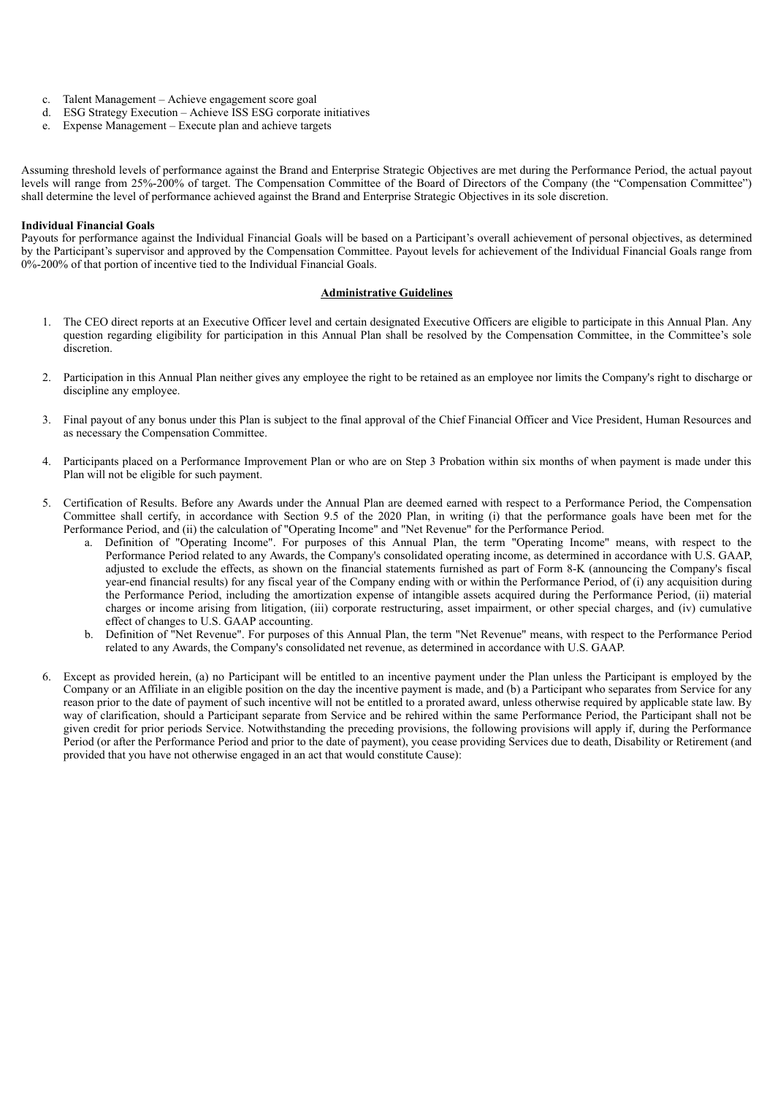- c. Talent Management Achieve engagement score goal
- d. ESG Strategy Execution Achieve ISS ESG corporate initiatives
- e. Expense Management Execute plan and achieve targets

Assuming threshold levels of performance against the Brand and Enterprise Strategic Objectives are met during the Performance Period, the actual payout levels will range from 25%-200% of target. The Compensation Committee of the Board of Directors of the Company (the "Compensation Committee") shall determine the level of performance achieved against the Brand and Enterprise Strategic Objectives in its sole discretion.

#### **Individual Financial Goals**

Payouts for performance against the Individual Financial Goals will be based on a Participant's overall achievement of personal objectives, as determined by the Participant's supervisor and approved by the Compensation Committee. Payout levels for achievement of the Individual Financial Goals range from 0%-200% of that portion of incentive tied to the Individual Financial Goals.

#### **Administrative Guidelines**

- 1. The CEO direct reports at an Executive Officer level and certain designated Executive Officers are eligible to participate in this Annual Plan. Any question regarding eligibility for participation in this Annual Plan shall be resolved by the Compensation Committee, in the Committee's sole discretion.
- 2. Participation in this Annual Plan neither gives any employee the right to be retained as an employee nor limits the Company's right to discharge or discipline any employee.
- 3. Final payout of any bonus under this Plan is subject to the final approval of the Chief Financial Officer and Vice President, Human Resources and as necessary the Compensation Committee.
- 4. Participants placed on a Performance Improvement Plan or who are on Step 3 Probation within six months of when payment is made under this Plan will not be eligible for such payment.
- 5. Certification of Results. Before any Awards under the Annual Plan are deemed earned with respect to a Performance Period, the Compensation Committee shall certify, in accordance with Section 9.5 of the 2020 Plan, in writing (i) that the performance goals have been met for the Performance Period, and (ii) the calculation of "Operating Income" and "Net Revenue" for the Performance Period.
	- a. Definition of "Operating Income". For purposes of this Annual Plan, the term "Operating Income" means, with respect to the Performance Period related to any Awards, the Company's consolidated operating income, as determined in accordance with U.S. GAAP, adjusted to exclude the effects, as shown on the financial statements furnished as part of Form 8-K (announcing the Company's fiscal year-end financial results) for any fiscal year of the Company ending with or within the Performance Period, of (i) any acquisition during the Performance Period, including the amortization expense of intangible assets acquired during the Performance Period, (ii) material charges or income arising from litigation, (iii) corporate restructuring, asset impairment, or other special charges, and (iv) cumulative effect of changes to U.S. GAAP accounting.
	- b. Definition of "Net Revenue". For purposes of this Annual Plan, the term "Net Revenue" means, with respect to the Performance Period related to any Awards, the Company's consolidated net revenue, as determined in accordance with U.S. GAAP.
- 6. Except as provided herein, (a) no Participant will be entitled to an incentive payment under the Plan unless the Participant is employed by the Company or an Affiliate in an eligible position on the day the incentive payment is made, and (b) a Participant who separates from Service for any reason prior to the date of payment of such incentive will not be entitled to a prorated award, unless otherwise required by applicable state law. By way of clarification, should a Participant separate from Service and be rehired within the same Performance Period, the Participant shall not be given credit for prior periods Service. Notwithstanding the preceding provisions, the following provisions will apply if, during the Performance Period (or after the Performance Period and prior to the date of payment), you cease providing Services due to death, Disability or Retirement (and provided that you have not otherwise engaged in an act that would constitute Cause):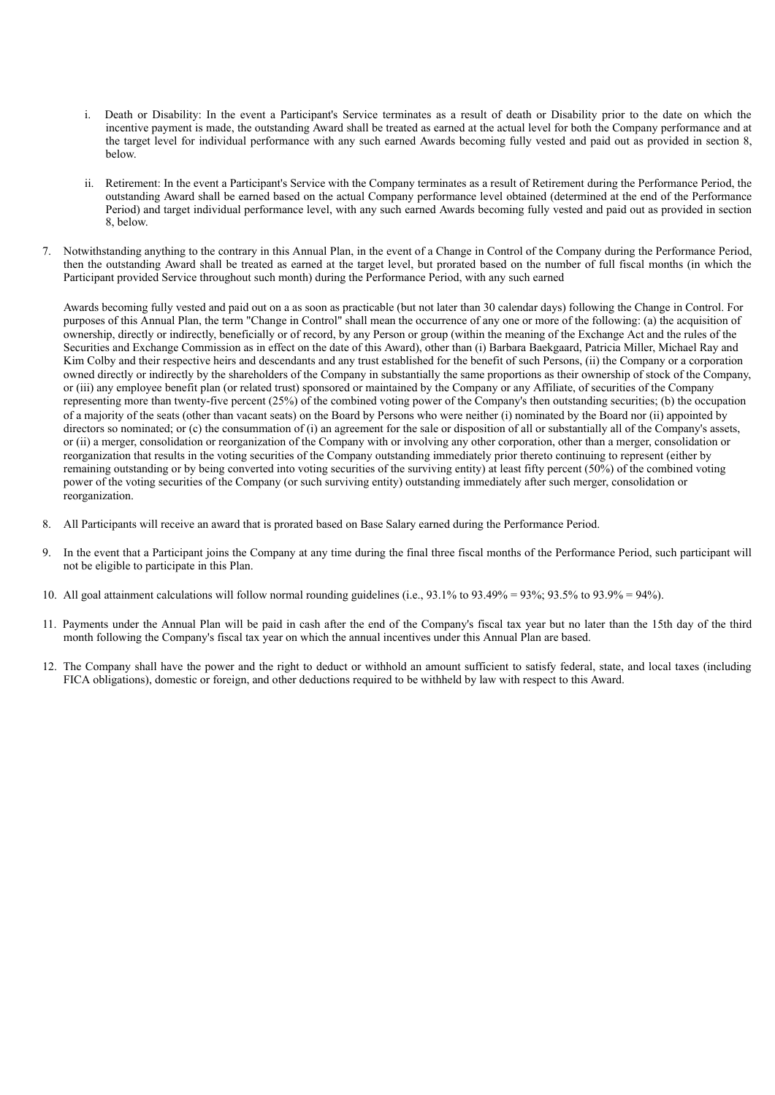- i. Death or Disability: In the event a Participant's Service terminates as a result of death or Disability prior to the date on which the incentive payment is made, the outstanding Award shall be treated as earned at the actual level for both the Company performance and at the target level for individual performance with any such earned Awards becoming fully vested and paid out as provided in section 8, below.
- ii. Retirement: In the event a Participant's Service with the Company terminates as a result of Retirement during the Performance Period, the outstanding Award shall be earned based on the actual Company performance level obtained (determined at the end of the Performance Period) and target individual performance level, with any such earned Awards becoming fully vested and paid out as provided in section 8, below.
- 7. Notwithstanding anything to the contrary in this Annual Plan, in the event of a Change in Control of the Company during the Performance Period, then the outstanding Award shall be treated as earned at the target level, but prorated based on the number of full fiscal months (in which the Participant provided Service throughout such month) during the Performance Period, with any such earned

Awards becoming fully vested and paid out on a as soon as practicable (but not later than 30 calendar days) following the Change in Control. For purposes of this Annual Plan, the term "Change in Control" shall mean the occurrence of any one or more of the following: (a) the acquisition of ownership, directly or indirectly, beneficially or of record, by any Person or group (within the meaning of the Exchange Act and the rules of the Securities and Exchange Commission as in effect on the date of this Award), other than (i) Barbara Baekgaard, Patricia Miller, Michael Ray and Kim Colby and their respective heirs and descendants and any trust established for the benefit of such Persons, (ii) the Company or a corporation owned directly or indirectly by the shareholders of the Company in substantially the same proportions as their ownership of stock of the Company, or (iii) any employee benefit plan (or related trust) sponsored or maintained by the Company or any Affiliate, of securities of the Company representing more than twenty-five percent (25%) of the combined voting power of the Company's then outstanding securities; (b) the occupation of a majority of the seats (other than vacant seats) on the Board by Persons who were neither (i) nominated by the Board nor (ii) appointed by directors so nominated; or (c) the consummation of (i) an agreement for the sale or disposition of all or substantially all of the Company's assets, or (ii) a merger, consolidation or reorganization of the Company with or involving any other corporation, other than a merger, consolidation or reorganization that results in the voting securities of the Company outstanding immediately prior thereto continuing to represent (either by remaining outstanding or by being converted into voting securities of the surviving entity) at least fifty percent (50%) of the combined voting power of the voting securities of the Company (or such surviving entity) outstanding immediately after such merger, consolidation or reorganization.

- 8. All Participants will receive an award that is prorated based on Base Salary earned during the Performance Period.
- 9. In the event that a Participant joins the Company at any time during the final three fiscal months of the Performance Period, such participant will not be eligible to participate in this Plan.
- 10. All goal attainment calculations will follow normal rounding guidelines (i.e.,  $93.1\%$  to  $93.49\% = 93\%$ ;  $93.5\%$  to  $93.9\% = 94\%$ ).
- 11. Payments under the Annual Plan will be paid in cash after the end of the Company's fiscal tax year but no later than the 15th day of the third month following the Company's fiscal tax year on which the annual incentives under this Annual Plan are based.
- 12. The Company shall have the power and the right to deduct or withhold an amount sufficient to satisfy federal, state, and local taxes (including FICA obligations), domestic or foreign, and other deductions required to be withheld by law with respect to this Award.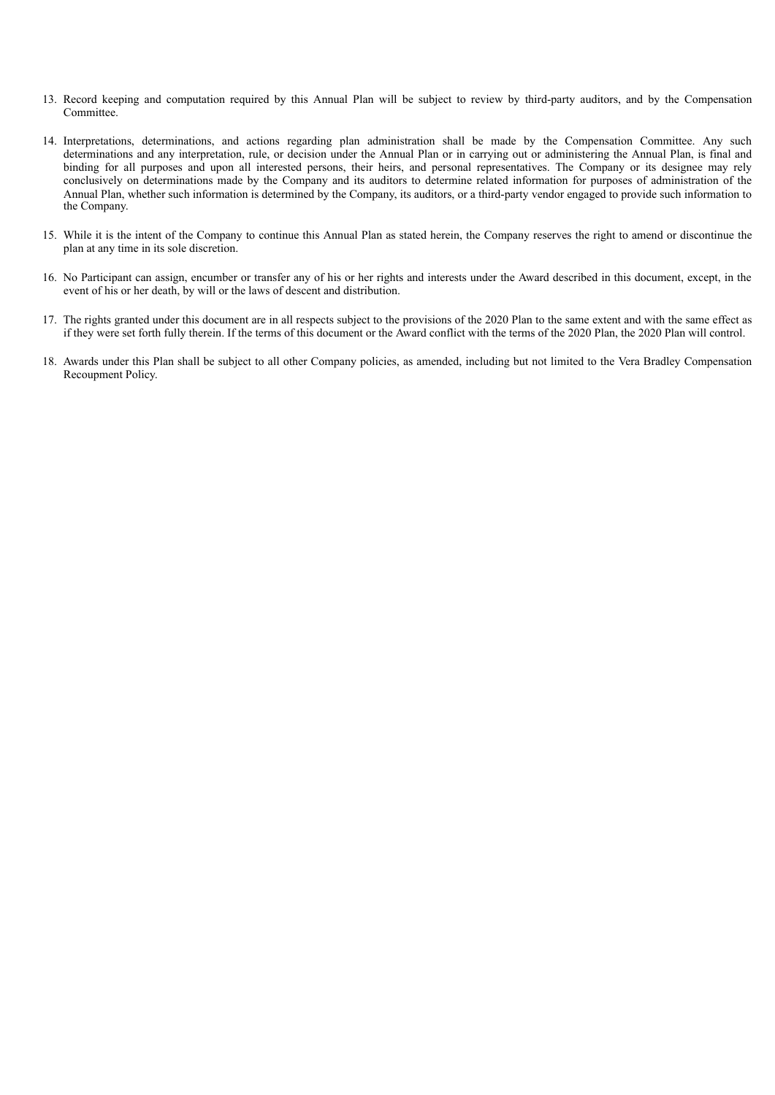- 13. Record keeping and computation required by this Annual Plan will be subject to review by third-party auditors, and by the Compensation Committee.
- 14. Interpretations, determinations, and actions regarding plan administration shall be made by the Compensation Committee. Any such determinations and any interpretation, rule, or decision under the Annual Plan or in carrying out or administering the Annual Plan, is final and binding for all purposes and upon all interested persons, their heirs, and personal representatives. The Company or its designee may rely conclusively on determinations made by the Company and its auditors to determine related information for purposes of administration of the Annual Plan, whether such information is determined by the Company, its auditors, or a third-party vendor engaged to provide such information to the Company.
- 15. While it is the intent of the Company to continue this Annual Plan as stated herein, the Company reserves the right to amend or discontinue the plan at any time in its sole discretion.
- 16. No Participant can assign, encumber or transfer any of his or her rights and interests under the Award described in this document, except, in the event of his or her death, by will or the laws of descent and distribution.
- 17. The rights granted under this document are in all respects subject to the provisions of the 2020 Plan to the same extent and with the same effect as if they were set forth fully therein. If the terms of this document or the Award conflict with the terms of the 2020 Plan, the 2020 Plan will control.
- 18. Awards under this Plan shall be subject to all other Company policies, as amended, including but not limited to the Vera Bradley Compensation Recoupment Policy.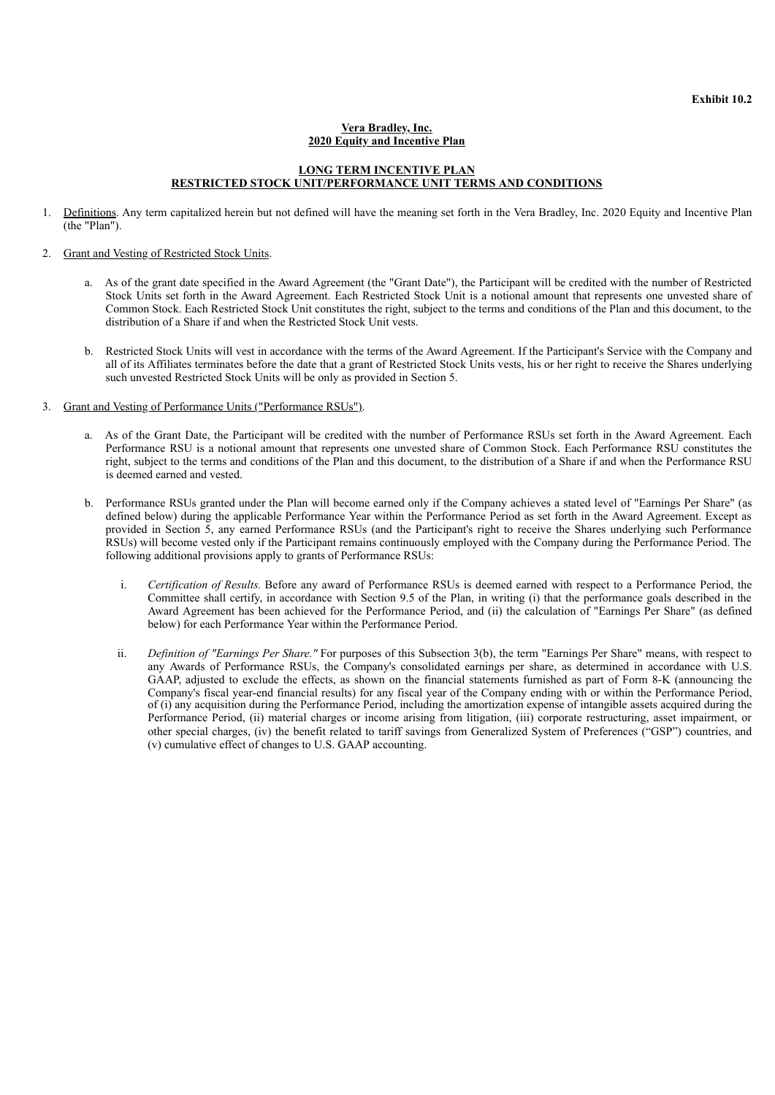#### **Vera Bradley, Inc. 2020 Equity and Incentive Plan**

#### **LONG TERM INCENTIVE PLAN RESTRICTED STOCK UNIT/PERFORMANCE UNIT TERMS AND CONDITIONS**

- <span id="page-42-0"></span>1. Definitions. Any term capitalized herein but not defined will have the meaning set forth in the Vera Bradley, Inc. 2020 Equity and Incentive Plan (the "Plan").
- 2. Grant and Vesting of Restricted Stock Units.
	- a. As of the grant date specified in the Award Agreement (the "Grant Date"), the Participant will be credited with the number of Restricted Stock Units set forth in the Award Agreement. Each Restricted Stock Unit is a notional amount that represents one unvested share of Common Stock. Each Restricted Stock Unit constitutes the right, subject to the terms and conditions of the Plan and this document, to the distribution of a Share if and when the Restricted Stock Unit vests.
	- b. Restricted Stock Units will vest in accordance with the terms of the Award Agreement. If the Participant's Service with the Company and all of its Affiliates terminates before the date that a grant of Restricted Stock Units vests, his or her right to receive the Shares underlying such unvested Restricted Stock Units will be only as provided in Section 5.
- 3. Grant and Vesting of Performance Units ("Performance RSUs").
	- a. As of the Grant Date, the Participant will be credited with the number of Performance RSUs set forth in the Award Agreement. Each Performance RSU is a notional amount that represents one unvested share of Common Stock. Each Performance RSU constitutes the right, subject to the terms and conditions of the Plan and this document, to the distribution of a Share if and when the Performance RSU is deemed earned and vested.
	- b. Performance RSUs granted under the Plan will become earned only if the Company achieves a stated level of "Earnings Per Share" (as defined below) during the applicable Performance Year within the Performance Period as set forth in the Award Agreement. Except as provided in Section 5, any earned Performance RSUs (and the Participant's right to receive the Shares underlying such Performance RSUs) will become vested only if the Participant remains continuously employed with the Company during the Performance Period. The following additional provisions apply to grants of Performance RSUs:
		- i. *Certification of Results.* Before any award of Performance RSUs is deemed earned with respect to a Performance Period, the Committee shall certify, in accordance with Section 9.5 of the Plan, in writing (i) that the performance goals described in the Award Agreement has been achieved for the Performance Period, and (ii) the calculation of "Earnings Per Share" (as defined below) for each Performance Year within the Performance Period.
		- ii. *Definition of "Earnings Per Share."* For purposes of this Subsection 3(b), the term "Earnings Per Share" means, with respect to any Awards of Performance RSUs, the Company's consolidated earnings per share, as determined in accordance with U.S. GAAP, adjusted to exclude the effects, as shown on the financial statements furnished as part of Form 8-K (announcing the Company's fiscal year-end financial results) for any fiscal year of the Company ending with or within the Performance Period, of (i) any acquisition during the Performance Period, including the amortization expense of intangible assets acquired during the Performance Period, (ii) material charges or income arising from litigation, (iii) corporate restructuring, asset impairment, or other special charges, (iv) the benefit related to tariff savings from Generalized System of Preferences ("GSP") countries, and (v) cumulative effect of changes to U.S. GAAP accounting.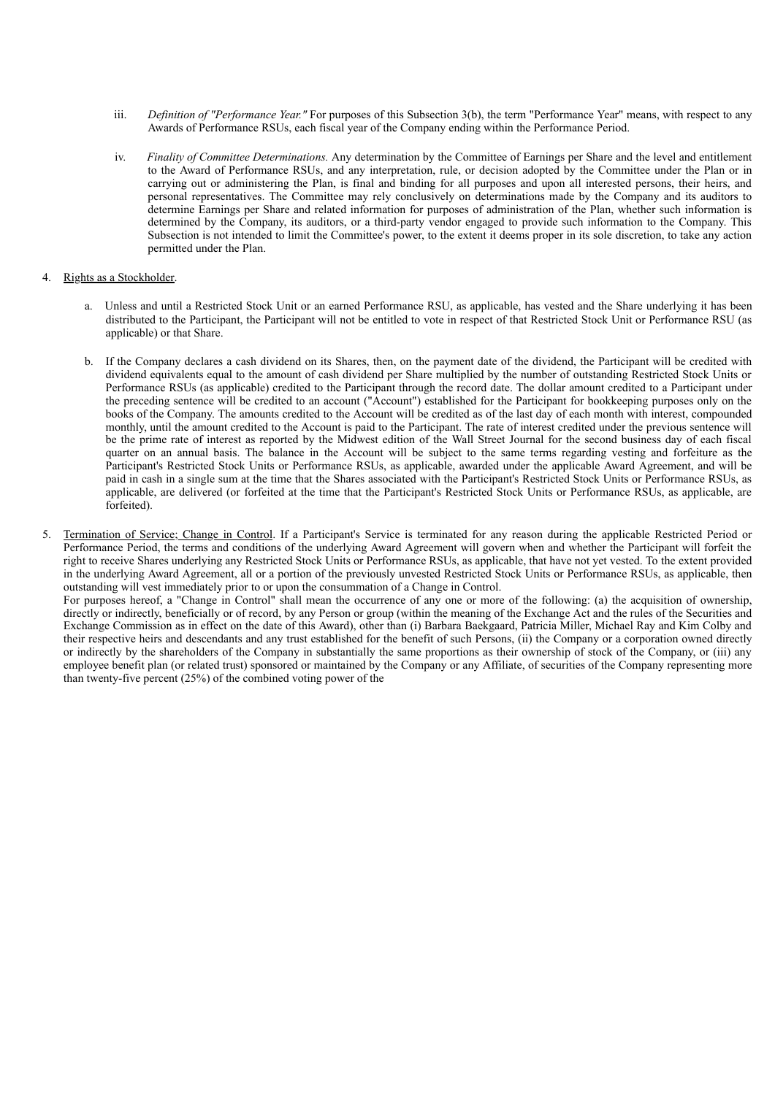- iii. *Definition of "Performance Year."* For purposes of this Subsection 3(b), the term "Performance Year" means, with respect to any Awards of Performance RSUs, each fiscal year of the Company ending within the Performance Period.
- iv. *Finality of Committee Determinations.* Any determination by the Committee of Earnings per Share and the level and entitlement to the Award of Performance RSUs, and any interpretation, rule, or decision adopted by the Committee under the Plan or in carrying out or administering the Plan, is final and binding for all purposes and upon all interested persons, their heirs, and personal representatives. The Committee may rely conclusively on determinations made by the Company and its auditors to determine Earnings per Share and related information for purposes of administration of the Plan, whether such information is determined by the Company, its auditors, or a third-party vendor engaged to provide such information to the Company. This Subsection is not intended to limit the Committee's power, to the extent it deems proper in its sole discretion, to take any action permitted under the Plan.
- 4. Rights as a Stockholder.
	- a. Unless and until a Restricted Stock Unit or an earned Performance RSU, as applicable, has vested and the Share underlying it has been distributed to the Participant, the Participant will not be entitled to vote in respect of that Restricted Stock Unit or Performance RSU (as applicable) or that Share.
	- b. If the Company declares a cash dividend on its Shares, then, on the payment date of the dividend, the Participant will be credited with dividend equivalents equal to the amount of cash dividend per Share multiplied by the number of outstanding Restricted Stock Units or Performance RSUs (as applicable) credited to the Participant through the record date. The dollar amount credited to a Participant under the preceding sentence will be credited to an account ("Account") established for the Participant for bookkeeping purposes only on the books of the Company. The amounts credited to the Account will be credited as of the last day of each month with interest, compounded monthly, until the amount credited to the Account is paid to the Participant. The rate of interest credited under the previous sentence will be the prime rate of interest as reported by the Midwest edition of the Wall Street Journal for the second business day of each fiscal quarter on an annual basis. The balance in the Account will be subject to the same terms regarding vesting and forfeiture as the Participant's Restricted Stock Units or Performance RSUs, as applicable, awarded under the applicable Award Agreement, and will be paid in cash in a single sum at the time that the Shares associated with the Participant's Restricted Stock Units or Performance RSUs, as applicable, are delivered (or forfeited at the time that the Participant's Restricted Stock Units or Performance RSUs, as applicable, are forfeited).
- 5. Termination of Service; Change in Control. If a Participant's Service is terminated for any reason during the applicable Restricted Period or Performance Period, the terms and conditions of the underlying Award Agreement will govern when and whether the Participant will forfeit the right to receive Shares underlying any Restricted Stock Units or Performance RSUs, as applicable, that have not yet vested. To the extent provided in the underlying Award Agreement, all or a portion of the previously unvested Restricted Stock Units or Performance RSUs, as applicable, then outstanding will vest immediately prior to or upon the consummation of a Change in Control. For purposes hereof, a "Change in Control" shall mean the occurrence of any one or more of the following: (a) the acquisition of ownership, directly or indirectly, beneficially or of record, by any Person or group (within the meaning of the Exchange Act and the rules of the Securities and Exchange Commission as in effect on the date of this Award), other than (i) Barbara Baekgaard, Patricia Miller, Michael Ray and Kim Colby and their respective heirs and descendants and any trust established for the benefit of such Persons, (ii) the Company or a corporation owned directly or indirectly by the shareholders of the Company in substantially the same proportions as their ownership of stock of the Company, or (iii) any employee benefit plan (or related trust) sponsored or maintained by the Company or any Affiliate, of securities of the Company representing more than twenty-five percent (25%) of the combined voting power of the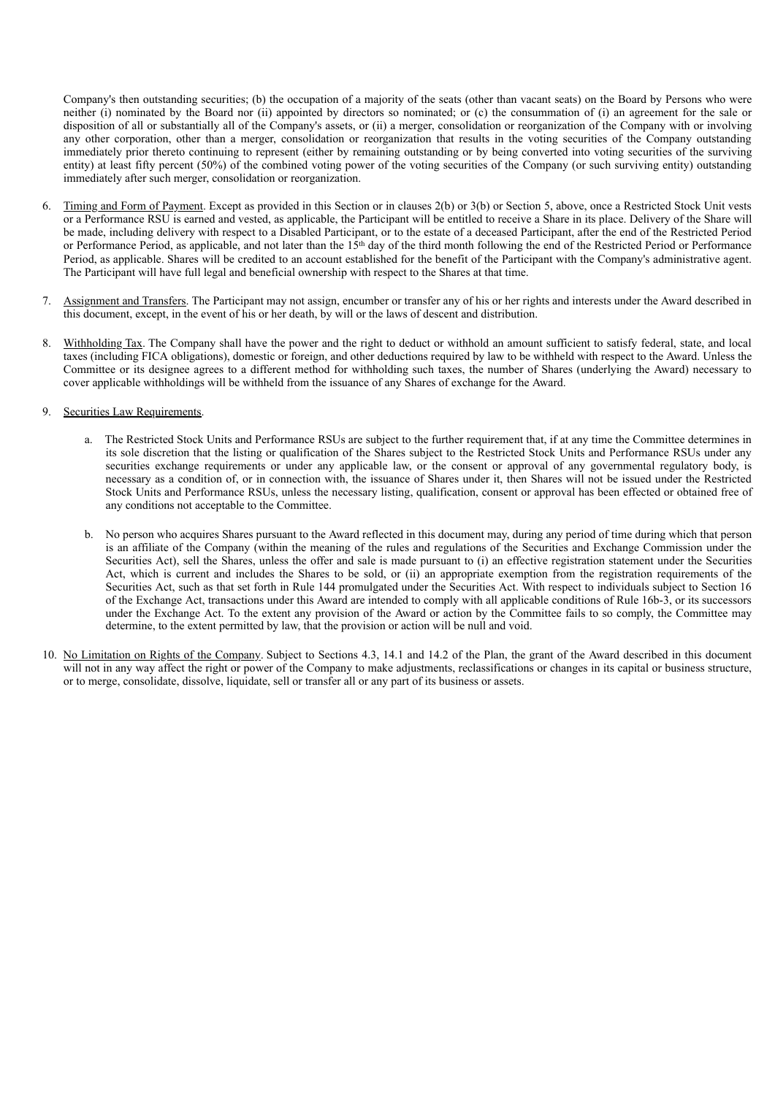Company's then outstanding securities; (b) the occupation of a majority of the seats (other than vacant seats) on the Board by Persons who were neither (i) nominated by the Board nor (ii) appointed by directors so nominated; or (c) the consummation of (i) an agreement for the sale or disposition of all or substantially all of the Company's assets, or (ii) a merger, consolidation or reorganization of the Company with or involving any other corporation, other than a merger, consolidation or reorganization that results in the voting securities of the Company outstanding immediately prior thereto continuing to represent (either by remaining outstanding or by being converted into voting securities of the surviving entity) at least fifty percent (50%) of the combined voting power of the voting securities of the Company (or such surviving entity) outstanding immediately after such merger, consolidation or reorganization.

- 6. Timing and Form of Payment. Except as provided in this Section or in clauses 2(b) or 3(b) or Section 5, above, once a Restricted Stock Unit vests or a Performance RSU is earned and vested, as applicable, the Participant will be entitled to receive a Share in its place. Delivery of the Share will be made, including delivery with respect to a Disabled Participant, or to the estate of a deceased Participant, after the end of the Restricted Period or Performance Period, as applicable, and not later than the  $15<sup>th</sup>$  day of the third month following the end of the Restricted Period or Performance Period, as applicable. Shares will be credited to an account established for the benefit of the Participant with the Company's administrative agent. The Participant will have full legal and beneficial ownership with respect to the Shares at that time.
- 7. Assignment and Transfers. The Participant may not assign, encumber or transfer any of his or her rights and interests under the Award described in this document, except, in the event of his or her death, by will or the laws of descent and distribution.
- Withholding Tax. The Company shall have the power and the right to deduct or withhold an amount sufficient to satisfy federal, state, and local taxes (including FICA obligations), domestic or foreign, and other deductions required by law to be withheld with respect to the Award. Unless the Committee or its designee agrees to a different method for withholding such taxes, the number of Shares (underlying the Award) necessary to cover applicable withholdings will be withheld from the issuance of any Shares of exchange for the Award.
- 9. Securities Law Requirements.
	- a. The Restricted Stock Units and Performance RSUs are subject to the further requirement that, if at any time the Committee determines in its sole discretion that the listing or qualification of the Shares subject to the Restricted Stock Units and Performance RSUs under any securities exchange requirements or under any applicable law, or the consent or approval of any governmental regulatory body, is necessary as a condition of, or in connection with, the issuance of Shares under it, then Shares will not be issued under the Restricted Stock Units and Performance RSUs, unless the necessary listing, qualification, consent or approval has been effected or obtained free of any conditions not acceptable to the Committee.
	- b. No person who acquires Shares pursuant to the Award reflected in this document may, during any period of time during which that person is an affiliate of the Company (within the meaning of the rules and regulations of the Securities and Exchange Commission under the Securities Act), sell the Shares, unless the offer and sale is made pursuant to (i) an effective registration statement under the Securities Act, which is current and includes the Shares to be sold, or (ii) an appropriate exemption from the registration requirements of the Securities Act, such as that set forth in Rule 144 promulgated under the Securities Act. With respect to individuals subject to Section 16 of the Exchange Act, transactions under this Award are intended to comply with all applicable conditions of Rule 16b-3, or its successors under the Exchange Act. To the extent any provision of the Award or action by the Committee fails to so comply, the Committee may determine, to the extent permitted by law, that the provision or action will be null and void.
- 10. No Limitation on Rights of the Company. Subject to Sections 4.3, 14.1 and 14.2 of the Plan, the grant of the Award described in this document will not in any way affect the right or power of the Company to make adjustments, reclassifications or changes in its capital or business structure, or to merge, consolidate, dissolve, liquidate, sell or transfer all or any part of its business or assets.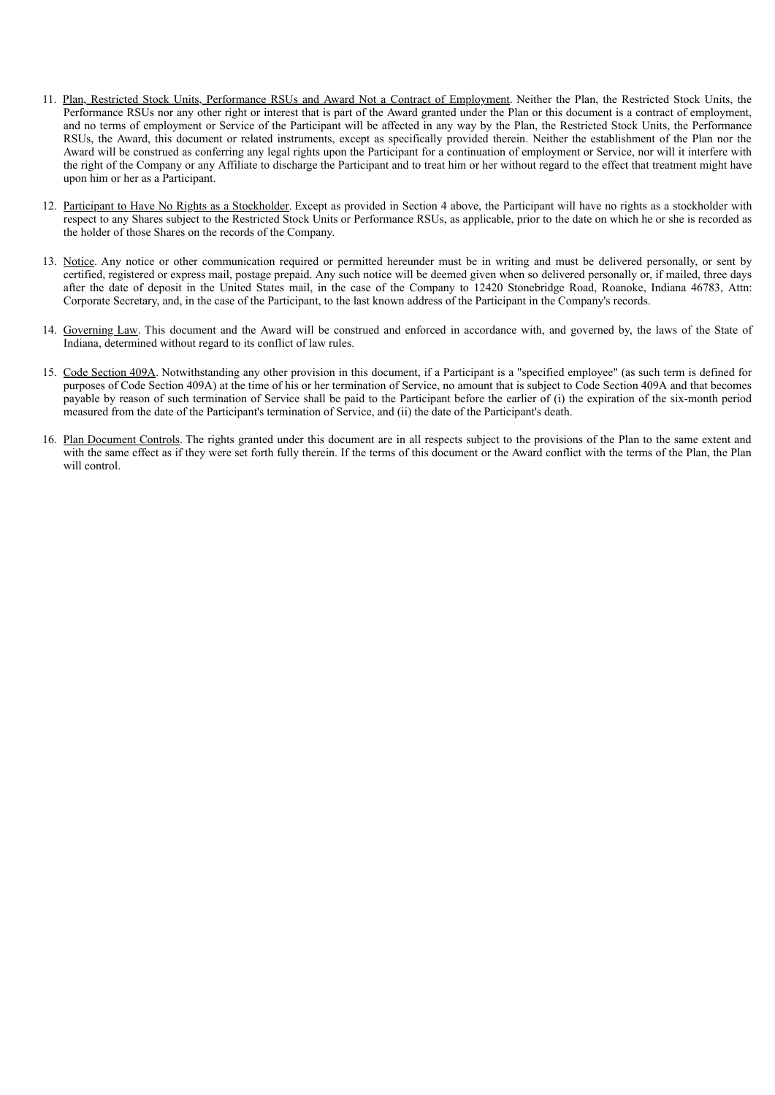- 11. Plan, Restricted Stock Units, Performance RSUs and Award Not a Contract of Employment. Neither the Plan, the Restricted Stock Units, the Performance RSUs nor any other right or interest that is part of the Award granted under the Plan or this document is a contract of employment, and no terms of employment or Service of the Participant will be affected in any way by the Plan, the Restricted Stock Units, the Performance RSUs, the Award, this document or related instruments, except as specifically provided therein. Neither the establishment of the Plan nor the Award will be construed as conferring any legal rights upon the Participant for a continuation of employment or Service, nor will it interfere with the right of the Company or any Affiliate to discharge the Participant and to treat him or her without regard to the effect that treatment might have upon him or her as a Participant.
- 12. Participant to Have No Rights as a Stockholder. Except as provided in Section 4 above, the Participant will have no rights as a stockholder with respect to any Shares subject to the Restricted Stock Units or Performance RSUs, as applicable, prior to the date on which he or she is recorded as the holder of those Shares on the records of the Company.
- 13. Notice. Any notice or other communication required or permitted hereunder must be in writing and must be delivered personally, or sent by certified, registered or express mail, postage prepaid. Any such notice will be deemed given when so delivered personally or, if mailed, three days after the date of deposit in the United States mail, in the case of the Company to 12420 Stonebridge Road, Roanoke, Indiana 46783, Attn: Corporate Secretary, and, in the case of the Participant, to the last known address of the Participant in the Company's records.
- 14. Governing Law. This document and the Award will be construed and enforced in accordance with, and governed by, the laws of the State of Indiana, determined without regard to its conflict of law rules.
- 15. Code Section 409A. Notwithstanding any other provision in this document, if a Participant is a "specified employee" (as such term is defined for purposes of Code Section 409A) at the time of his or her termination of Service, no amount that is subject to Code Section 409A and that becomes payable by reason of such termination of Service shall be paid to the Participant before the earlier of (i) the expiration of the six-month period measured from the date of the Participant's termination of Service, and (ii) the date of the Participant's death.
- 16. Plan Document Controls. The rights granted under this document are in all respects subject to the provisions of the Plan to the same extent and with the same effect as if they were set forth fully therein. If the terms of this document or the Award conflict with the terms of the Plan, the Plan will control.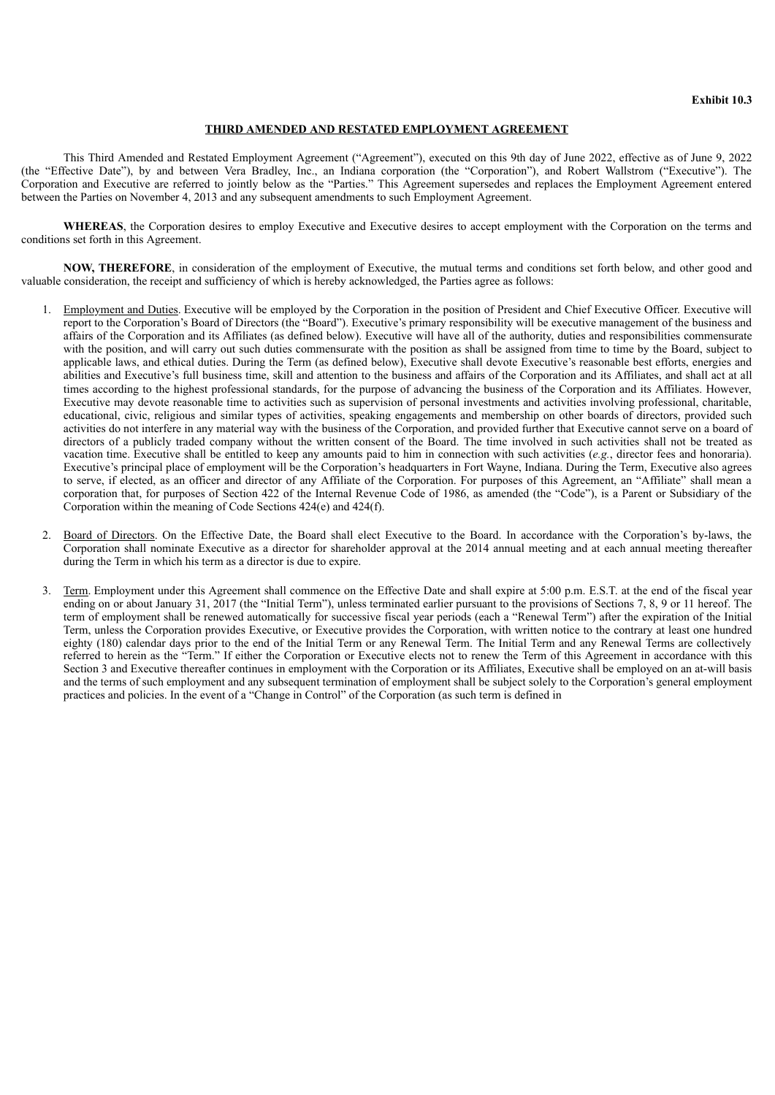#### **THIRD AMENDED AND RESTATED EMPLOYMENT AGREEMENT**

<span id="page-46-0"></span>This Third Amended and Restated Employment Agreement ("Agreement"), executed on this 9th day of June 2022, effective as of June 9, 2022 (the "Effective Date"), by and between Vera Bradley, Inc., an Indiana corporation (the "Corporation"), and Robert Wallstrom ("Executive"). The Corporation and Executive are referred to jointly below as the "Parties." This Agreement supersedes and replaces the Employment Agreement entered between the Parties on November 4, 2013 and any subsequent amendments to such Employment Agreement.

**WHEREAS**, the Corporation desires to employ Executive and Executive desires to accept employment with the Corporation on the terms and conditions set forth in this Agreement.

**NOW, THEREFORE**, in consideration of the employment of Executive, the mutual terms and conditions set forth below, and other good and valuable consideration, the receipt and sufficiency of which is hereby acknowledged, the Parties agree as follows:

- 1. Employment and Duties. Executive will be employed by the Corporation in the position of President and Chief Executive Officer. Executive will report to the Corporation's Board of Directors (the "Board"). Executive's primary responsibility will be executive management of the business and affairs of the Corporation and its Affiliates (as defined below). Executive will have all of the authority, duties and responsibilities commensurate with the position, and will carry out such duties commensurate with the position as shall be assigned from time to time by the Board, subject to applicable laws, and ethical duties. During the Term (as defined below), Executive shall devote Executive's reasonable best efforts, energies and abilities and Executive's full business time, skill and attention to the business and affairs of the Corporation and its Affiliates, and shall act at all times according to the highest professional standards, for the purpose of advancing the business of the Corporation and its Affiliates. However, Executive may devote reasonable time to activities such as supervision of personal investments and activities involving professional, charitable, educational, civic, religious and similar types of activities, speaking engagements and membership on other boards of directors, provided such activities do not interfere in any material way with the business of the Corporation, and provided further that Executive cannot serve on a board of directors of a publicly traded company without the written consent of the Board. The time involved in such activities shall not be treated as vacation time. Executive shall be entitled to keep any amounts paid to him in connection with such activities (*e.g.*, director fees and honoraria). Executive's principal place of employment will be the Corporation's headquarters in Fort Wayne, Indiana. During the Term, Executive also agrees to serve, if elected, as an officer and director of any Affiliate of the Corporation. For purposes of this Agreement, an "Affiliate" shall mean a corporation that, for purposes of Section 422 of the Internal Revenue Code of 1986, as amended (the "Code"), is a Parent or Subsidiary of the Corporation within the meaning of Code Sections 424(e) and 424(f).
- 2. Board of Directors. On the Effective Date, the Board shall elect Executive to the Board. In accordance with the Corporation's by-laws, the Corporation shall nominate Executive as a director for shareholder approval at the 2014 annual meeting and at each annual meeting thereafter during the Term in which his term as a director is due to expire.
- 3. Term. Employment under this Agreement shall commence on the Effective Date and shall expire at 5:00 p.m. E.S.T. at the end of the fiscal year ending on or about January 31, 2017 (the "Initial Term"), unless terminated earlier pursuant to the provisions of Sections 7, 8, 9 or 11 hereof. The term of employment shall be renewed automatically for successive fiscal year periods (each a "Renewal Term") after the expiration of the Initial Term, unless the Corporation provides Executive, or Executive provides the Corporation, with written notice to the contrary at least one hundred eighty (180) calendar days prior to the end of the Initial Term or any Renewal Term. The Initial Term and any Renewal Terms are collectively referred to herein as the "Term." If either the Corporation or Executive elects not to renew the Term of this Agreement in accordance with this Section 3 and Executive thereafter continues in employment with the Corporation or its Affiliates, Executive shall be employed on an at-will basis and the terms of such employment and any subsequent termination of employment shall be subject solely to the Corporation's general employment practices and policies. In the event of a "Change in Control" of the Corporation (as such term is defined in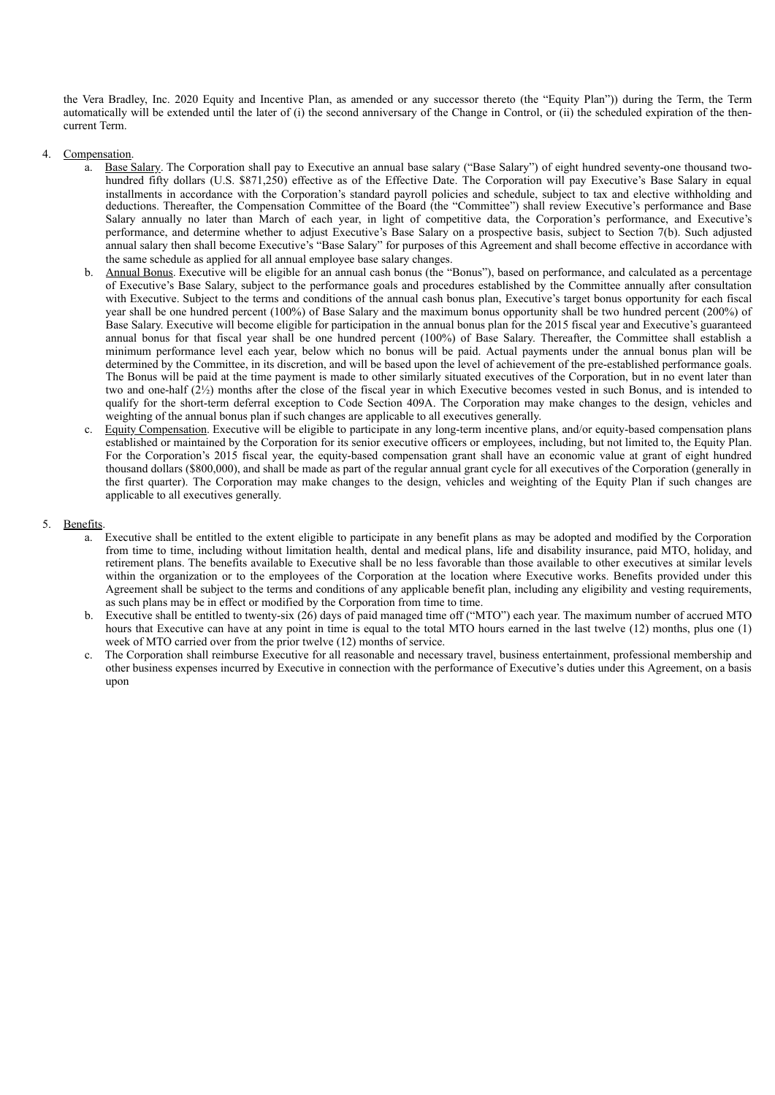the Vera Bradley, Inc. 2020 Equity and Incentive Plan, as amended or any successor thereto (the "Equity Plan")) during the Term, the Term automatically will be extended until the later of (i) the second anniversary of the Change in Control, or (ii) the scheduled expiration of the thencurrent Term.

#### 4. Compensation.

- a. Base Salary. The Corporation shall pay to Executive an annual base salary ("Base Salary") of eight hundred seventy-one thousand twohundred fifty dollars (U.S. \$871,250) effective as of the Effective Date. The Corporation will pay Executive's Base Salary in equal installments in accordance with the Corporation's standard payroll policies and schedule, subject to tax and elective withholding and deductions. Thereafter, the Compensation Committee of the Board (the "Committee") shall review Executive's performance and Base Salary annually no later than March of each year, in light of competitive data, the Corporation's performance, and Executive's performance, and determine whether to adjust Executive's Base Salary on a prospective basis, subject to Section 7(b). Such adjusted annual salary then shall become Executive's "Base Salary" for purposes of this Agreement and shall become effective in accordance with the same schedule as applied for all annual employee base salary changes.
- b. Annual Bonus. Executive will be eligible for an annual cash bonus (the "Bonus"), based on performance, and calculated as a percentage of Executive's Base Salary, subject to the performance goals and procedures established by the Committee annually after consultation with Executive. Subject to the terms and conditions of the annual cash bonus plan, Executive's target bonus opportunity for each fiscal year shall be one hundred percent (100%) of Base Salary and the maximum bonus opportunity shall be two hundred percent (200%) of Base Salary. Executive will become eligible for participation in the annual bonus plan for the 2015 fiscal year and Executive's guaranteed annual bonus for that fiscal year shall be one hundred percent (100%) of Base Salary. Thereafter, the Committee shall establish a minimum performance level each year, below which no bonus will be paid. Actual payments under the annual bonus plan will be determined by the Committee, in its discretion, and will be based upon the level of achievement of the pre-established performance goals. The Bonus will be paid at the time payment is made to other similarly situated executives of the Corporation, but in no event later than two and one-half (2½) months after the close of the fiscal year in which Executive becomes vested in such Bonus, and is intended to qualify for the short-term deferral exception to Code Section 409A. The Corporation may make changes to the design, vehicles and weighting of the annual bonus plan if such changes are applicable to all executives generally.
- c. Equity Compensation. Executive will be eligible to participate in any long-term incentive plans, and/or equity-based compensation plans established or maintained by the Corporation for its senior executive officers or employees, including, but not limited to, the Equity Plan. For the Corporation's 2015 fiscal year, the equity-based compensation grant shall have an economic value at grant of eight hundred thousand dollars (\$800,000), and shall be made as part of the regular annual grant cycle for all executives of the Corporation (generally in the first quarter). The Corporation may make changes to the design, vehicles and weighting of the Equity Plan if such changes are applicable to all executives generally.

#### 5. Benefits.

- a. Executive shall be entitled to the extent eligible to participate in any benefit plans as may be adopted and modified by the Corporation from time to time, including without limitation health, dental and medical plans, life and disability insurance, paid MTO, holiday, and retirement plans. The benefits available to Executive shall be no less favorable than those available to other executives at similar levels within the organization or to the employees of the Corporation at the location where Executive works. Benefits provided under this Agreement shall be subject to the terms and conditions of any applicable benefit plan, including any eligibility and vesting requirements, as such plans may be in effect or modified by the Corporation from time to time.
- b. Executive shall be entitled to twenty-six (26) days of paid managed time off ("MTO") each year. The maximum number of accrued MTO hours that Executive can have at any point in time is equal to the total MTO hours earned in the last twelve (12) months, plus one (1) week of MTO carried over from the prior twelve (12) months of service.
- c. The Corporation shall reimburse Executive for all reasonable and necessary travel, business entertainment, professional membership and other business expenses incurred by Executive in connection with the performance of Executive's duties under this Agreement, on a basis upon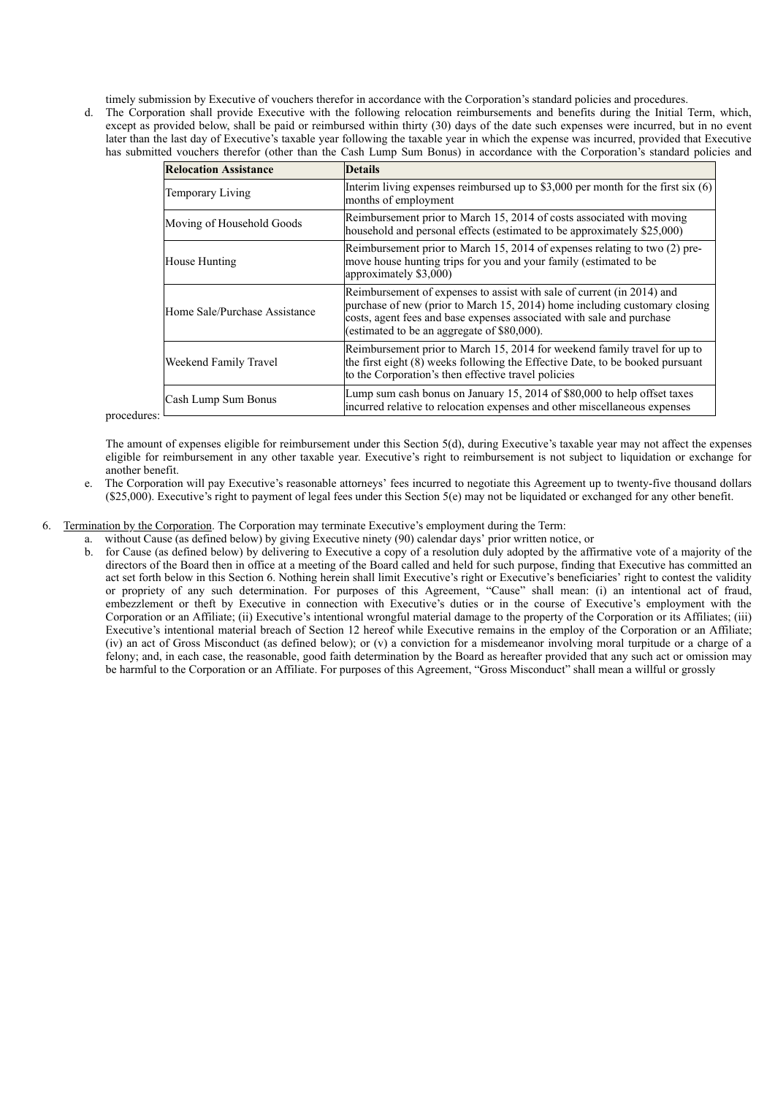timely submission by Executive of vouchers therefor in accordance with the Corporation's standard policies and procedures.

d. The Corporation shall provide Executive with the following relocation reimbursements and benefits during the Initial Term, which, except as provided below, shall be paid or reimbursed within thirty (30) days of the date such expenses were incurred, but in no event later than the last day of Executive's taxable year following the taxable year in which the expense was incurred, provided that Executive has submitted vouchers therefor (other than the Cash Lump Sum Bonus) in accordance with the Corporation's standard policies and

| <b>Relocation Assistance</b>  | <b>Details</b>                                                                                                                                                                                                                                                               |
|-------------------------------|------------------------------------------------------------------------------------------------------------------------------------------------------------------------------------------------------------------------------------------------------------------------------|
| <b>Temporary Living</b>       | Interim living expenses reimbursed up to $$3,000$ per month for the first six (6)<br>months of employment                                                                                                                                                                    |
| Moving of Household Goods     | Reimbursement prior to March 15, 2014 of costs associated with moving<br>household and personal effects (estimated to be approximately \$25,000)                                                                                                                             |
| House Hunting                 | Reimbursement prior to March 15, 2014 of expenses relating to two (2) pre-<br>move house hunting trips for you and your family (estimated to be<br>approximately \$3,000)                                                                                                    |
| Home Sale/Purchase Assistance | Reimbursement of expenses to assist with sale of current (in 2014) and<br>purchase of new (prior to March 15, 2014) home including customary closing<br>costs, agent fees and base expenses associated with sale and purchase<br>(estimated to be an aggregate of \$80,000). |
| Weekend Family Travel         | Reimbursement prior to March 15, 2014 for weekend family travel for up to<br>the first eight (8) weeks following the Effective Date, to be booked pursuant<br>to the Corporation's then effective travel policies                                                            |
| Cash Lump Sum Bonus           | Lump sum cash bonus on January 15, 2014 of \$80,000 to help offset taxes<br>incurred relative to relocation expenses and other miscellaneous expenses                                                                                                                        |

procedures:

The amount of expenses eligible for reimbursement under this Section 5(d), during Executive's taxable year may not affect the expenses eligible for reimbursement in any other taxable year. Executive's right to reimbursement is not subject to liquidation or exchange for another benefit.

e. The Corporation will pay Executive's reasonable attorneys' fees incurred to negotiate this Agreement up to twenty-five thousand dollars (\$25,000). Executive's right to payment of legal fees under this Section 5(e) may not be liquidated or exchanged for any other benefit.

6. Termination by the Corporation. The Corporation may terminate Executive's employment during the Term:

without Cause (as defined below) by giving Executive ninety (90) calendar days' prior written notice, or

b. for Cause (as defined below) by delivering to Executive a copy of a resolution duly adopted by the affirmative vote of a majority of the directors of the Board then in office at a meeting of the Board called and held for such purpose, finding that Executive has committed an act set forth below in this Section 6. Nothing herein shall limit Executive's right or Executive's beneficiaries' right to contest the validity or propriety of any such determination. For purposes of this Agreement, "Cause" shall mean: (i) an intentional act of fraud, embezzlement or theft by Executive in connection with Executive's duties or in the course of Executive's employment with the Corporation or an Affiliate; (ii) Executive's intentional wrongful material damage to the property of the Corporation or its Affiliates; (iii) Executive's intentional material breach of Section 12 hereof while Executive remains in the employ of the Corporation or an Affiliate; (iv) an act of Gross Misconduct (as defined below); or (v) a conviction for a misdemeanor involving moral turpitude or a charge of a felony; and, in each case, the reasonable, good faith determination by the Board as hereafter provided that any such act or omission may be harmful to the Corporation or an Affiliate. For purposes of this Agreement, "Gross Misconduct" shall mean a willful or grossly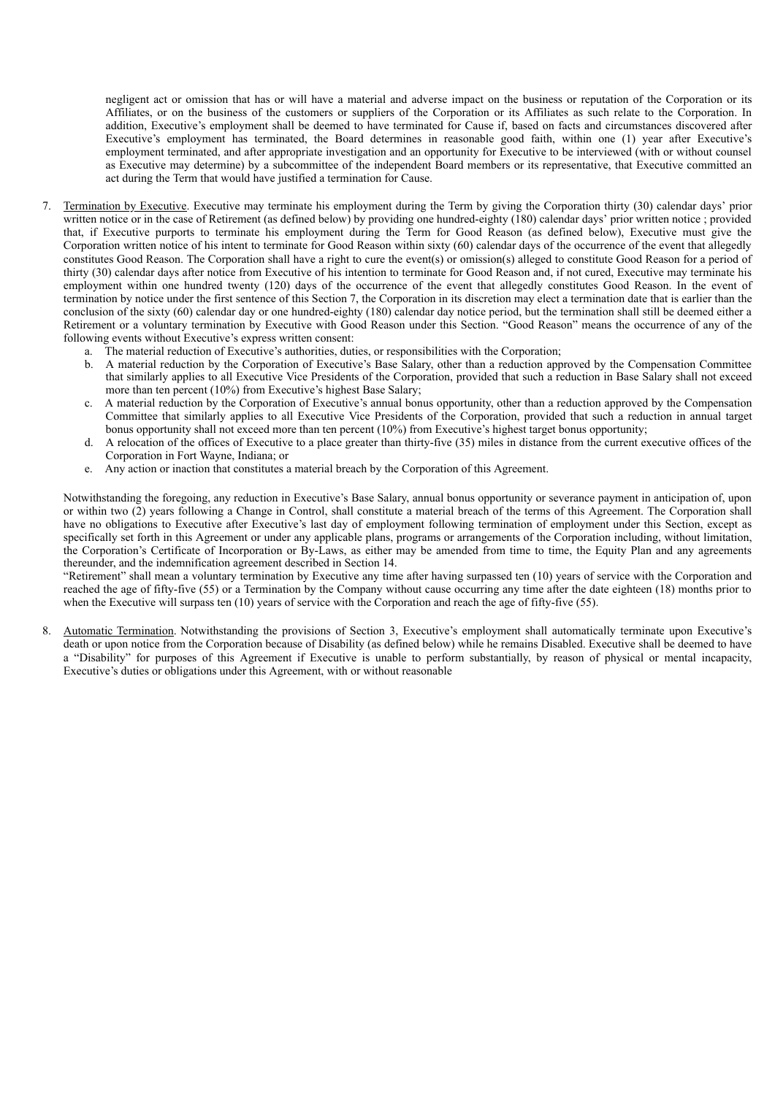negligent act or omission that has or will have a material and adverse impact on the business or reputation of the Corporation or its Affiliates, or on the business of the customers or suppliers of the Corporation or its Affiliates as such relate to the Corporation. In addition, Executive's employment shall be deemed to have terminated for Cause if, based on facts and circumstances discovered after Executive's employment has terminated, the Board determines in reasonable good faith, within one (1) year after Executive's employment terminated, and after appropriate investigation and an opportunity for Executive to be interviewed (with or without counsel as Executive may determine) by a subcommittee of the independent Board members or its representative, that Executive committed an act during the Term that would have justified a termination for Cause.

- 7. Termination by Executive. Executive may terminate his employment during the Term by giving the Corporation thirty (30) calendar days' prior written notice or in the case of Retirement (as defined below) by providing one hundred-eighty (180) calendar days' prior written notice ; provided that, if Executive purports to terminate his employment during the Term for Good Reason (as defined below), Executive must give the Corporation written notice of his intent to terminate for Good Reason within sixty (60) calendar days of the occurrence of the event that allegedly constitutes Good Reason. The Corporation shall have a right to cure the event(s) or omission(s) alleged to constitute Good Reason for a period of thirty (30) calendar days after notice from Executive of his intention to terminate for Good Reason and, if not cured, Executive may terminate his employment within one hundred twenty (120) days of the occurrence of the event that allegedly constitutes Good Reason. In the event of termination by notice under the first sentence of this Section 7, the Corporation in its discretion may elect a termination date that is earlier than the conclusion of the sixty (60) calendar day or one hundred-eighty (180) calendar day notice period, but the termination shall still be deemed either a Retirement or a voluntary termination by Executive with Good Reason under this Section. "Good Reason" means the occurrence of any of the following events without Executive's express written consent:
	- a. The material reduction of Executive's authorities, duties, or responsibilities with the Corporation;
	- b. A material reduction by the Corporation of Executive's Base Salary, other than a reduction approved by the Compensation Committee that similarly applies to all Executive Vice Presidents of the Corporation, provided that such a reduction in Base Salary shall not exceed more than ten percent (10%) from Executive's highest Base Salary;
	- c. A material reduction by the Corporation of Executive's annual bonus opportunity, other than a reduction approved by the Compensation Committee that similarly applies to all Executive Vice Presidents of the Corporation, provided that such a reduction in annual target bonus opportunity shall not exceed more than ten percent (10%) from Executive's highest target bonus opportunity;
	- d. A relocation of the offices of Executive to a place greater than thirty-five (35) miles in distance from the current executive offices of the Corporation in Fort Wayne, Indiana; or
	- e. Any action or inaction that constitutes a material breach by the Corporation of this Agreement.

Notwithstanding the foregoing, any reduction in Executive's Base Salary, annual bonus opportunity or severance payment in anticipation of, upon or within two (2) years following a Change in Control, shall constitute a material breach of the terms of this Agreement. The Corporation shall have no obligations to Executive after Executive's last day of employment following termination of employment under this Section, except as specifically set forth in this Agreement or under any applicable plans, programs or arrangements of the Corporation including, without limitation, the Corporation's Certificate of Incorporation or By-Laws, as either may be amended from time to time, the Equity Plan and any agreements thereunder, and the indemnification agreement described in Section 14.

"Retirement" shall mean a voluntary termination by Executive any time after having surpassed ten (10) years of service with the Corporation and reached the age of fifty-five (55) or a Termination by the Company without cause occurring any time after the date eighteen (18) months prior to when the Executive will surpass ten (10) years of service with the Corporation and reach the age of fifty-five (55).

8. Automatic Termination. Notwithstanding the provisions of Section 3, Executive's employment shall automatically terminate upon Executive's death or upon notice from the Corporation because of Disability (as defined below) while he remains Disabled. Executive shall be deemed to have a "Disability" for purposes of this Agreement if Executive is unable to perform substantially, by reason of physical or mental incapacity, Executive's duties or obligations under this Agreement, with or without reasonable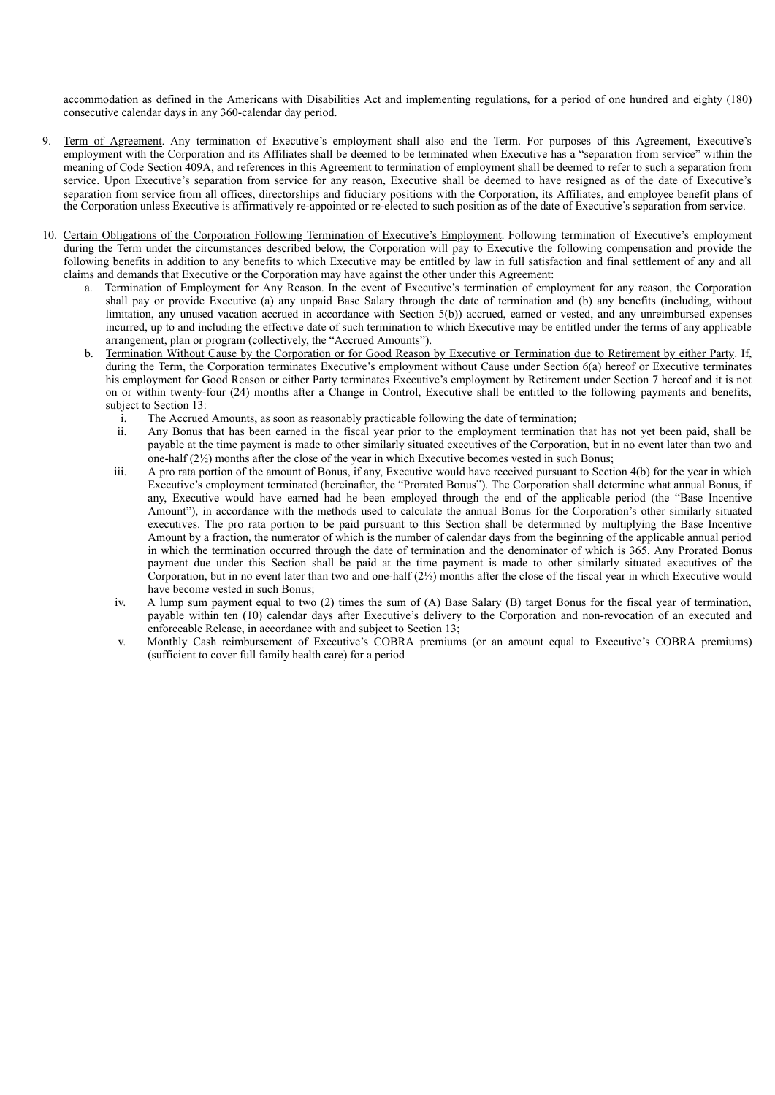accommodation as defined in the Americans with Disabilities Act and implementing regulations, for a period of one hundred and eighty (180) consecutive calendar days in any 360-calendar day period.

- 9. Term of Agreement. Any termination of Executive's employment shall also end the Term. For purposes of this Agreement, Executive's employment with the Corporation and its Affiliates shall be deemed to be terminated when Executive has a "separation from service" within the meaning of Code Section 409A, and references in this Agreement to termination of employment shall be deemed to refer to such a separation from service. Upon Executive's separation from service for any reason, Executive shall be deemed to have resigned as of the date of Executive's separation from service from all offices, directorships and fiduciary positions with the Corporation, its Affiliates, and employee benefit plans of the Corporation unless Executive is affirmatively re-appointed or re-elected to such position as of the date of Executive's separation from service.
- 10. Certain Obligations of the Corporation Following Termination of Executive's Employment. Following termination of Executive's employment during the Term under the circumstances described below, the Corporation will pay to Executive the following compensation and provide the following benefits in addition to any benefits to which Executive may be entitled by law in full satisfaction and final settlement of any and all claims and demands that Executive or the Corporation may have against the other under this Agreement:
	- a. Termination of Employment for Any Reason. In the event of Executive's termination of employment for any reason, the Corporation shall pay or provide Executive (a) any unpaid Base Salary through the date of termination and (b) any benefits (including, without limitation, any unused vacation accrued in accordance with Section 5(b)) accrued, earned or vested, and any unreimbursed expenses incurred, up to and including the effective date of such termination to which Executive may be entitled under the terms of any applicable arrangement, plan or program (collectively, the "Accrued Amounts").
	- b. Termination Without Cause by the Corporation or for Good Reason by Executive or Termination due to Retirement by either Party. If, during the Term, the Corporation terminates Executive's employment without Cause under Section 6(a) hereof or Executive terminates his employment for Good Reason or either Party terminates Executive's employment by Retirement under Section 7 hereof and it is not on or within twenty-four (24) months after a Change in Control, Executive shall be entitled to the following payments and benefits, subject to Section 13:
		- i. The Accrued Amounts, as soon as reasonably practicable following the date of termination;
		- ii. Any Bonus that has been earned in the fiscal year prior to the employment termination that has not yet been paid, shall be payable at the time payment is made to other similarly situated executives of the Corporation, but in no event later than two and one-half  $(2\frac{1}{2})$  months after the close of the year in which Executive becomes vested in such Bonus;
		- iii. A pro rata portion of the amount of Bonus, if any, Executive would have received pursuant to Section 4(b) for the year in which Executive's employment terminated (hereinafter, the "Prorated Bonus"). The Corporation shall determine what annual Bonus, if any, Executive would have earned had he been employed through the end of the applicable period (the "Base Incentive Amount"), in accordance with the methods used to calculate the annual Bonus for the Corporation's other similarly situated executives. The pro rata portion to be paid pursuant to this Section shall be determined by multiplying the Base Incentive Amount by a fraction, the numerator of which is the number of calendar days from the beginning of the applicable annual period in which the termination occurred through the date of termination and the denominator of which is 365. Any Prorated Bonus payment due under this Section shall be paid at the time payment is made to other similarly situated executives of the Corporation, but in no event later than two and one-half  $(2<sup>i</sup>/<sub>2</sub>)$  months after the close of the fiscal year in which Executive would have become vested in such Bonus;
		- iv. A lump sum payment equal to two (2) times the sum of (A) Base Salary (B) target Bonus for the fiscal year of termination, payable within ten (10) calendar days after Executive's delivery to the Corporation and non-revocation of an executed and enforceable Release, in accordance with and subject to Section 13;
		- v. Monthly Cash reimbursement of Executive's COBRA premiums (or an amount equal to Executive's COBRA premiums) (sufficient to cover full family health care) for a period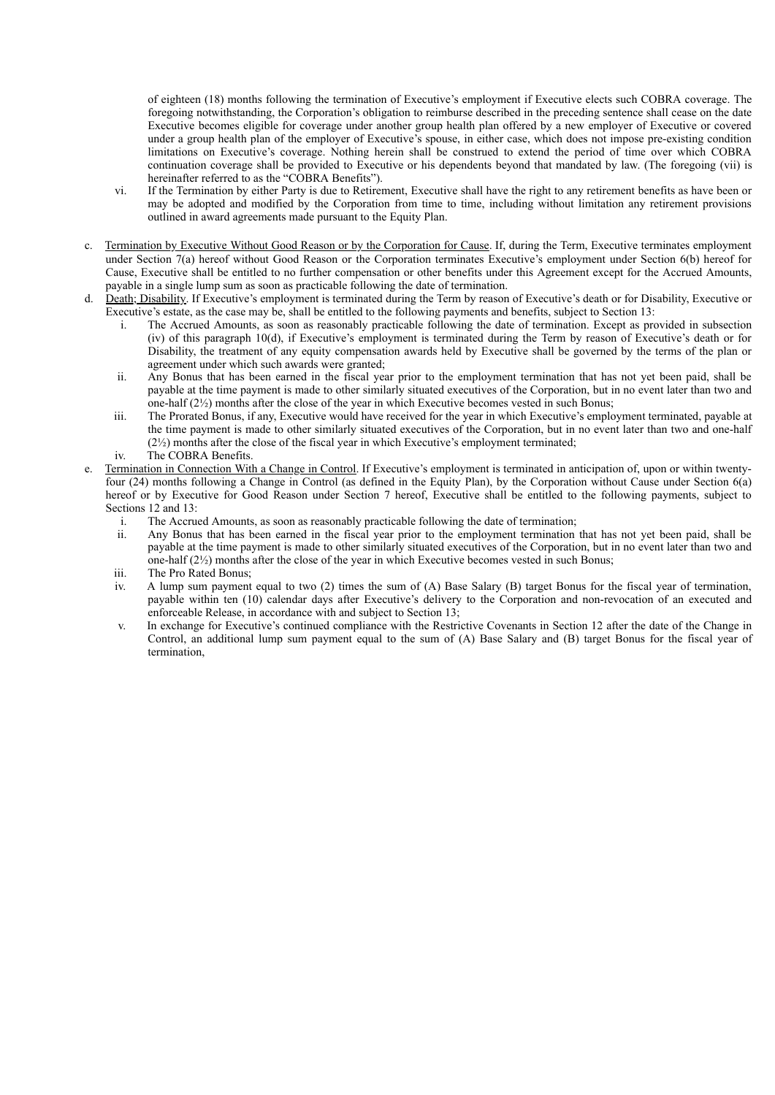of eighteen (18) months following the termination of Executive's employment if Executive elects such COBRA coverage. The foregoing notwithstanding, the Corporation's obligation to reimburse described in the preceding sentence shall cease on the date Executive becomes eligible for coverage under another group health plan offered by a new employer of Executive or covered under a group health plan of the employer of Executive's spouse, in either case, which does not impose pre-existing condition limitations on Executive's coverage. Nothing herein shall be construed to extend the period of time over which COBRA continuation coverage shall be provided to Executive or his dependents beyond that mandated by law. (The foregoing (vii) is hereinafter referred to as the "COBRA Benefits").

- vi. If the Termination by either Party is due to Retirement, Executive shall have the right to any retirement benefits as have been or may be adopted and modified by the Corporation from time to time, including without limitation any retirement provisions outlined in award agreements made pursuant to the Equity Plan.
- c. Termination by Executive Without Good Reason or by the Corporation for Cause. If, during the Term, Executive terminates employment under Section 7(a) hereof without Good Reason or the Corporation terminates Executive's employment under Section 6(b) hereof for Cause, Executive shall be entitled to no further compensation or other benefits under this Agreement except for the Accrued Amounts, payable in a single lump sum as soon as practicable following the date of termination.
- d. Death; Disability. If Executive's employment is terminated during the Term by reason of Executive's death or for Disability, Executive or Executive's estate, as the case may be, shall be entitled to the following payments and benefits, subject to Section 13:
	- i. The Accrued Amounts, as soon as reasonably practicable following the date of termination. Except as provided in subsection (iv) of this paragraph 10(d), if Executive's employment is terminated during the Term by reason of Executive's death or for Disability, the treatment of any equity compensation awards held by Executive shall be governed by the terms of the plan or agreement under which such awards were granted;
	- ii. Any Bonus that has been earned in the fiscal year prior to the employment termination that has not yet been paid, shall be payable at the time payment is made to other similarly situated executives of the Corporation, but in no event later than two and one-half  $(2\frac{1}{2})$  months after the close of the year in which Executive becomes vested in such Bonus;
	- iii. The Prorated Bonus, if any, Executive would have received for the year in which Executive's employment terminated, payable at the time payment is made to other similarly situated executives of the Corporation, but in no event later than two and one-half  $(2\frac{1}{2})$  months after the close of the fiscal year in which Executive's employment terminated;
	- iv. The COBRA Benefits.
- e. Termination in Connection With a Change in Control. If Executive's employment is terminated in anticipation of, upon or within twentyfour (24) months following a Change in Control (as defined in the Equity Plan), by the Corporation without Cause under Section 6(a) hereof or by Executive for Good Reason under Section 7 hereof, Executive shall be entitled to the following payments, subject to Sections 12 and 13:
	- i. The Accrued Amounts, as soon as reasonably practicable following the date of termination;
	- Any Bonus that has been earned in the fiscal year prior to the employment termination that has not yet been paid, shall be payable at the time payment is made to other similarly situated executives of the Corporation, but in no event later than two and one-half (2½) months after the close of the year in which Executive becomes vested in such Bonus;
	- iii. The Pro Rated Bonus;
	- iv. A lump sum payment equal to two (2) times the sum of (A) Base Salary (B) target Bonus for the fiscal year of termination, payable within ten (10) calendar days after Executive's delivery to the Corporation and non-revocation of an executed and enforceable Release, in accordance with and subject to Section 13;
	- v. In exchange for Executive's continued compliance with the Restrictive Covenants in Section 12 after the date of the Change in Control, an additional lump sum payment equal to the sum of (A) Base Salary and (B) target Bonus for the fiscal year of termination,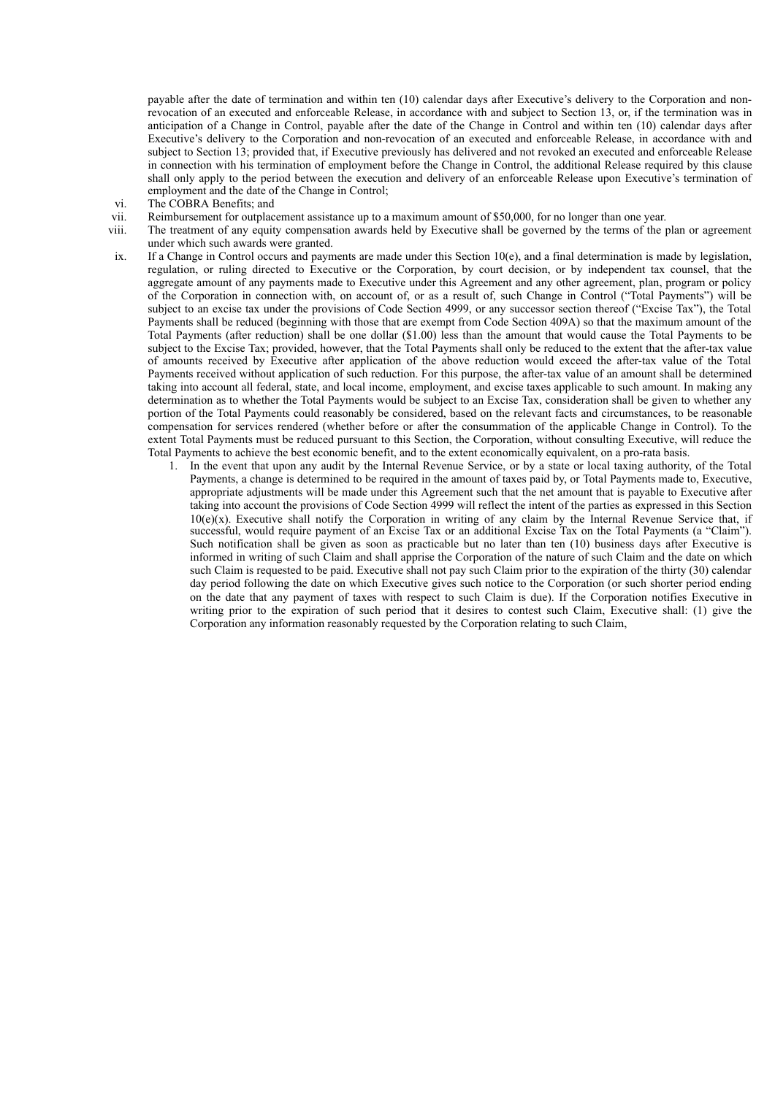payable after the date of termination and within ten (10) calendar days after Executive's delivery to the Corporation and nonrevocation of an executed and enforceable Release, in accordance with and subject to Section 13, or, if the termination was in anticipation of a Change in Control, payable after the date of the Change in Control and within ten (10) calendar days after Executive's delivery to the Corporation and non-revocation of an executed and enforceable Release, in accordance with and subject to Section 13; provided that, if Executive previously has delivered and not revoked an executed and enforceable Release in connection with his termination of employment before the Change in Control, the additional Release required by this clause shall only apply to the period between the execution and delivery of an enforceable Release upon Executive's termination of employment and the date of the Change in Control;

- vi. The COBRA Benefits; and
- vii. Reimbursement for outplacement assistance up to a maximum amount of \$50,000, for no longer than one year.
- viii. The treatment of any equity compensation awards held by Executive shall be governed by the terms of the plan or agreement under which such awards were granted.
- ix. If a Change in Control occurs and payments are made under this Section 10(e), and a final determination is made by legislation, regulation, or ruling directed to Executive or the Corporation, by court decision, or by independent tax counsel, that the aggregate amount of any payments made to Executive under this Agreement and any other agreement, plan, program or policy of the Corporation in connection with, on account of, or as a result of, such Change in Control ("Total Payments") will be subject to an excise tax under the provisions of Code Section 4999, or any successor section thereof ("Excise Tax"), the Total Payments shall be reduced (beginning with those that are exempt from Code Section 409A) so that the maximum amount of the Total Payments (after reduction) shall be one dollar (\$1.00) less than the amount that would cause the Total Payments to be subject to the Excise Tax; provided, however, that the Total Payments shall only be reduced to the extent that the after-tax value of amounts received by Executive after application of the above reduction would exceed the after-tax value of the Total Payments received without application of such reduction. For this purpose, the after-tax value of an amount shall be determined taking into account all federal, state, and local income, employment, and excise taxes applicable to such amount. In making any determination as to whether the Total Payments would be subject to an Excise Tax, consideration shall be given to whether any portion of the Total Payments could reasonably be considered, based on the relevant facts and circumstances, to be reasonable compensation for services rendered (whether before or after the consummation of the applicable Change in Control). To the extent Total Payments must be reduced pursuant to this Section, the Corporation, without consulting Executive, will reduce the Total Payments to achieve the best economic benefit, and to the extent economically equivalent, on a pro-rata basis.
	- 1. In the event that upon any audit by the Internal Revenue Service, or by a state or local taxing authority, of the Total Payments, a change is determined to be required in the amount of taxes paid by, or Total Payments made to, Executive, appropriate adjustments will be made under this Agreement such that the net amount that is payable to Executive after taking into account the provisions of Code Section 4999 will reflect the intent of the parties as expressed in this Section  $10(e)(x)$ . Executive shall notify the Corporation in writing of any claim by the Internal Revenue Service that, if successful, would require payment of an Excise Tax or an additional Excise Tax on the Total Payments (a "Claim"). Such notification shall be given as soon as practicable but no later than ten (10) business days after Executive is informed in writing of such Claim and shall apprise the Corporation of the nature of such Claim and the date on which such Claim is requested to be paid. Executive shall not pay such Claim prior to the expiration of the thirty (30) calendar day period following the date on which Executive gives such notice to the Corporation (or such shorter period ending on the date that any payment of taxes with respect to such Claim is due). If the Corporation notifies Executive in writing prior to the expiration of such period that it desires to contest such Claim, Executive shall: (1) give the Corporation any information reasonably requested by the Corporation relating to such Claim,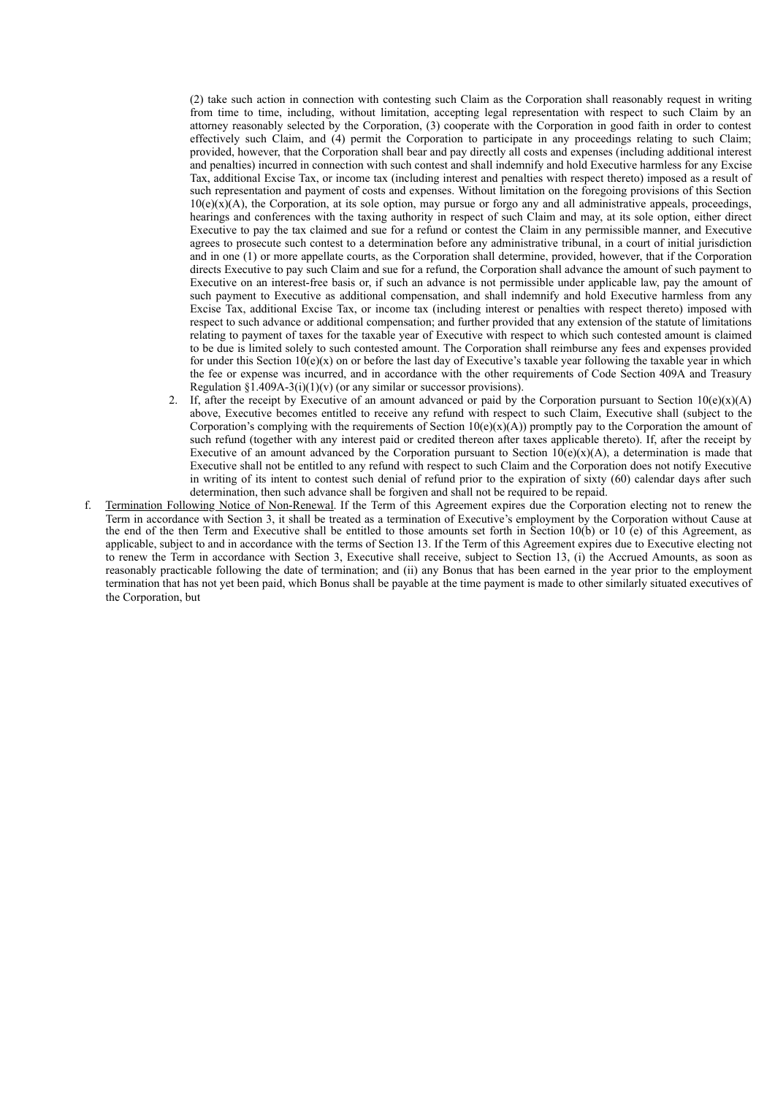(2) take such action in connection with contesting such Claim as the Corporation shall reasonably request in writing from time to time, including, without limitation, accepting legal representation with respect to such Claim by an attorney reasonably selected by the Corporation, (3) cooperate with the Corporation in good faith in order to contest effectively such Claim, and (4) permit the Corporation to participate in any proceedings relating to such Claim; provided, however, that the Corporation shall bear and pay directly all costs and expenses (including additional interest and penalties) incurred in connection with such contest and shall indemnify and hold Executive harmless for any Excise Tax, additional Excise Tax, or income tax (including interest and penalties with respect thereto) imposed as a result of such representation and payment of costs and expenses. Without limitation on the foregoing provisions of this Section  $10(e)(x)(A)$ , the Corporation, at its sole option, may pursue or forgo any and all administrative appeals, proceedings, hearings and conferences with the taxing authority in respect of such Claim and may, at its sole option, either direct Executive to pay the tax claimed and sue for a refund or contest the Claim in any permissible manner, and Executive agrees to prosecute such contest to a determination before any administrative tribunal, in a court of initial jurisdiction and in one (1) or more appellate courts, as the Corporation shall determine, provided, however, that if the Corporation directs Executive to pay such Claim and sue for a refund, the Corporation shall advance the amount of such payment to Executive on an interest-free basis or, if such an advance is not permissible under applicable law, pay the amount of such payment to Executive as additional compensation, and shall indemnify and hold Executive harmless from any Excise Tax, additional Excise Tax, or income tax (including interest or penalties with respect thereto) imposed with respect to such advance or additional compensation; and further provided that any extension of the statute of limitations relating to payment of taxes for the taxable year of Executive with respect to which such contested amount is claimed to be due is limited solely to such contested amount. The Corporation shall reimburse any fees and expenses provided for under this Section  $10(e)(x)$  on or before the last day of Executive's taxable year following the taxable year in which the fee or expense was incurred, and in accordance with the other requirements of Code Section 409A and Treasury Regulation  $\S1.409A-3(i)(1)(v)$  (or any similar or successor provisions).

- 2. If, after the receipt by Executive of an amount advanced or paid by the Corporation pursuant to Section  $10(e)(x)(A)$ above, Executive becomes entitled to receive any refund with respect to such Claim, Executive shall (subject to the Corporation's complying with the requirements of Section  $10(e)(x)(A)$ ) promptly pay to the Corporation the amount of such refund (together with any interest paid or credited thereon after taxes applicable thereto). If, after the receipt by Executive of an amount advanced by the Corporation pursuant to Section  $10(e)(x)(A)$ , a determination is made that Executive shall not be entitled to any refund with respect to such Claim and the Corporation does not notify Executive in writing of its intent to contest such denial of refund prior to the expiration of sixty (60) calendar days after such determination, then such advance shall be forgiven and shall not be required to be repaid.
- f. Termination Following Notice of Non-Renewal. If the Term of this Agreement expires due the Corporation electing not to renew the Term in accordance with Section 3, it shall be treated as a termination of Executive's employment by the Corporation without Cause at the end of the then Term and Executive shall be entitled to those amounts set forth in Section 10(b) or 10 (e) of this Agreement, as applicable, subject to and in accordance with the terms of Section 13. If the Term of this Agreement expires due to Executive electing not to renew the Term in accordance with Section 3, Executive shall receive, subject to Section 13, (i) the Accrued Amounts, as soon as reasonably practicable following the date of termination; and (ii) any Bonus that has been earned in the year prior to the employment termination that has not yet been paid, which Bonus shall be payable at the time payment is made to other similarly situated executives of the Corporation, but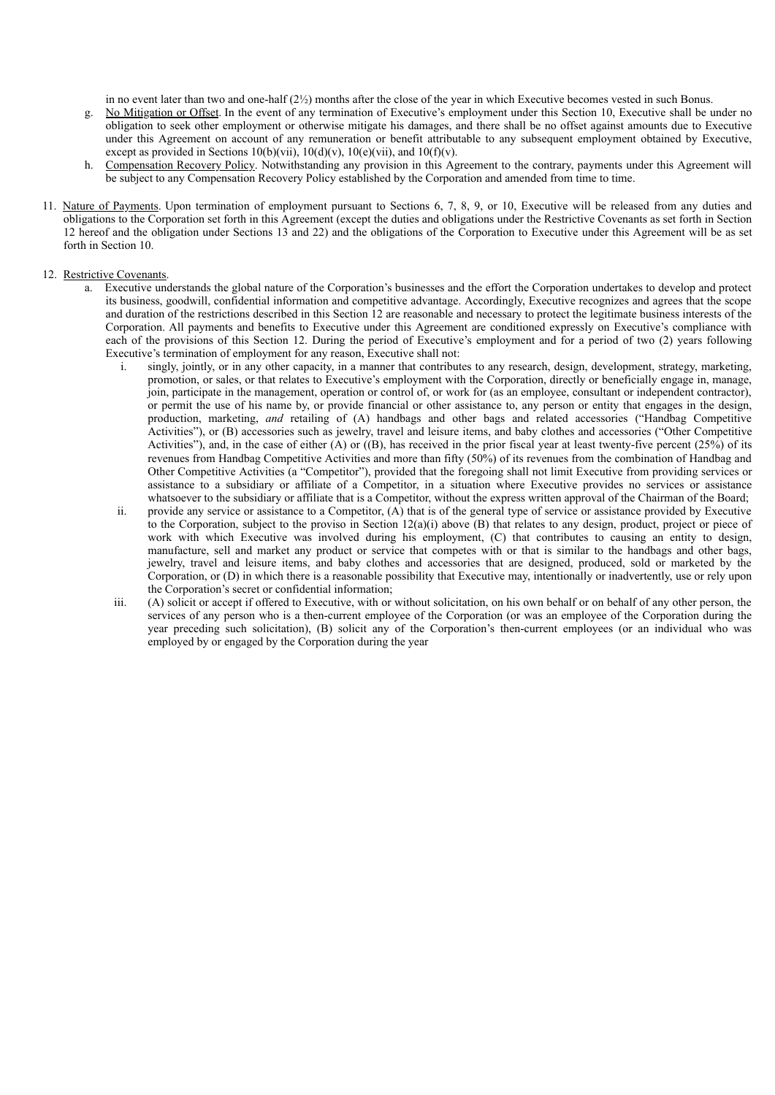in no event later than two and one-half  $(2\frac{1}{2})$  months after the close of the year in which Executive becomes vested in such Bonus.

- g. No Mitigation or Offset. In the event of any termination of Executive's employment under this Section 10, Executive shall be under no obligation to seek other employment or otherwise mitigate his damages, and there shall be no offset against amounts due to Executive under this Agreement on account of any remuneration or benefit attributable to any subsequent employment obtained by Executive, except as provided in Sections 10(b)(vii),  $10(d)(v)$ ,  $10(e)(vi)$ , and  $10(f)(v)$ .
- h. Compensation Recovery Policy. Notwithstanding any provision in this Agreement to the contrary, payments under this Agreement will be subject to any Compensation Recovery Policy established by the Corporation and amended from time to time.
- 11. Nature of Payments. Upon termination of employment pursuant to Sections 6, 7, 8, 9, or 10, Executive will be released from any duties and obligations to the Corporation set forth in this Agreement (except the duties and obligations under the Restrictive Covenants as set forth in Section 12 hereof and the obligation under Sections 13 and 22) and the obligations of the Corporation to Executive under this Agreement will be as set forth in Section 10.

#### 12. Restrictive Covenants.

- a. Executive understands the global nature of the Corporation's businesses and the effort the Corporation undertakes to develop and protect its business, goodwill, confidential information and competitive advantage. Accordingly, Executive recognizes and agrees that the scope and duration of the restrictions described in this Section 12 are reasonable and necessary to protect the legitimate business interests of the Corporation. All payments and benefits to Executive under this Agreement are conditioned expressly on Executive's compliance with each of the provisions of this Section 12. During the period of Executive's employment and for a period of two (2) years following Executive's termination of employment for any reason, Executive shall not:
	- i. singly, jointly, or in any other capacity, in a manner that contributes to any research, design, development, strategy, marketing, promotion, or sales, or that relates to Executive's employment with the Corporation, directly or beneficially engage in, manage, join, participate in the management, operation or control of, or work for (as an employee, consultant or independent contractor), or permit the use of his name by, or provide financial or other assistance to, any person or entity that engages in the design, production, marketing, *and* retailing of (A) handbags and other bags and related accessories ("Handbag Competitive Activities"), or (B) accessories such as jewelry, travel and leisure items, and baby clothes and accessories ("Other Competitive Activities"), and, in the case of either  $(A)$  or  $((B)$ , has received in the prior fiscal year at least twenty-five percent  $(25%)$  of its revenues from Handbag Competitive Activities and more than fifty (50%) of its revenues from the combination of Handbag and Other Competitive Activities (a "Competitor"), provided that the foregoing shall not limit Executive from providing services or assistance to a subsidiary or affiliate of a Competitor, in a situation where Executive provides no services or assistance whatsoever to the subsidiary or affiliate that is a Competitor, without the express written approval of the Chairman of the Board;
	- ii. provide any service or assistance to a Competitor, (A) that is of the general type of service or assistance provided by Executive to the Corporation, subject to the proviso in Section 12(a)(i) above (B) that relates to any design, product, project or piece of work with which Executive was involved during his employment, (C) that contributes to causing an entity to design, manufacture, sell and market any product or service that competes with or that is similar to the handbags and other bags, jewelry, travel and leisure items, and baby clothes and accessories that are designed, produced, sold or marketed by the Corporation, or (D) in which there is a reasonable possibility that Executive may, intentionally or inadvertently, use or rely upon the Corporation's secret or confidential information;
	- iii. (A) solicit or accept if offered to Executive, with or without solicitation, on his own behalf or on behalf of any other person, the services of any person who is a then-current employee of the Corporation (or was an employee of the Corporation during the year preceding such solicitation), (B) solicit any of the Corporation's then-current employees (or an individual who was employed by or engaged by the Corporation during the year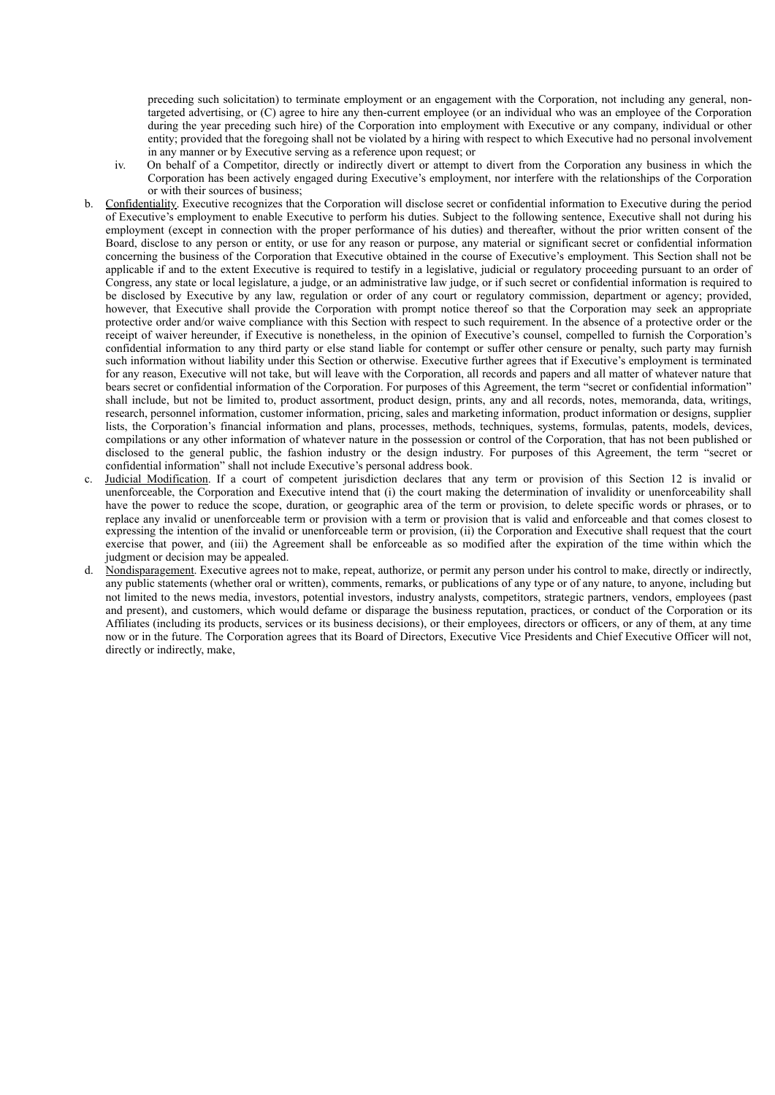preceding such solicitation) to terminate employment or an engagement with the Corporation, not including any general, nontargeted advertising, or (C) agree to hire any then-current employee (or an individual who was an employee of the Corporation during the year preceding such hire) of the Corporation into employment with Executive or any company, individual or other entity; provided that the foregoing shall not be violated by a hiring with respect to which Executive had no personal involvement in any manner or by Executive serving as a reference upon request; or

- iv. On behalf of a Competitor, directly or indirectly divert or attempt to divert from the Corporation any business in which the Corporation has been actively engaged during Executive's employment, nor interfere with the relationships of the Corporation or with their sources of business;
- b. Confidentiality. Executive recognizes that the Corporation will disclose secret or confidential information to Executive during the period of Executive's employment to enable Executive to perform his duties. Subject to the following sentence, Executive shall not during his employment (except in connection with the proper performance of his duties) and thereafter, without the prior written consent of the Board, disclose to any person or entity, or use for any reason or purpose, any material or significant secret or confidential information concerning the business of the Corporation that Executive obtained in the course of Executive's employment. This Section shall not be applicable if and to the extent Executive is required to testify in a legislative, judicial or regulatory proceeding pursuant to an order of Congress, any state or local legislature, a judge, or an administrative law judge, or if such secret or confidential information is required to be disclosed by Executive by any law, regulation or order of any court or regulatory commission, department or agency; provided, however, that Executive shall provide the Corporation with prompt notice thereof so that the Corporation may seek an appropriate protective order and/or waive compliance with this Section with respect to such requirement. In the absence of a protective order or the receipt of waiver hereunder, if Executive is nonetheless, in the opinion of Executive's counsel, compelled to furnish the Corporation's confidential information to any third party or else stand liable for contempt or suffer other censure or penalty, such party may furnish such information without liability under this Section or otherwise. Executive further agrees that if Executive's employment is terminated for any reason, Executive will not take, but will leave with the Corporation, all records and papers and all matter of whatever nature that bears secret or confidential information of the Corporation. For purposes of this Agreement, the term "secret or confidential information" shall include, but not be limited to, product assortment, product design, prints, any and all records, notes, memoranda, data, writings, research, personnel information, customer information, pricing, sales and marketing information, product information or designs, supplier lists, the Corporation's financial information and plans, processes, methods, techniques, systems, formulas, patents, models, devices, compilations or any other information of whatever nature in the possession or control of the Corporation, that has not been published or disclosed to the general public, the fashion industry or the design industry. For purposes of this Agreement, the term "secret or confidential information" shall not include Executive's personal address book.
- c. Judicial Modification. If a court of competent jurisdiction declares that any term or provision of this Section 12 is invalid or unenforceable, the Corporation and Executive intend that (i) the court making the determination of invalidity or unenforceability shall have the power to reduce the scope, duration, or geographic area of the term or provision, to delete specific words or phrases, or to replace any invalid or unenforceable term or provision with a term or provision that is valid and enforceable and that comes closest to expressing the intention of the invalid or unenforceable term or provision, (ii) the Corporation and Executive shall request that the court exercise that power, and (iii) the Agreement shall be enforceable as so modified after the expiration of the time within which the judgment or decision may be appealed.
- d. Nondisparagement. Executive agrees not to make, repeat, authorize, or permit any person under his control to make, directly or indirectly, any public statements (whether oral or written), comments, remarks, or publications of any type or of any nature, to anyone, including but not limited to the news media, investors, potential investors, industry analysts, competitors, strategic partners, vendors, employees (past and present), and customers, which would defame or disparage the business reputation, practices, or conduct of the Corporation or its Affiliates (including its products, services or its business decisions), or their employees, directors or officers, or any of them, at any time now or in the future. The Corporation agrees that its Board of Directors, Executive Vice Presidents and Chief Executive Officer will not, directly or indirectly, make,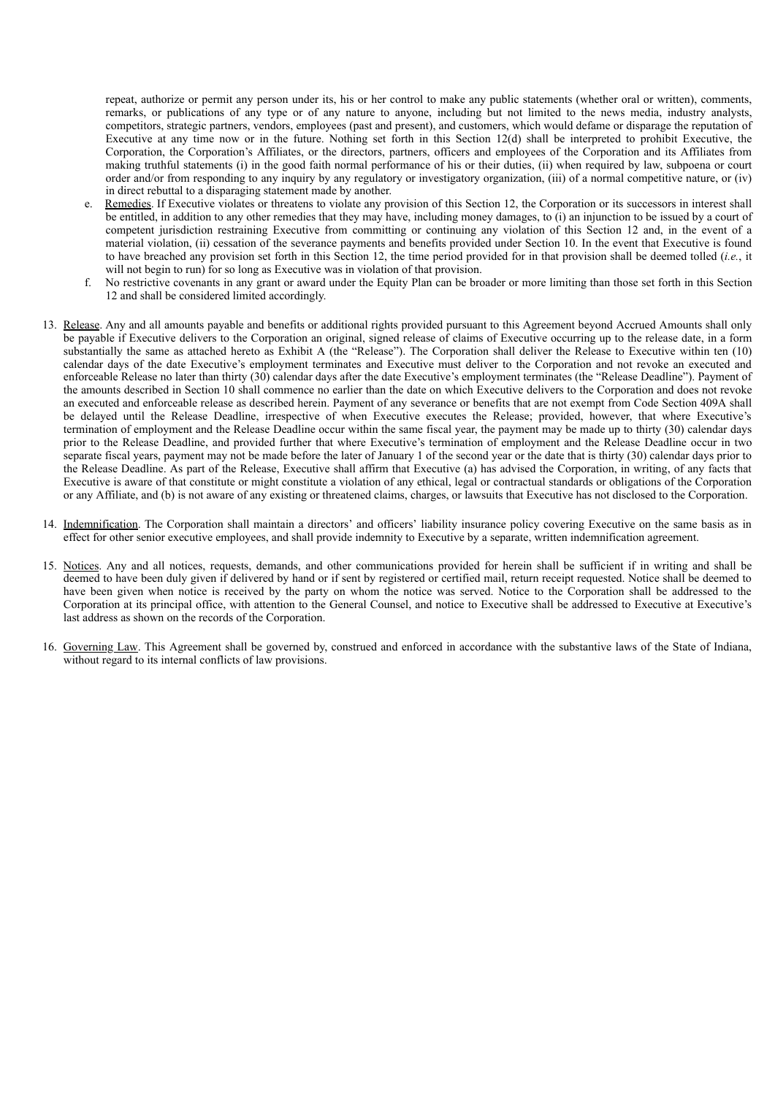repeat, authorize or permit any person under its, his or her control to make any public statements (whether oral or written), comments, remarks, or publications of any type or of any nature to anyone, including but not limited to the news media, industry analysts, competitors, strategic partners, vendors, employees (past and present), and customers, which would defame or disparage the reputation of Executive at any time now or in the future. Nothing set forth in this Section 12(d) shall be interpreted to prohibit Executive, the Corporation, the Corporation's Affiliates, or the directors, partners, officers and employees of the Corporation and its Affiliates from making truthful statements (i) in the good faith normal performance of his or their duties, (ii) when required by law, subpoena or court order and/or from responding to any inquiry by any regulatory or investigatory organization, (iii) of a normal competitive nature, or (iv) in direct rebuttal to a disparaging statement made by another.

- e. Remedies. If Executive violates or threatens to violate any provision of this Section 12, the Corporation or its successors in interest shall be entitled, in addition to any other remedies that they may have, including money damages, to (i) an injunction to be issued by a court of competent jurisdiction restraining Executive from committing or continuing any violation of this Section 12 and, in the event of a material violation, (ii) cessation of the severance payments and benefits provided under Section 10. In the event that Executive is found to have breached any provision set forth in this Section 12, the time period provided for in that provision shall be deemed tolled (*i.e.*, it will not begin to run) for so long as Executive was in violation of that provision.
- f. No restrictive covenants in any grant or award under the Equity Plan can be broader or more limiting than those set forth in this Section 12 and shall be considered limited accordingly.
- 13. Release. Any and all amounts payable and benefits or additional rights provided pursuant to this Agreement beyond Accrued Amounts shall only be payable if Executive delivers to the Corporation an original, signed release of claims of Executive occurring up to the release date, in a form substantially the same as attached hereto as Exhibit A (the "Release"). The Corporation shall deliver the Release to Executive within ten (10) calendar days of the date Executive's employment terminates and Executive must deliver to the Corporation and not revoke an executed and enforceable Release no later than thirty (30) calendar days after the date Executive's employment terminates (the "Release Deadline"). Payment of the amounts described in Section 10 shall commence no earlier than the date on which Executive delivers to the Corporation and does not revoke an executed and enforceable release as described herein. Payment of any severance or benefits that are not exempt from Code Section 409A shall be delayed until the Release Deadline, irrespective of when Executive executes the Release; provided, however, that where Executive's termination of employment and the Release Deadline occur within the same fiscal year, the payment may be made up to thirty (30) calendar days prior to the Release Deadline, and provided further that where Executive's termination of employment and the Release Deadline occur in two separate fiscal years, payment may not be made before the later of January 1 of the second year or the date that is thirty (30) calendar days prior to the Release Deadline. As part of the Release, Executive shall affirm that Executive (a) has advised the Corporation, in writing, of any facts that Executive is aware of that constitute or might constitute a violation of any ethical, legal or contractual standards or obligations of the Corporation or any Affiliate, and (b) is not aware of any existing or threatened claims, charges, or lawsuits that Executive has not disclosed to the Corporation.
- 14. Indemnification. The Corporation shall maintain a directors' and officers' liability insurance policy covering Executive on the same basis as in effect for other senior executive employees, and shall provide indemnity to Executive by a separate, written indemnification agreement.
- 15. Notices. Any and all notices, requests, demands, and other communications provided for herein shall be sufficient if in writing and shall be deemed to have been duly given if delivered by hand or if sent by registered or certified mail, return receipt requested. Notice shall be deemed to have been given when notice is received by the party on whom the notice was served. Notice to the Corporation shall be addressed to the Corporation at its principal office, with attention to the General Counsel, and notice to Executive shall be addressed to Executive at Executive's last address as shown on the records of the Corporation.
- 16. Governing Law. This Agreement shall be governed by, construed and enforced in accordance with the substantive laws of the State of Indiana, without regard to its internal conflicts of law provisions.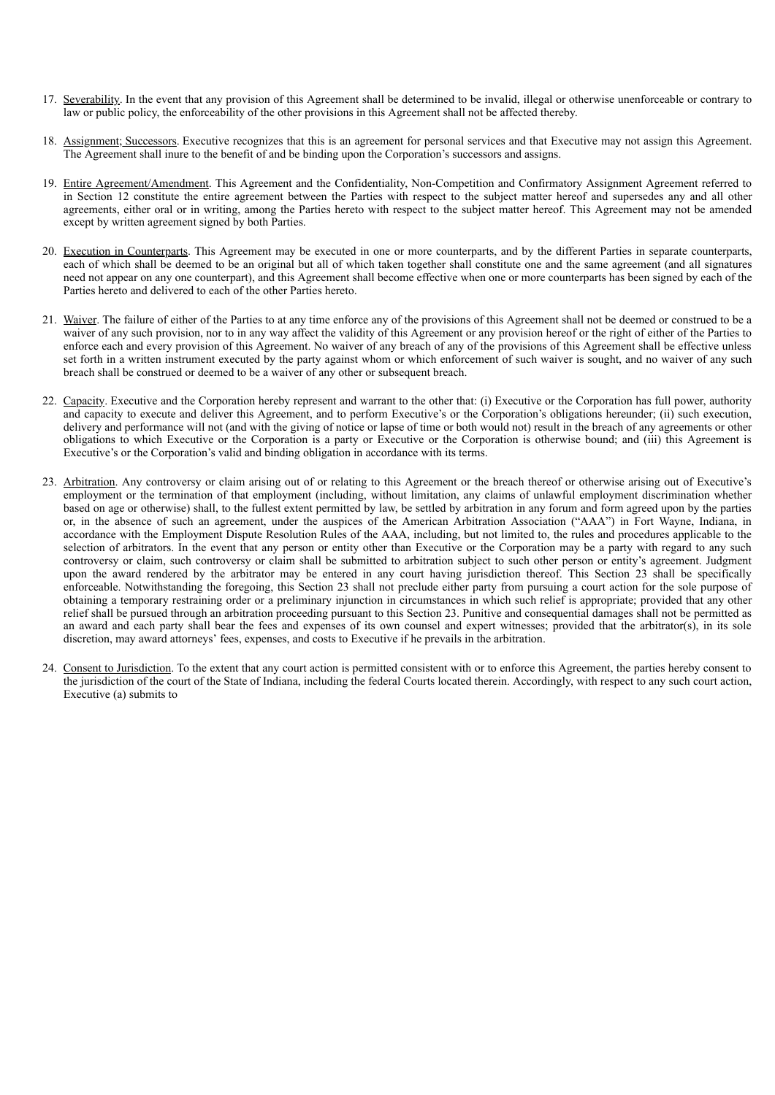- 17. Severability. In the event that any provision of this Agreement shall be determined to be invalid, illegal or otherwise unenforceable or contrary to law or public policy, the enforceability of the other provisions in this Agreement shall not be affected thereby.
- 18. Assignment; Successors. Executive recognizes that this is an agreement for personal services and that Executive may not assign this Agreement. The Agreement shall inure to the benefit of and be binding upon the Corporation's successors and assigns.
- 19. Entire Agreement/Amendment. This Agreement and the Confidentiality, Non-Competition and Confirmatory Assignment Agreement referred to in Section 12 constitute the entire agreement between the Parties with respect to the subject matter hereof and supersedes any and all other agreements, either oral or in writing, among the Parties hereto with respect to the subject matter hereof. This Agreement may not be amended except by written agreement signed by both Parties.
- 20. Execution in Counterparts. This Agreement may be executed in one or more counterparts, and by the different Parties in separate counterparts, each of which shall be deemed to be an original but all of which taken together shall constitute one and the same agreement (and all signatures need not appear on any one counterpart), and this Agreement shall become effective when one or more counterparts has been signed by each of the Parties hereto and delivered to each of the other Parties hereto.
- 21. Waiver. The failure of either of the Parties to at any time enforce any of the provisions of this Agreement shall not be deemed or construed to be a waiver of any such provision, nor to in any way affect the validity of this Agreement or any provision hereof or the right of either of the Parties to enforce each and every provision of this Agreement. No waiver of any breach of any of the provisions of this Agreement shall be effective unless set forth in a written instrument executed by the party against whom or which enforcement of such waiver is sought, and no waiver of any such breach shall be construed or deemed to be a waiver of any other or subsequent breach.
- 22. Capacity. Executive and the Corporation hereby represent and warrant to the other that: (i) Executive or the Corporation has full power, authority and capacity to execute and deliver this Agreement, and to perform Executive's or the Corporation's obligations hereunder; (ii) such execution, delivery and performance will not (and with the giving of notice or lapse of time or both would not) result in the breach of any agreements or other obligations to which Executive or the Corporation is a party or Executive or the Corporation is otherwise bound; and (iii) this Agreement is Executive's or the Corporation's valid and binding obligation in accordance with its terms.
- 23. Arbitration. Any controversy or claim arising out of or relating to this Agreement or the breach thereof or otherwise arising out of Executive's employment or the termination of that employment (including, without limitation, any claims of unlawful employment discrimination whether based on age or otherwise) shall, to the fullest extent permitted by law, be settled by arbitration in any forum and form agreed upon by the parties or, in the absence of such an agreement, under the auspices of the American Arbitration Association ("AAA") in Fort Wayne, Indiana, in accordance with the Employment Dispute Resolution Rules of the AAA, including, but not limited to, the rules and procedures applicable to the selection of arbitrators. In the event that any person or entity other than Executive or the Corporation may be a party with regard to any such controversy or claim, such controversy or claim shall be submitted to arbitration subject to such other person or entity's agreement. Judgment upon the award rendered by the arbitrator may be entered in any court having jurisdiction thereof. This Section 23 shall be specifically enforceable. Notwithstanding the foregoing, this Section 23 shall not preclude either party from pursuing a court action for the sole purpose of obtaining a temporary restraining order or a preliminary injunction in circumstances in which such relief is appropriate; provided that any other relief shall be pursued through an arbitration proceeding pursuant to this Section 23. Punitive and consequential damages shall not be permitted as an award and each party shall bear the fees and expenses of its own counsel and expert witnesses; provided that the arbitrator(s), in its sole discretion, may award attorneys' fees, expenses, and costs to Executive if he prevails in the arbitration.
- 24. Consent to Jurisdiction. To the extent that any court action is permitted consistent with or to enforce this Agreement, the parties hereby consent to the jurisdiction of the court of the State of Indiana, including the federal Courts located therein. Accordingly, with respect to any such court action, Executive (a) submits to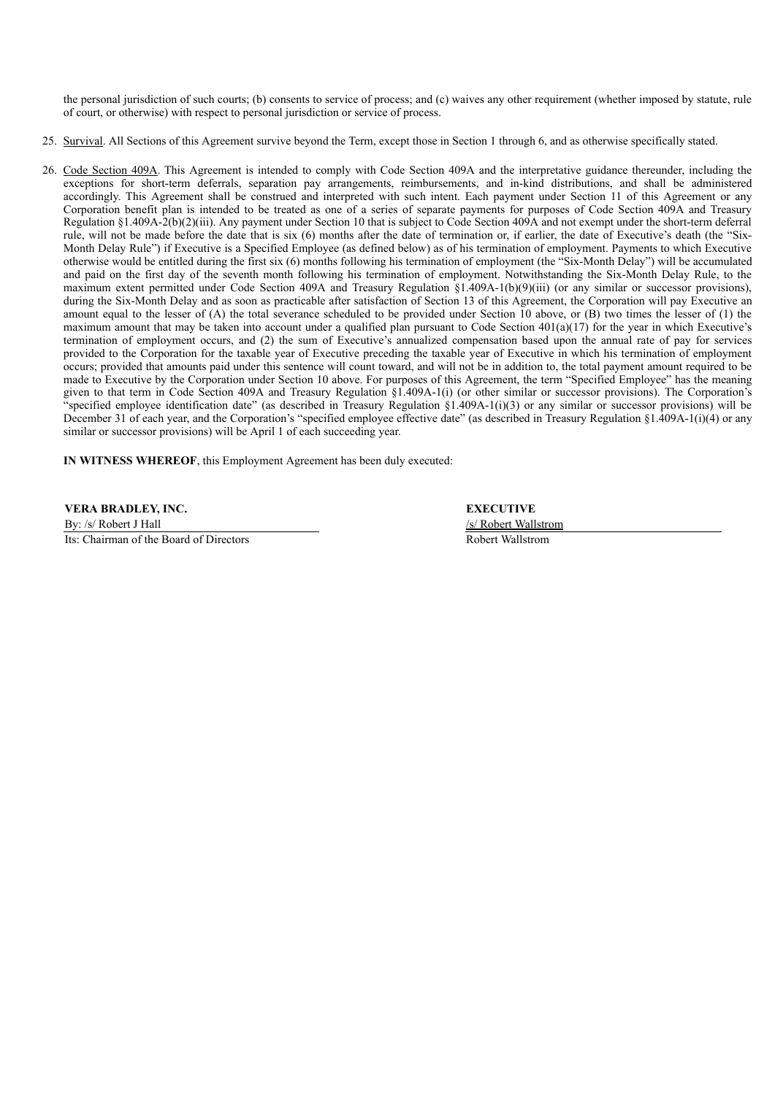the personal jurisdiction of such courts; (b) consents to service of process; and (c) waives any other requirement (whether imposed by statute, rule of court, or otherwise) with respect to personal jurisdiction or service of process.

- 25. Survival. All Sections of this Agreement survive beyond the Term, except those in Section 1 through 6, and as otherwise specifically stated.
- 26. Code Section 409A. This Agreement is intended to comply with Code Section 409A and the interpretative guidance thereunder, including the exceptions for short-term deferrals, separation pay arrangements, reimbursements, and in-kind distributions, and shall be administered accordingly. This Agreement shall be construed and interpreted with such intent. Each payment under Section 11 of this Agreement or any Corporation benefit plan is intended to be treated as one of a series of separate payments for purposes of Code Section 409A and Treasury Regulation §1.409A-2(b)(2)(iii). Any payment under Section 10 that is subject to Code Section 409A and not exempt under the short-term deferral rule, will not be made before the date that is six (6) months after the date of termination or, if earlier, the date of Executive's death (the "Six-Month Delay Rule") if Executive is a Specified Employee (as defined below) as of his termination of employment. Payments to which Executive otherwise would be entitled during the first six (6) months following his termination of employment (the "Six-Month Delay") will be accumulated and paid on the first day of the seventh month following his termination of employment. Notwithstanding the Six-Month Delay Rule, to the maximum extent permitted under Code Section 409A and Treasury Regulation §1.409A-1(b)(9)(iii) (or any similar or successor provisions), during the Six-Month Delay and as soon as practicable after satisfaction of Section 13 of this Agreement, the Corporation will pay Executive an amount equal to the lesser of (A) the total severance scheduled to be provided under Section 10 above, or (B) two times the lesser of (1) the maximum amount that may be taken into account under a qualified plan pursuant to Code Section  $401(a)(17)$  for the year in which Executive's termination of employment occurs, and (2) the sum of Executive's annualized compensation based upon the annual rate of pay for services provided to the Corporation for the taxable year of Executive preceding the taxable year of Executive in which his termination of employment occurs; provided that amounts paid under this sentence will count toward, and will not be in addition to, the total payment amount required to be made to Executive by the Corporation under Section 10 above. For purposes of this Agreement, the term "Specified Employee" has the meaning given to that term in Code Section 409A and Treasury Regulation §1.409A-1(i) (or other similar or successor provisions). The Corporation's "specified employee identification date" (as described in Treasury Regulation §1.409A-1(i)(3) or any similar or successor provisions) will be December 31 of each year, and the Corporation's "specified employee effective date" (as described in Treasury Regulation §1.409A-1(i)(4) or any similar or successor provisions) will be April 1 of each succeeding year.

**IN WITNESS WHEREOF**, this Employment Agreement has been duly executed:

**VERA BRADLEY, INC. EXECUTIVE** By: /s/ Robert J Hall */s/ Robert J Hall* Its: Chairman of the Board of Directors **Robert Wallstrom** Robert Wallstrom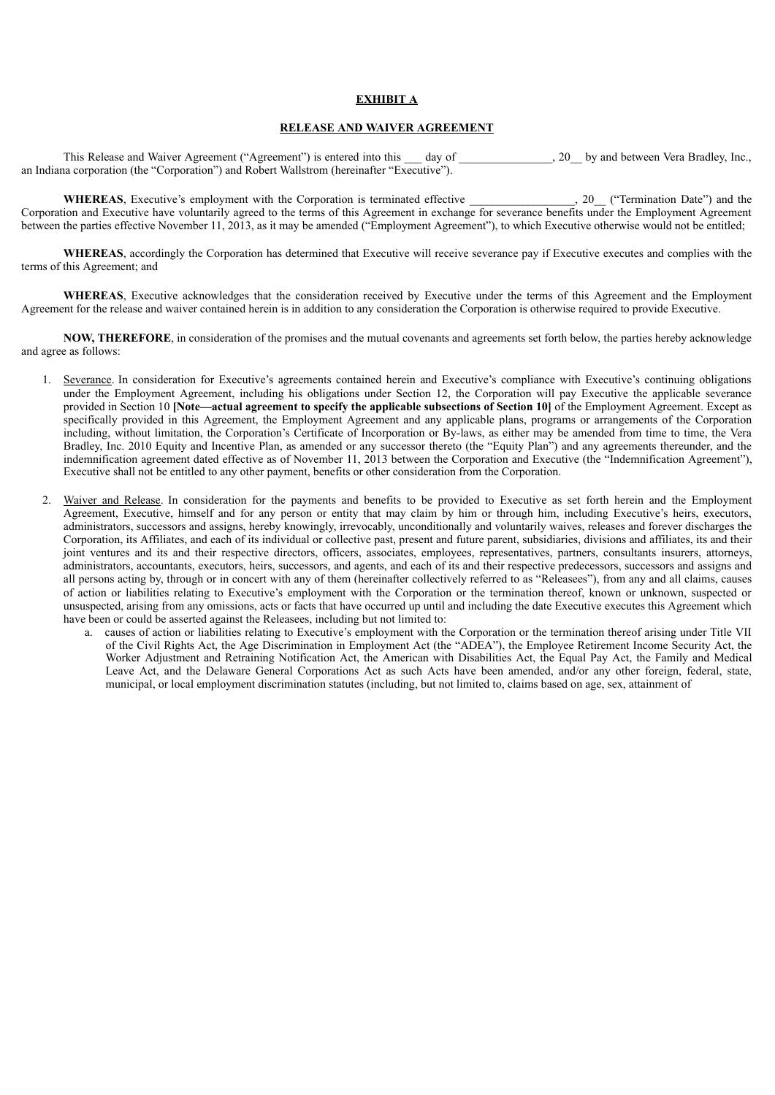#### **EXHIBIT A**

#### **RELEASE AND WAIVER AGREEMENT**

This Release and Waiver Agreement ("Agreement") is entered into this day of , 20 by and between Vera Bradley, Inc., an Indiana corporation (the "Corporation") and Robert Wallstrom (hereinafter "Executive").

WHEREAS, Executive's employment with the Corporation is terminated effective , 20 ("Termination Date") and the Corporation and Executive have voluntarily agreed to the terms of this Agreement in exchange for severance benefits under the Employment Agreement between the parties effective November 11, 2013, as it may be amended ("Employment Agreement"), to which Executive otherwise would not be entitled;

**WHEREAS**, accordingly the Corporation has determined that Executive will receive severance pay if Executive executes and complies with the terms of this Agreement; and

**WHEREAS**, Executive acknowledges that the consideration received by Executive under the terms of this Agreement and the Employment Agreement for the release and waiver contained herein is in addition to any consideration the Corporation is otherwise required to provide Executive.

**NOW, THEREFORE**, in consideration of the promises and the mutual covenants and agreements set forth below, the parties hereby acknowledge and agree as follows:

- 1. Severance. In consideration for Executive's agreements contained herein and Executive's compliance with Executive's continuing obligations under the Employment Agreement, including his obligations under Section 12, the Corporation will pay Executive the applicable severance provided in Section 10 **[Note—actual agreement to specify the applicable subsections of Section 10]** of the Employment Agreement. Except as specifically provided in this Agreement, the Employment Agreement and any applicable plans, programs or arrangements of the Corporation including, without limitation, the Corporation's Certificate of Incorporation or By-laws, as either may be amended from time to time, the Vera Bradley, Inc. 2010 Equity and Incentive Plan, as amended or any successor thereto (the "Equity Plan") and any agreements thereunder, and the indemnification agreement dated effective as of November 11, 2013 between the Corporation and Executive (the "Indemnification Agreement"), Executive shall not be entitled to any other payment, benefits or other consideration from the Corporation.
- 2. Waiver and Release. In consideration for the payments and benefits to be provided to Executive as set forth herein and the Employment Agreement, Executive, himself and for any person or entity that may claim by him or through him, including Executive's heirs, executors, administrators, successors and assigns, hereby knowingly, irrevocably, unconditionally and voluntarily waives, releases and forever discharges the Corporation, its Affiliates, and each of its individual or collective past, present and future parent, subsidiaries, divisions and affiliates, its and their joint ventures and its and their respective directors, officers, associates, employees, representatives, partners, consultants insurers, attorneys, administrators, accountants, executors, heirs, successors, and agents, and each of its and their respective predecessors, successors and assigns and all persons acting by, through or in concert with any of them (hereinafter collectively referred to as "Releasees"), from any and all claims, causes of action or liabilities relating to Executive's employment with the Corporation or the termination thereof, known or unknown, suspected or unsuspected, arising from any omissions, acts or facts that have occurred up until and including the date Executive executes this Agreement which have been or could be asserted against the Releasees, including but not limited to:
	- a. causes of action or liabilities relating to Executive's employment with the Corporation or the termination thereof arising under Title VII of the Civil Rights Act, the Age Discrimination in Employment Act (the "ADEA"), the Employee Retirement Income Security Act, the Worker Adjustment and Retraining Notification Act, the American with Disabilities Act, the Equal Pay Act, the Family and Medical Leave Act, and the Delaware General Corporations Act as such Acts have been amended, and/or any other foreign, federal, state, municipal, or local employment discrimination statutes (including, but not limited to, claims based on age, sex, attainment of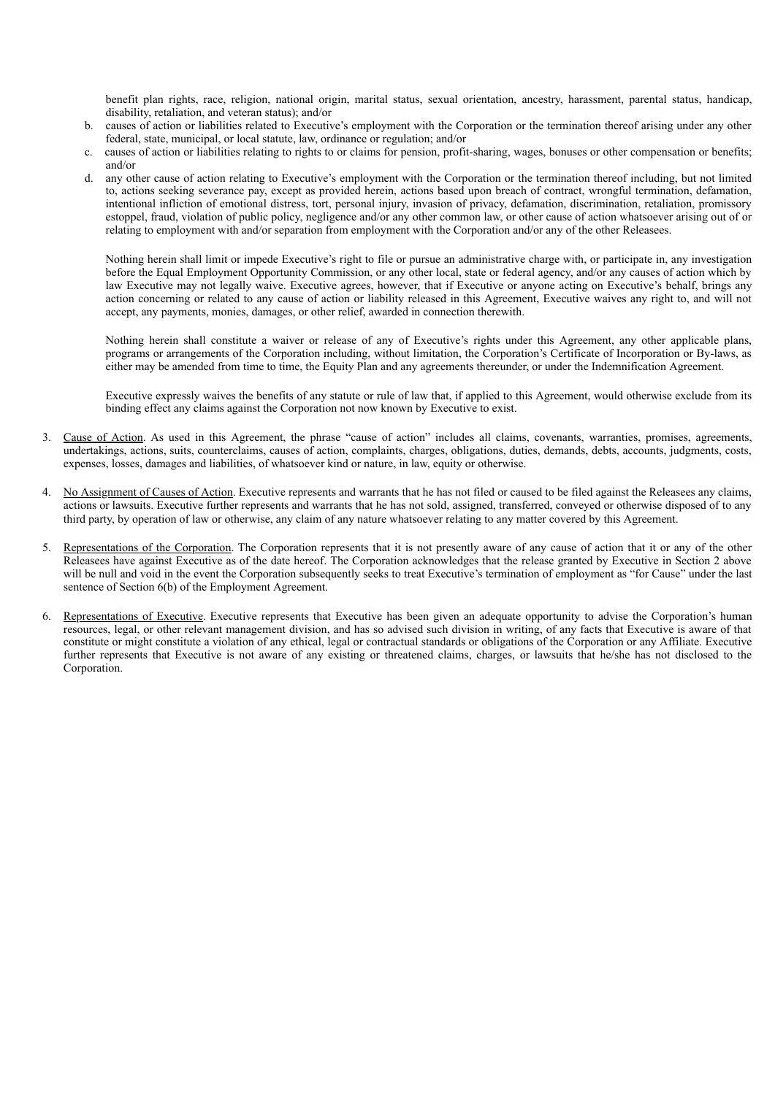benefit plan rights, race, religion, national origin, marital status, sexual orientation, ancestry, harassment, parental status, handicap, disability, retaliation, and veteran status); and/or

- b. causes of action or liabilities related to Executive's employment with the Corporation or the termination thereof arising under any other federal, state, municipal, or local statute, law, ordinance or regulation; and/or
- c. causes of action or liabilities relating to rights to or claims for pension, profit-sharing, wages, bonuses or other compensation or benefits; and/or
- d. any other cause of action relating to Executive's employment with the Corporation or the termination thereof including, but not limited to, actions seeking severance pay, except as provided herein, actions based upon breach of contract, wrongful termination, defamation, intentional infliction of emotional distress, tort, personal injury, invasion of privacy, defamation, discrimination, retaliation, promissory estoppel, fraud, violation of public policy, negligence and/or any other common law, or other cause of action whatsoever arising out of or relating to employment with and/or separation from employment with the Corporation and/or any of the other Releasees.

Nothing herein shall limit or impede Executive's right to file or pursue an administrative charge with, or participate in, any investigation before the Equal Employment Opportunity Commission, or any other local, state or federal agency, and/or any causes of action which by law Executive may not legally waive. Executive agrees, however, that if Executive or anyone acting on Executive's behalf, brings any action concerning or related to any cause of action or liability released in this Agreement, Executive waives any right to, and will not accept, any payments, monies, damages, or other relief, awarded in connection therewith.

Nothing herein shall constitute a waiver or release of any of Executive's rights under this Agreement, any other applicable plans, programs or arrangements of the Corporation including, without limitation, the Corporation's Certificate of Incorporation or By-laws, as either may be amended from time to time, the Equity Plan and any agreements thereunder, or under the Indemnification Agreement.

Executive expressly waives the benefits of any statute or rule of law that, if applied to this Agreement, would otherwise exclude from its binding effect any claims against the Corporation not now known by Executive to exist.

- 3. Cause of Action. As used in this Agreement, the phrase "cause of action" includes all claims, covenants, warranties, promises, agreements, undertakings, actions, suits, counterclaims, causes of action, complaints, charges, obligations, duties, demands, debts, accounts, judgments, costs, expenses, losses, damages and liabilities, of whatsoever kind or nature, in law, equity or otherwise.
- No Assignment of Causes of Action. Executive represents and warrants that he has not filed or caused to be filed against the Releasees any claims, actions or lawsuits. Executive further represents and warrants that he has not sold, assigned, transferred, conveyed or otherwise disposed of to any third party, by operation of law or otherwise, any claim of any nature whatsoever relating to any matter covered by this Agreement.
- 5. Representations of the Corporation. The Corporation represents that it is not presently aware of any cause of action that it or any of the other Releasees have against Executive as of the date hereof. The Corporation acknowledges that the release granted by Executive in Section 2 above will be null and void in the event the Corporation subsequently seeks to treat Executive's termination of employment as "for Cause" under the last sentence of Section 6(b) of the Employment Agreement.
- 6. Representations of Executive. Executive represents that Executive has been given an adequate opportunity to advise the Corporation's human resources, legal, or other relevant management division, and has so advised such division in writing, of any facts that Executive is aware of that constitute or might constitute a violation of any ethical, legal or contractual standards or obligations of the Corporation or any Affiliate. Executive further represents that Executive is not aware of any existing or threatened claims, charges, or lawsuits that he/she has not disclosed to the Corporation.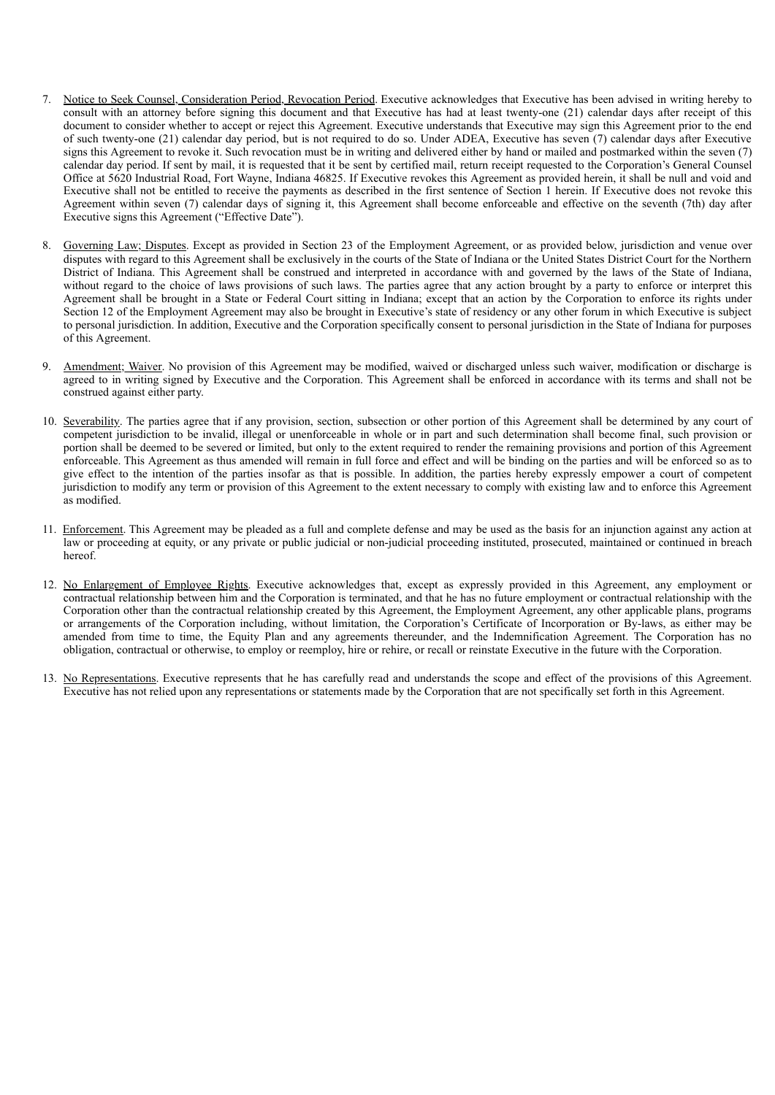- 7. Notice to Seek Counsel, Consideration Period, Revocation Period. Executive acknowledges that Executive has been advised in writing hereby to consult with an attorney before signing this document and that Executive has had at least twenty-one (21) calendar days after receipt of this document to consider whether to accept or reject this Agreement. Executive understands that Executive may sign this Agreement prior to the end of such twenty-one (21) calendar day period, but is not required to do so. Under ADEA, Executive has seven (7) calendar days after Executive signs this Agreement to revoke it. Such revocation must be in writing and delivered either by hand or mailed and postmarked within the seven (7) calendar day period. If sent by mail, it is requested that it be sent by certified mail, return receipt requested to the Corporation's General Counsel Office at 5620 Industrial Road, Fort Wayne, Indiana 46825. If Executive revokes this Agreement as provided herein, it shall be null and void and Executive shall not be entitled to receive the payments as described in the first sentence of Section 1 herein. If Executive does not revoke this Agreement within seven (7) calendar days of signing it, this Agreement shall become enforceable and effective on the seventh (7th) day after Executive signs this Agreement ("Effective Date").
- 8. Governing Law; Disputes. Except as provided in Section 23 of the Employment Agreement, or as provided below, jurisdiction and venue over disputes with regard to this Agreement shall be exclusively in the courts of the State of Indiana or the United States District Court for the Northern District of Indiana. This Agreement shall be construed and interpreted in accordance with and governed by the laws of the State of Indiana, without regard to the choice of laws provisions of such laws. The parties agree that any action brought by a party to enforce or interpret this Agreement shall be brought in a State or Federal Court sitting in Indiana; except that an action by the Corporation to enforce its rights under Section 12 of the Employment Agreement may also be brought in Executive's state of residency or any other forum in which Executive is subject to personal jurisdiction. In addition, Executive and the Corporation specifically consent to personal jurisdiction in the State of Indiana for purposes of this Agreement.
- 9. Amendment; Waiver. No provision of this Agreement may be modified, waived or discharged unless such waiver, modification or discharge is agreed to in writing signed by Executive and the Corporation. This Agreement shall be enforced in accordance with its terms and shall not be construed against either party.
- 10. Severability. The parties agree that if any provision, section, subsection or other portion of this Agreement shall be determined by any court of competent jurisdiction to be invalid, illegal or unenforceable in whole or in part and such determination shall become final, such provision or portion shall be deemed to be severed or limited, but only to the extent required to render the remaining provisions and portion of this Agreement enforceable. This Agreement as thus amended will remain in full force and effect and will be binding on the parties and will be enforced so as to give effect to the intention of the parties insofar as that is possible. In addition, the parties hereby expressly empower a court of competent jurisdiction to modify any term or provision of this Agreement to the extent necessary to comply with existing law and to enforce this Agreement as modified.
- 11. Enforcement. This Agreement may be pleaded as a full and complete defense and may be used as the basis for an injunction against any action at law or proceeding at equity, or any private or public judicial or non-judicial proceeding instituted, prosecuted, maintained or continued in breach hereof.
- 12. No Enlargement of Employee Rights. Executive acknowledges that, except as expressly provided in this Agreement, any employment or contractual relationship between him and the Corporation is terminated, and that he has no future employment or contractual relationship with the Corporation other than the contractual relationship created by this Agreement, the Employment Agreement, any other applicable plans, programs or arrangements of the Corporation including, without limitation, the Corporation's Certificate of Incorporation or By-laws, as either may be amended from time to time, the Equity Plan and any agreements thereunder, and the Indemnification Agreement. The Corporation has no obligation, contractual or otherwise, to employ or reemploy, hire or rehire, or recall or reinstate Executive in the future with the Corporation.
- 13. No Representations. Executive represents that he has carefully read and understands the scope and effect of the provisions of this Agreement. Executive has not relied upon any representations or statements made by the Corporation that are not specifically set forth in this Agreement.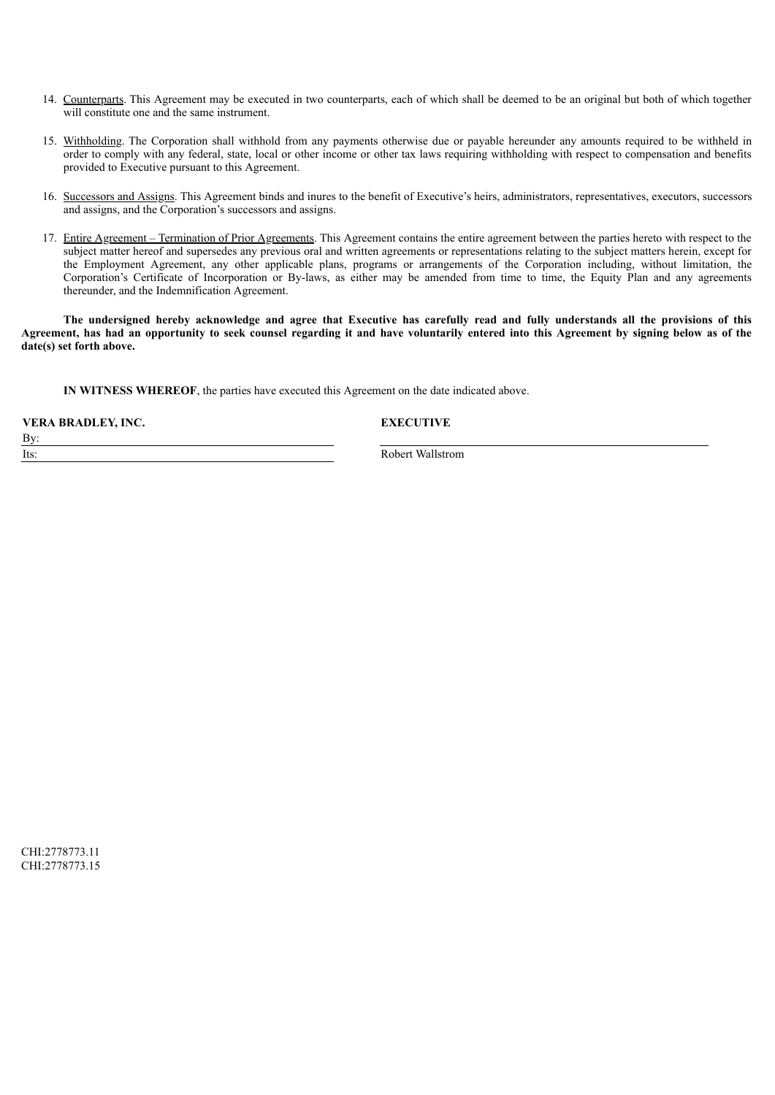- 14. Counterparts. This Agreement may be executed in two counterparts, each of which shall be deemed to be an original but both of which together will constitute one and the same instrument.
- 15. Withholding. The Corporation shall withhold from any payments otherwise due or payable hereunder any amounts required to be withheld in order to comply with any federal, state, local or other income or other tax laws requiring withholding with respect to compensation and benefits provided to Executive pursuant to this Agreement.
- 16. Successors and Assigns. This Agreement binds and inures to the benefit of Executive's heirs, administrators, representatives, executors, successors and assigns, and the Corporation's successors and assigns.
- 17. Entire Agreement Termination of Prior Agreements. This Agreement contains the entire agreement between the parties hereto with respect to the subject matter hereof and supersedes any previous oral and written agreements or representations relating to the subject matters herein, except for the Employment Agreement, any other applicable plans, programs or arrangements of the Corporation including, without limitation, the Corporation's Certificate of Incorporation or By-laws, as either may be amended from time to time, the Equity Plan and any agreements thereunder, and the Indemnification Agreement.

The undersigned hereby acknowledge and agree that Executive has carefully read and fully understands all the provisions of this Agreement, has had an opportunity to seek counsel regarding it and have voluntarily entered into this Agreement by signing below as of the **date(s) set forth above.**

**IN WITNESS WHEREOF**, the parties have executed this Agreement on the date indicated above.

**VERA BRADLEY, INC. EXECUTIVE**

By:

Its: Robert Wallstrom

CHI:2778773.11 CHI:2778773.15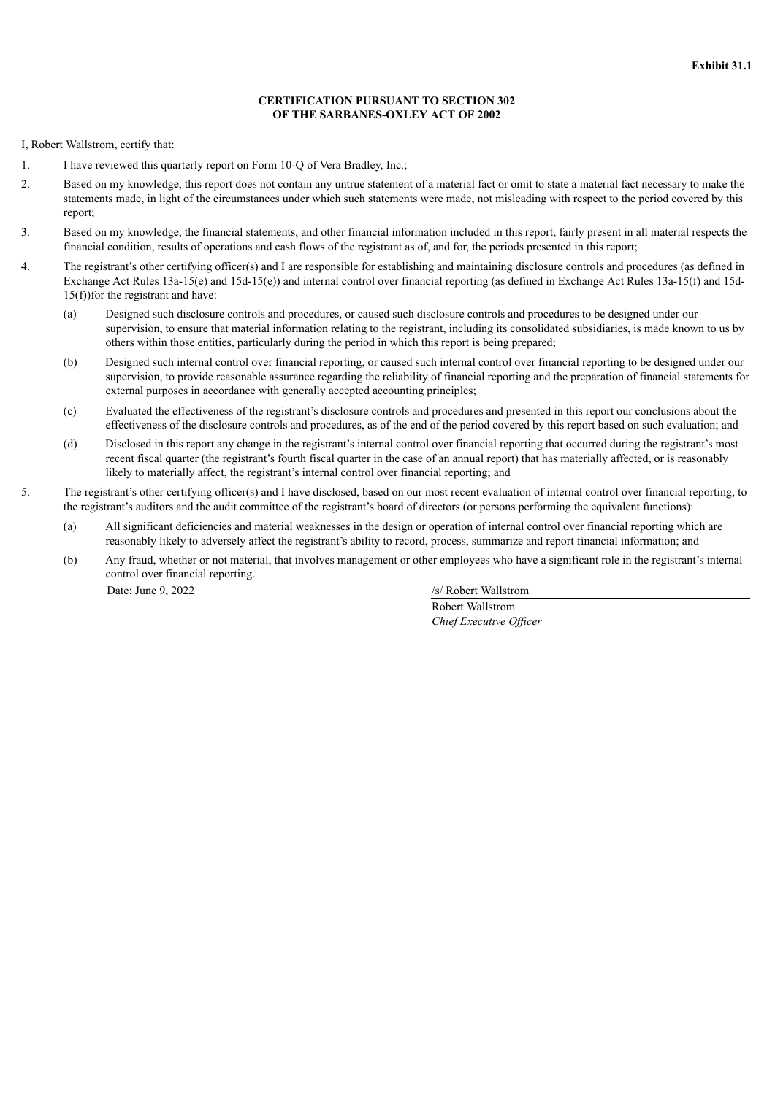#### **CERTIFICATION PURSUANT TO SECTION 302 OF THE SARBANES-OXLEY ACT OF 2002**

<span id="page-63-0"></span>I, Robert Wallstrom, certify that:

- 1. I have reviewed this quarterly report on Form 10-Q of Vera Bradley, Inc.;
- 2. Based on my knowledge, this report does not contain any untrue statement of a material fact or omit to state a material fact necessary to make the statements made, in light of the circumstances under which such statements were made, not misleading with respect to the period covered by this report;
- 3. Based on my knowledge, the financial statements, and other financial information included in this report, fairly present in all material respects the financial condition, results of operations and cash flows of the registrant as of, and for, the periods presented in this report;
- 4. The registrant's other certifying officer(s) and I are responsible for establishing and maintaining disclosure controls and procedures (as defined in Exchange Act Rules 13a-15(e) and 15d-15(e)) and internal control over financial reporting (as defined in Exchange Act Rules 13a-15(f) and 15d-15(f))for the registrant and have:
	- (a) Designed such disclosure controls and procedures, or caused such disclosure controls and procedures to be designed under our supervision, to ensure that material information relating to the registrant, including its consolidated subsidiaries, is made known to us by others within those entities, particularly during the period in which this report is being prepared;
	- (b) Designed such internal control over financial reporting, or caused such internal control over financial reporting to be designed under our supervision, to provide reasonable assurance regarding the reliability of financial reporting and the preparation of financial statements for external purposes in accordance with generally accepted accounting principles;
	- (c) Evaluated the effectiveness of the registrant's disclosure controls and procedures and presented in this report our conclusions about the effectiveness of the disclosure controls and procedures, as of the end of the period covered by this report based on such evaluation; and
	- (d) Disclosed in this report any change in the registrant's internal control over financial reporting that occurred during the registrant's most recent fiscal quarter (the registrant's fourth fiscal quarter in the case of an annual report) that has materially affected, or is reasonably likely to materially affect, the registrant's internal control over financial reporting; and
- 5. The registrant's other certifying officer(s) and I have disclosed, based on our most recent evaluation of internal control over financial reporting, to the registrant's auditors and the audit committee of the registrant's board of directors (or persons performing the equivalent functions):
	- (a) All significant deficiencies and material weaknesses in the design or operation of internal control over financial reporting which are reasonably likely to adversely affect the registrant's ability to record, process, summarize and report financial information; and
	- (b) Any fraud, whether or not material, that involves management or other employees who have a significant role in the registrant's internal control over financial reporting. Date: June 9, 2022 /s/ Robert Wallstrom

Robert Wallstrom *Chief Executive Of icer*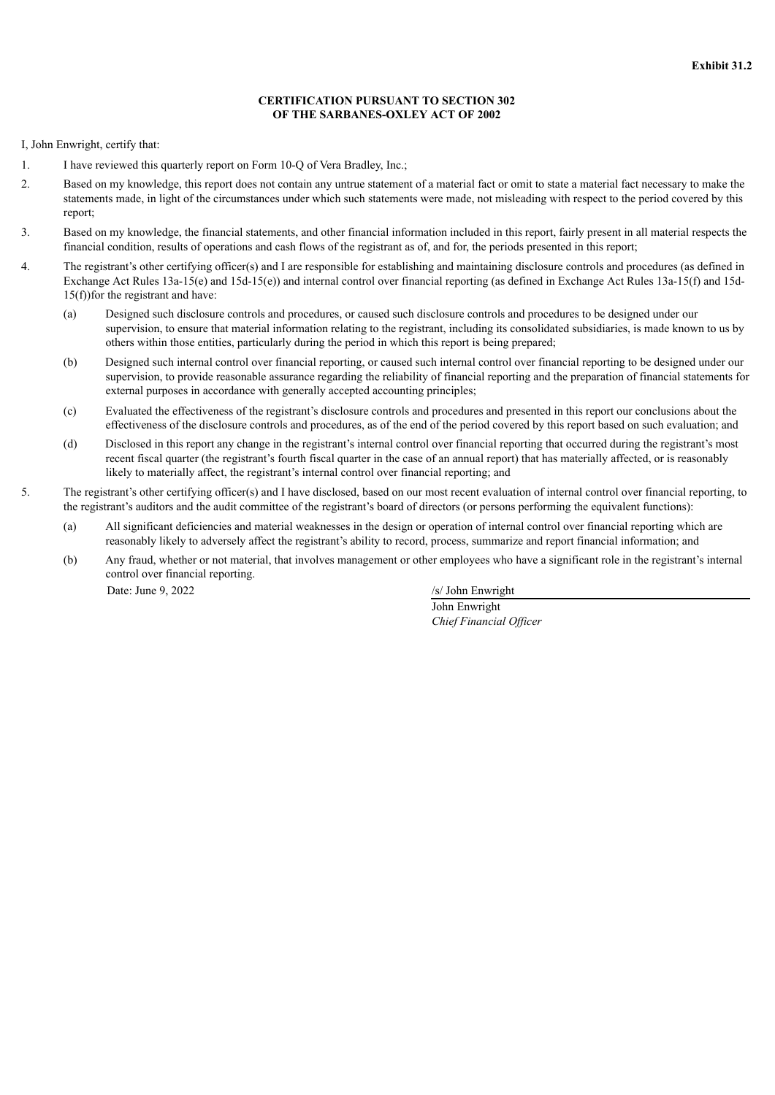#### **CERTIFICATION PURSUANT TO SECTION 302 OF THE SARBANES-OXLEY ACT OF 2002**

<span id="page-64-0"></span>I, John Enwright, certify that:

- 1. I have reviewed this quarterly report on Form 10-Q of Vera Bradley, Inc.;
- 2. Based on my knowledge, this report does not contain any untrue statement of a material fact or omit to state a material fact necessary to make the statements made, in light of the circumstances under which such statements were made, not misleading with respect to the period covered by this report;
- 3. Based on my knowledge, the financial statements, and other financial information included in this report, fairly present in all material respects the financial condition, results of operations and cash flows of the registrant as of, and for, the periods presented in this report;
- 4. The registrant's other certifying officer(s) and I are responsible for establishing and maintaining disclosure controls and procedures (as defined in Exchange Act Rules 13a-15(e) and 15d-15(e)) and internal control over financial reporting (as defined in Exchange Act Rules 13a-15(f) and 15d-15(f))for the registrant and have:
	- (a) Designed such disclosure controls and procedures, or caused such disclosure controls and procedures to be designed under our supervision, to ensure that material information relating to the registrant, including its consolidated subsidiaries, is made known to us by others within those entities, particularly during the period in which this report is being prepared;
	- (b) Designed such internal control over financial reporting, or caused such internal control over financial reporting to be designed under our supervision, to provide reasonable assurance regarding the reliability of financial reporting and the preparation of financial statements for external purposes in accordance with generally accepted accounting principles;
	- (c) Evaluated the effectiveness of the registrant's disclosure controls and procedures and presented in this report our conclusions about the effectiveness of the disclosure controls and procedures, as of the end of the period covered by this report based on such evaluation; and
	- (d) Disclosed in this report any change in the registrant's internal control over financial reporting that occurred during the registrant's most recent fiscal quarter (the registrant's fourth fiscal quarter in the case of an annual report) that has materially affected, or is reasonably likely to materially affect, the registrant's internal control over financial reporting; and
- 5. The registrant's other certifying officer(s) and I have disclosed, based on our most recent evaluation of internal control over financial reporting, to the registrant's auditors and the audit committee of the registrant's board of directors (or persons performing the equivalent functions):
	- (a) All significant deficiencies and material weaknesses in the design or operation of internal control over financial reporting which are reasonably likely to adversely affect the registrant's ability to record, process, summarize and report financial information; and
	- (b) Any fraud, whether or not material, that involves management or other employees who have a significant role in the registrant's internal control over financial reporting. Date: June 9, 2022 /s/ John Enwright

John Enwright *Chief Financial Of icer*